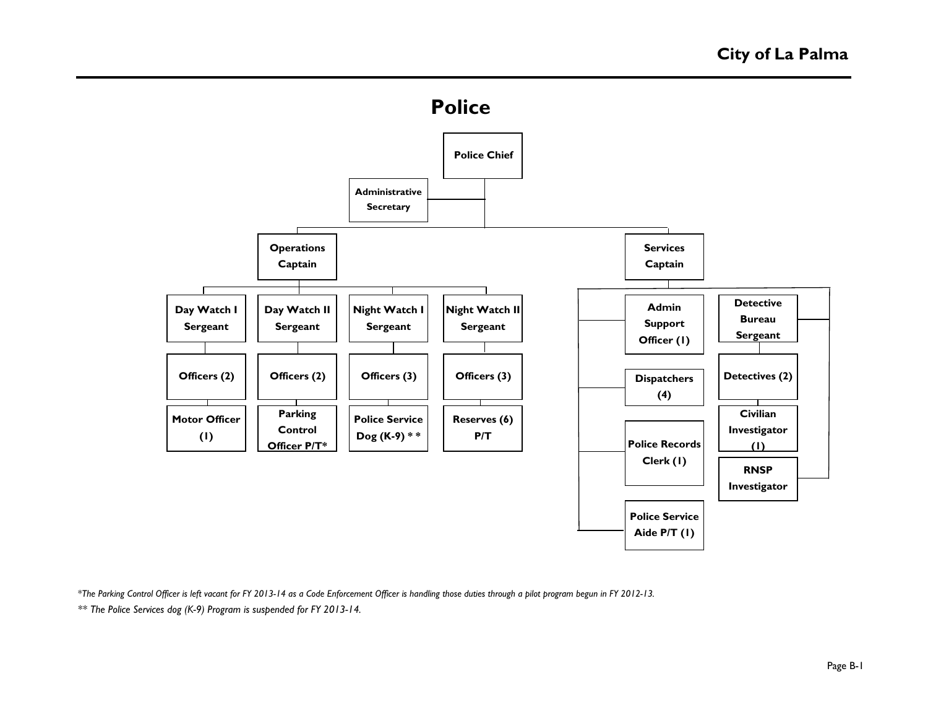



*\*The Parking Control Officer is left vacant for FY 2013-14 as a Code Enforcement Officer is handling those duties through a pilot program begun in FY 2012-13.*

*\*\* The Police Services dog (K-9) Program is suspended for FY 2013-14.*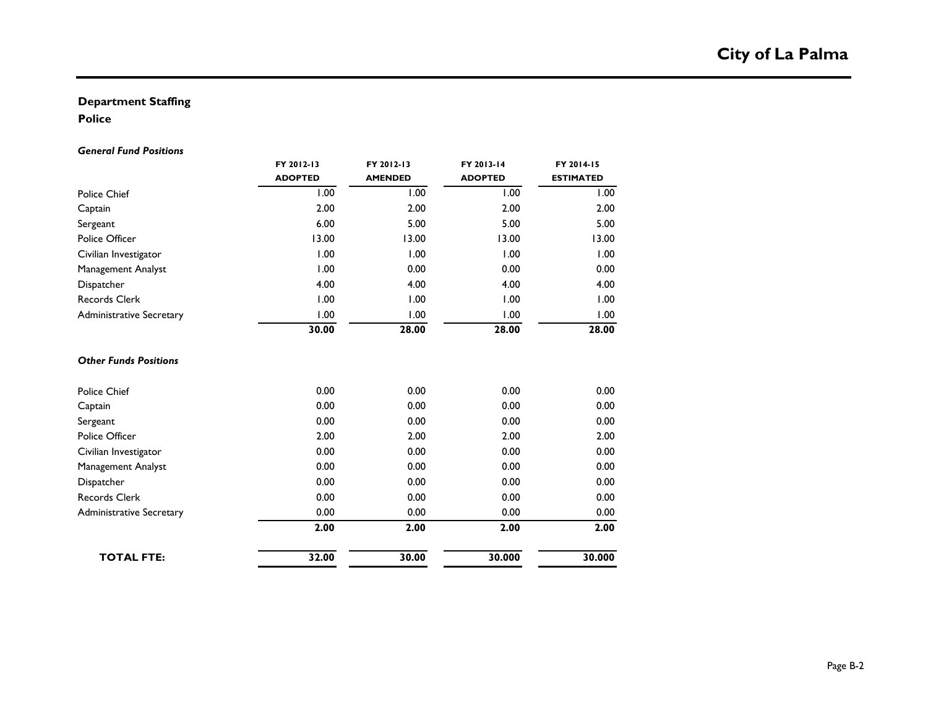### **Department Staffing**

### **Police**

#### *General Fund Positions*

|                                 | FY 2012-13<br><b>ADOPTED</b> | FY 2012-13<br><b>AMENDED</b> | FY 2013-14<br><b>ADOPTED</b> | FY 2014-15<br><b>ESTIMATED</b> |  |
|---------------------------------|------------------------------|------------------------------|------------------------------|--------------------------------|--|
| <b>Police Chief</b>             | 1.00                         | 1.00                         | 1.00                         | 1.00                           |  |
| Captain                         | 2.00                         | 2.00                         | 2.00                         | 2.00                           |  |
| Sergeant                        | 6.00                         | 5.00                         | 5.00                         | 5.00                           |  |
| Police Officer                  | 13.00                        | 13.00                        | 13.00                        | 13.00                          |  |
| Civilian Investigator           | 1.00                         | 1.00                         | 1.00                         | 1.00                           |  |
| Management Analyst              | 1.00                         | 0.00                         | 0.00                         | 0.00                           |  |
| Dispatcher                      | 4.00                         | 4.00                         | 4.00                         | 4.00                           |  |
| <b>Records Clerk</b>            | 1.00                         | 1.00                         | 1.00                         | 1.00                           |  |
| <b>Administrative Secretary</b> | 1.00                         | 1.00                         | 1.00                         | 1.00                           |  |
|                                 | 30.00                        | 28.00                        | 28.00                        | 28.00                          |  |
| <b>Other Funds Positions</b>    |                              |                              |                              |                                |  |
| <b>Police Chief</b>             | 0.00                         | 0.00                         | 0.00                         | 0.00                           |  |
| Captain                         | 0.00                         | 0.00                         | 0.00                         | 0.00                           |  |
| Sergeant                        | 0.00                         | 0.00                         | 0.00                         | 0.00                           |  |
| Police Officer                  | 2.00                         | 2.00                         | 2.00                         | 2.00                           |  |
| Civilian Investigator           | 0.00                         | 0.00                         | 0.00                         | 0.00                           |  |
| <b>Management Analyst</b>       | 0.00                         | 0.00                         | 0.00                         | 0.00                           |  |
| Dispatcher                      | 0.00                         | 0.00                         | 0.00                         | 0.00                           |  |
| Records Clerk                   | 0.00                         | 0.00                         | 0.00                         | 0.00                           |  |
| <b>Administrative Secretary</b> | 0.00                         | 0.00                         | 0.00                         | 0.00                           |  |
|                                 | 2.00                         | 2.00                         | 2.00                         | 2.00                           |  |
| <b>TOTAL FTE:</b>               | 32.00                        | 30.00                        | 30.000                       | 30.000                         |  |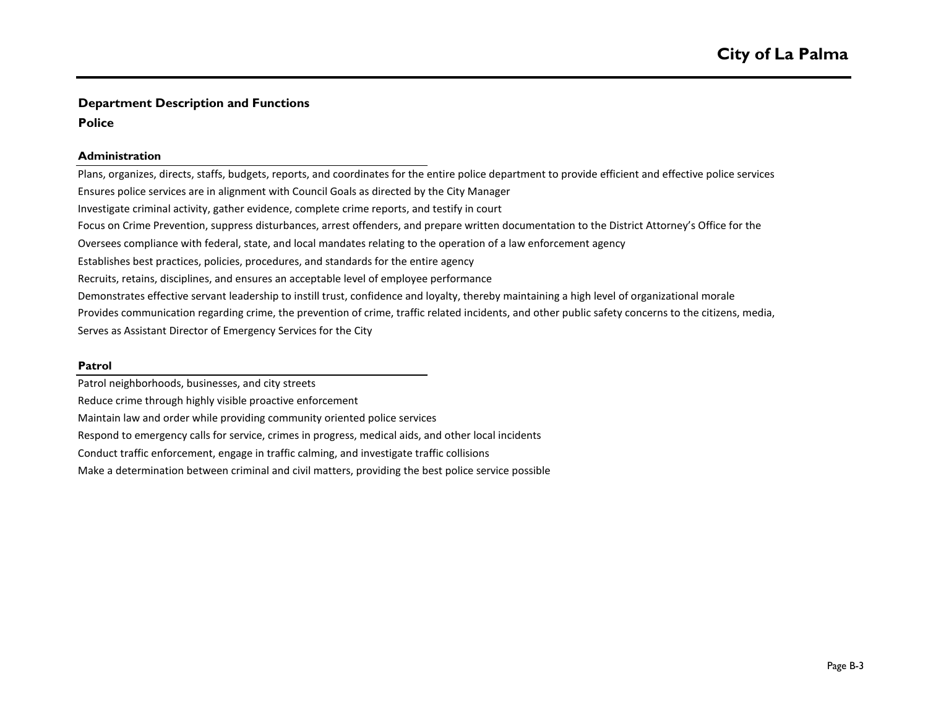### **Department Description and Functions**

#### **Police**

#### **Administration**

Plans, organizes, directs, staffs, budgets, reports, and coordinates for the entire police department to provide efficient and effective police services Ensures police services are in alignment with Council Goals as directed by the City Manager Investigate criminal activity, gather evidence, complete crime reports, and testify in court Oversees compliance with federal, state, and local mandates relating to the operation of a law enforcement agency Establishes best practices, policies, procedures, and standards for the entire agency Recruits, retains, disciplines, and ensures an acceptable level of employee performance Demonstrates effective servant leadership to instill trust, confidence and loyalty, thereby maintaining a high level of organizational morale Serves as Assistant Director of Emergency Services for the City Provides communication regarding crime, the prevention of crime, traffic related incidents, and other public safety concerns to the citizens, media, Focus on Crime Prevention, suppress disturbances, arrest offenders, and prepare written documentation to the District Attorney's Office for the

#### **Patrol**

Patrol neighborhoods, businesses, and city streets

Reduce crime through highly visible proactive enforcement

Maintain law and order while providing community oriented police services

Respond to emergency calls for service, crimes in progress, medical aids, and other local incidents

Conduct traffic enforcement, engage in traffic calming, and investigate traffic collisions

Make a determination between criminal and civil matters, providing the best police service possible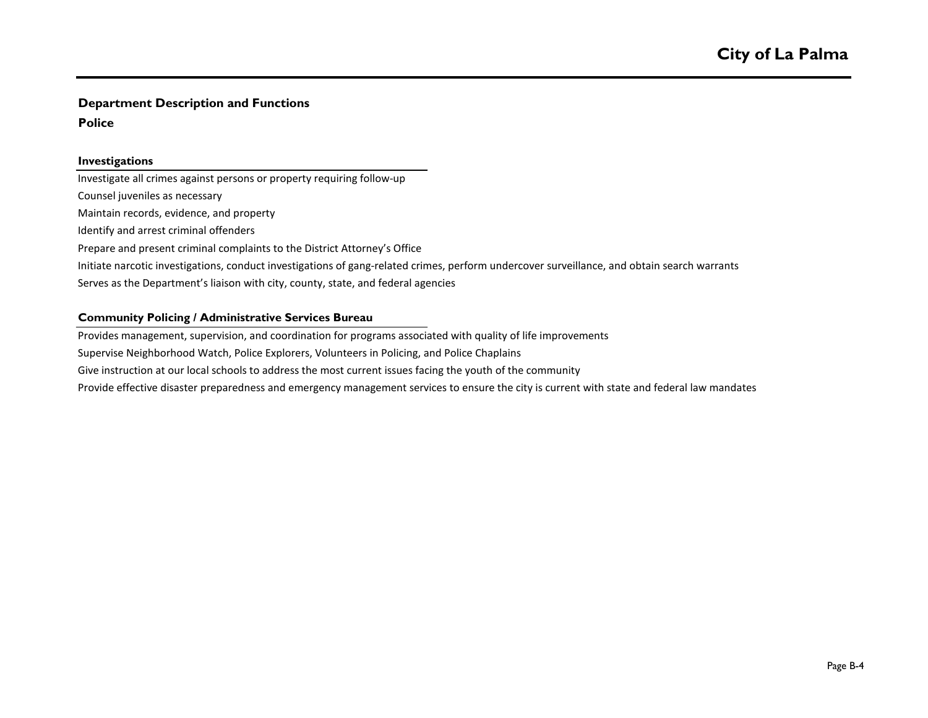## **Department Description and Functions**

#### **Police**

#### **Investigations**

Investigate all crimes against persons or property requiring follow-up Counsel juveniles as necessary Maintain records, evidence, and property Identify and arrest criminal offenders Prepare and present criminal complaints to the District Attorney's Office Initiate narcotic investigations, conduct investigations of gang-related crimes, perform undercover surveillance, and obtain search warrants Serves as the Department's liaison with city, county, state, and federal agencies

#### **Community Policing / Administrative Services Bureau**

Provides management, supervision, and coordination for programs associated with quality of life improvements

Supervise Neighborhood Watch, Police Explorers, Volunteers in Policing, and Police Chaplains

Give instruction at our local schools to address the most current issues facing the youth of the community

Provide effective disaster preparedness and emergency management services to ensure the city is current with state and federal law mandates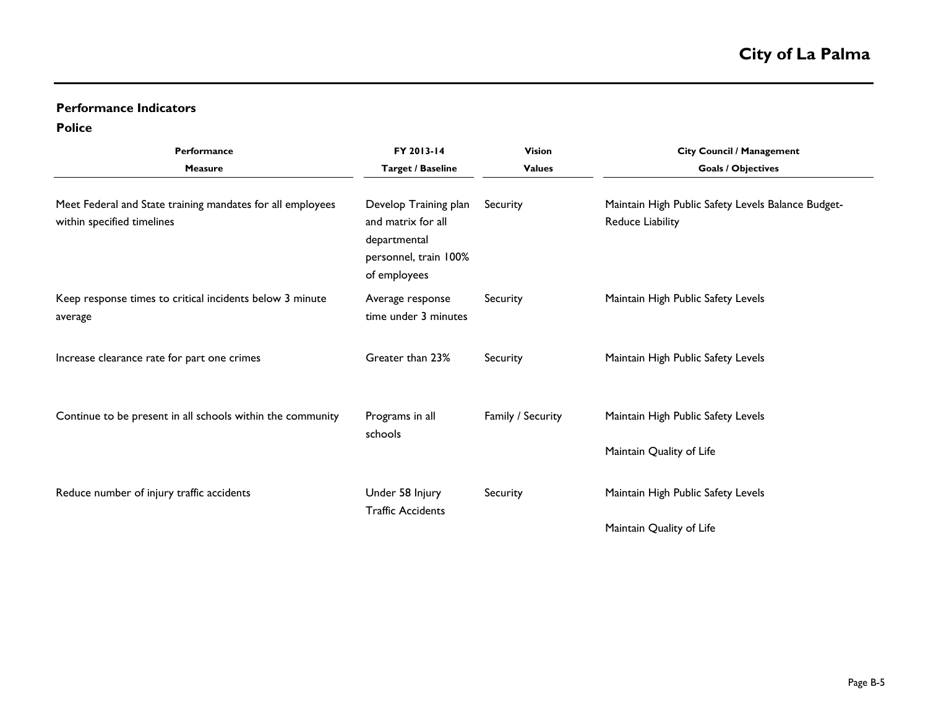## **Performance Indicators**

**Police**

| Performance<br><b>Measure</b>                                                            | FY 2013-14<br><b>Target / Baseline</b>                                                               | <b>Vision</b><br><b>Values</b> | <b>City Council / Management</b><br><b>Goals / Objectives</b>                 |  |  |  |
|------------------------------------------------------------------------------------------|------------------------------------------------------------------------------------------------------|--------------------------------|-------------------------------------------------------------------------------|--|--|--|
| Meet Federal and State training mandates for all employees<br>within specified timelines | Develop Training plan<br>and matrix for all<br>departmental<br>personnel, train 100%<br>of employees | Security                       | Maintain High Public Safety Levels Balance Budget-<br><b>Reduce Liability</b> |  |  |  |
| Keep response times to critical incidents below 3 minute<br>average                      | Average response<br>time under 3 minutes                                                             | Security                       | Maintain High Public Safety Levels                                            |  |  |  |
| Increase clearance rate for part one crimes                                              | Greater than 23%                                                                                     | Security                       | Maintain High Public Safety Levels                                            |  |  |  |
| Continue to be present in all schools within the community                               | Programs in all<br>schools                                                                           | Family / Security              | Maintain High Public Safety Levels                                            |  |  |  |
|                                                                                          |                                                                                                      |                                | Maintain Quality of Life                                                      |  |  |  |
| Reduce number of injury traffic accidents                                                | Under 58 Injury<br><b>Traffic Accidents</b>                                                          | Security                       | Maintain High Public Safety Levels                                            |  |  |  |
|                                                                                          |                                                                                                      |                                | Maintain Quality of Life                                                      |  |  |  |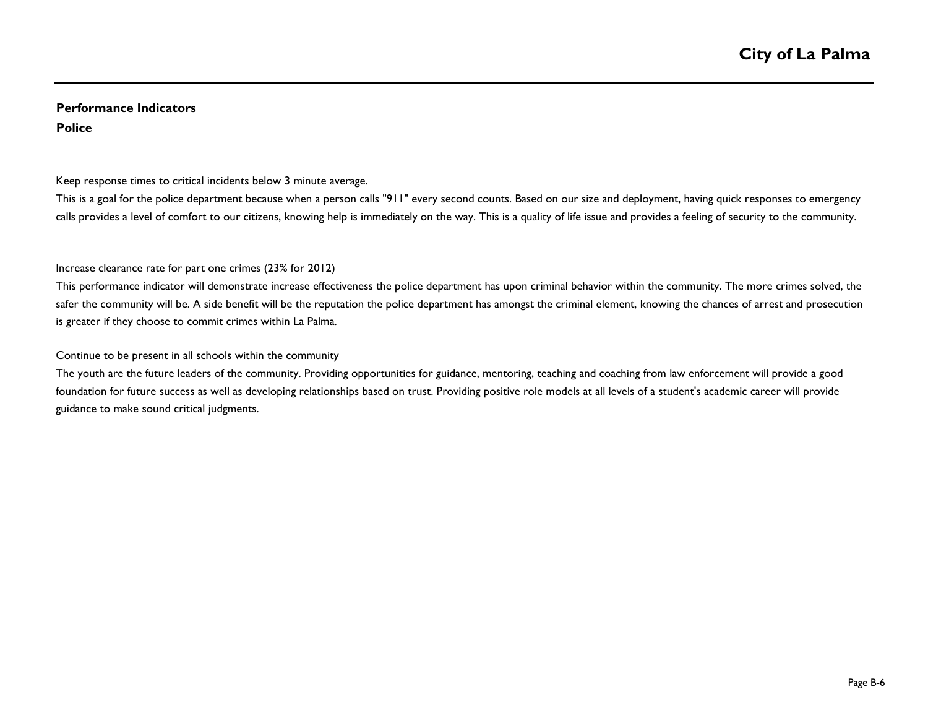### **Performance Indicators Police**

#### Keep response times to critical incidents below 3 minute average.

This is a goal for the police department because when a person calls "911" every second counts. Based on our size and deployment, having quick responses to emergency calls provides a level of comfort to our citizens, knowing help is immediately on the way. This is a quality of life issue and provides a feeling of security to the community.

#### Increase clearance rate for part one crimes (23% for 2012)

This performance indicator will demonstrate increase effectiveness the police department has upon criminal behavior within the community. The more crimes solved, the safer the community will be. A side benefit will be the reputation the police department has amongst the criminal element, knowing the chances of arrest and prosecution is greater if they choose to commit crimes within La Palma.

#### Continue to be present in all schools within the community

The youth are the future leaders of the community. Providing opportunities for guidance, mentoring, teaching and coaching from law enforcement will provide a good foundation for future success as well as developing relationships based on trust. Providing positive role models at all levels of a student's academic career will provide guidance to make sound critical judgments.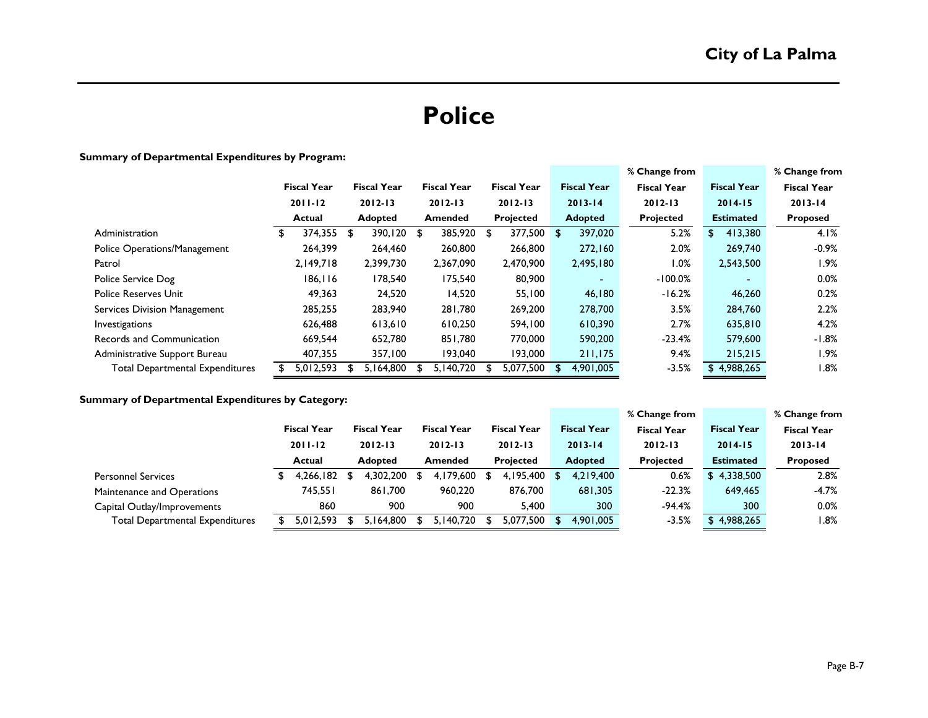# **Police**

#### **Summary of Departmental Expenditures by Program:**

|                                        |                    |                    |  |                    |             |                    |             |                    | % Change from      |                    | % Change from      |
|----------------------------------------|--------------------|--------------------|--|--------------------|-------------|--------------------|-------------|--------------------|--------------------|--------------------|--------------------|
|                                        | <b>Fiscal Year</b> | <b>Fiscal Year</b> |  | <b>Fiscal Year</b> |             | <b>Fiscal Year</b> |             | <b>Fiscal Year</b> | <b>Fiscal Year</b> | <b>Fiscal Year</b> | <b>Fiscal Year</b> |
|                                        | $2011 - 12$        | $2012 - 13$        |  | $2012 - 13$        | $2012 - 13$ |                    | $2013 - 14$ |                    | $2012 - 13$        | $2014 - 15$        | $2013 - 14$        |
|                                        | Actual             | Adopted            |  | <b>Amended</b>     |             | <b>Projected</b>   |             | <b>Adopted</b>     | Projected          | <b>Estimated</b>   | Proposed           |
| Administration                         | \$<br>374,355 \$   | 390,120 \$         |  | 385,920            | - \$        | 377,500            | \$          | 397,020            | 5.2%               | 413,380<br>\$      | 4.1%               |
| Police Operations/Management           | 264,399            | 264,460            |  | 260,800            |             | 266,800            |             | 272,160            | 2.0%               | 269,740            | $-0.9\%$           |
| Patrol                                 | 2,149,718          | 2,399,730          |  | 2,367,090          |             | 2,470,900          |             | 2,495,180          | $1.0\%$            | 2,543,500          | l.9%               |
| Police Service Dog                     | 186, 116           | 178,540            |  | 175,540            |             | 80,900             |             |                    | $-100.0%$          | $\sim$             | $0.0\%$            |
| <b>Police Reserves Unit</b>            | 49,363             | 24,520             |  | 14,520             |             | 55,100             |             | 46,180             | $-16.2%$           | 46,260             | 0.2%               |
| Services Division Management           | 285,255            | 283,940            |  | 281,780            |             | 269,200            |             | 278,700            | 3.5%               | 284,760            | 2.2%               |
| Investigations                         | 626,488            | 613,610            |  | 610,250            |             | 594,100            |             | 610,390            | 2.7%               | 635,810            | 4.2%               |
| Records and Communication              | 669,544            | 652,780            |  | 851,780            |             | 770,000            |             | 590,200            | $-23.4%$           | 579,600            | $-1.8%$            |
| Administrative Support Bureau          | 407,355            | 357,100            |  | 193,040            |             | 193,000            |             | 211,175            | 9.4%               | 215,215            | l.9%               |
| <b>Total Departmental Expenditures</b> | 5,012,593          | 5.164.800          |  | 5.140.720          |             | 5.077.500          | S           | 4,901,005          | $-3.5%$            | \$4,988,265        | 8%، ا              |

#### **Summary of Departmental Expenditures by Category:**

|                                        |                    |  |                    |  |                    |  |                    |  |                    | % Change from      |                    | % Change from      |
|----------------------------------------|--------------------|--|--------------------|--|--------------------|--|--------------------|--|--------------------|--------------------|--------------------|--------------------|
|                                        | <b>Fiscal Year</b> |  | <b>Fiscal Year</b> |  | <b>Fiscal Year</b> |  | <b>Fiscal Year</b> |  | <b>Fiscal Year</b> | <b>Fiscal Year</b> | <b>Fiscal Year</b> | <b>Fiscal Year</b> |
|                                        | $2011 - 12$        |  | $2012 - 13$        |  | $2012 - 13$        |  | $2012 - 13$        |  | $2013 - 14$        | $2012 - 13$        | $2014 - 15$        | $2013 - 14$        |
|                                        | Actual             |  | <b>Adopted</b>     |  | <b>Amended</b>     |  | <b>Projected</b>   |  | <b>Adopted</b>     | <b>Projected</b>   | <b>Estimated</b>   | <b>Proposed</b>    |
| <b>Personnel Services</b>              | 4.266.182          |  | 4.302.200          |  | 4.179.600          |  | 4,195,400          |  | 4,219,400          | 0.6%               | 4,338,500<br>S.    | 2.8%               |
| Maintenance and Operations             | 745,551            |  | 861,700            |  | 960,220            |  | 876,700            |  | 681,305            | $-22.3%$           | 649,465            | $-4.7%$            |
| Capital Outlay/Improvements            | 860                |  | 900                |  | 900                |  | 5.400              |  | 300                | $-94.4%$           | 300                | $0.0\%$            |
| <b>Total Departmental Expenditures</b> | 5,012,593          |  | 164.800 ،          |  | 5.140.720          |  | 5.077.500          |  | 4,901,005          | $-3.5%$            | 4,988,265          | $1.8\%$            |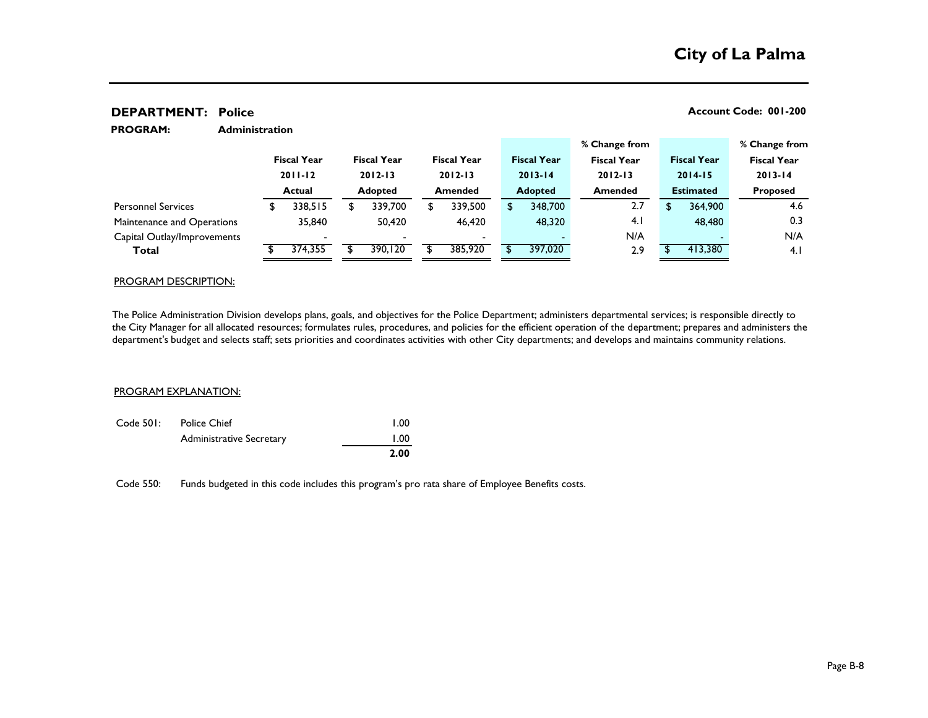#### **Administration % Change from % Change from Fiscal Year Fiscal Year Fiscal Year Fiscal Year Fiscal Year Fiscal Year Fiscal Year 2011-12 2012-13 2012-13 2013-14 2012-13 2014-15 2013-14 Actual Adopted Amended Adopted Amended Estimated Proposed** \$ 338,515 \$ 339,700 \$ 339,500 \$ 348,700 2.7 \$ 364,900 4.6 35,840 50,420 46,420 48,320 4.1 48,480 0.3 - - - - N/A - N/A **Total** 5 374,355 \$ 390,120 \$ 385,920 \$ 397,020 2.9 \$ 413,380 4.1 Personnel Services Maintenance and Operations Capital Outlay/Improvements **PROGRAM:**

**DEPARTMENT:** Police **Account Code: 001-200** 

#### PROGRAM DESCRIPTION:

The Police Administration Division develops plans, goals, and objectives for the Police Department; administers departmental services; is responsible directly to the City Manager for all allocated resources; formulates rules, procedures, and policies for the efficient operation of the department; prepares and administers the department's budget and selects staff; sets priorities and coordinates activities with other City departments; and develops and maintains community relations.

#### PROGRAM EXPLANATION:

|           |                                 | 2.00 |  |  |  |
|-----------|---------------------------------|------|--|--|--|
|           | <b>Administrative Secretary</b> | 1.00 |  |  |  |
| Code 501: | Police Chief                    | 1.00 |  |  |  |

Code 550: Funds budgeted in this code includes this program's pro rata share of Employee Benefits costs.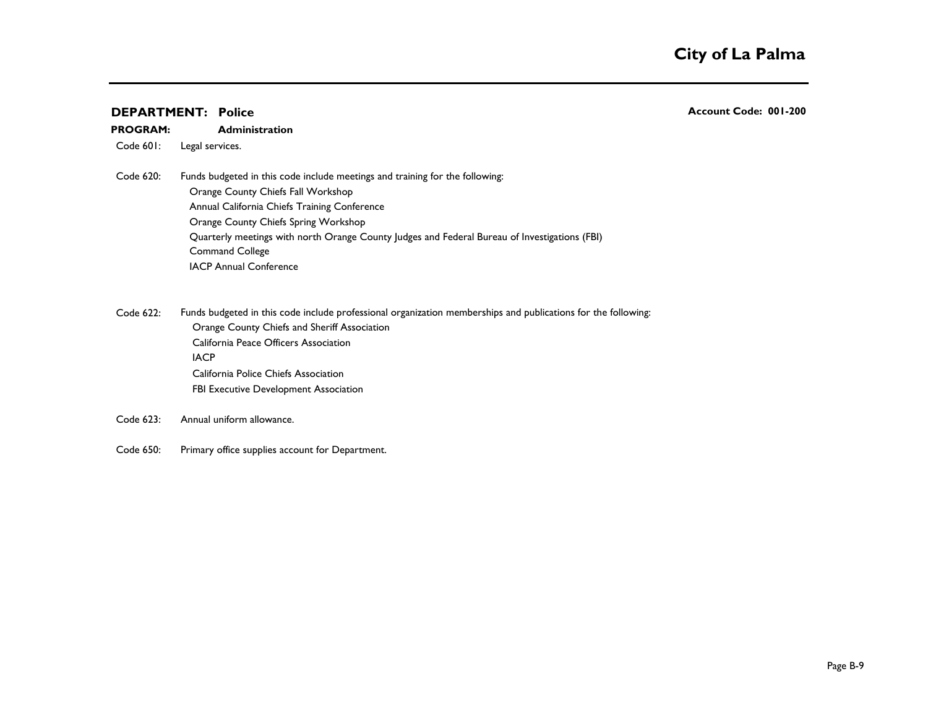#### **Administration PROGRAM:**

Code 601: Legal services.

Code 620: Funds budgeted in this code include meetings and training for the following: Orange County Chiefs Fall Workshop Annual California Chiefs Training Conference Orange County Chiefs Spring Workshop Quarterly meetings with north Orange County Judges and Federal Bureau of Investigations (FBI) Command College IACP Annual Conference

Code 622: Funds budgeted in this code include professional organization memberships and publications for the following: Orange County Chiefs and Sheriff Association California Peace Officers Association IACP **120 and 200 and 200 and 200 and 200 and 200 and 200 and 200 and 200 and 200 and 200 and 200 and 200 and 200 and 200 and 200 and 200 and 200 and 200 and 200 and 200 and 200 and 200 and 200 and 200 and 200 and 200 and** California Police Chiefs Association FBI Executive Development Association

- Code 623: Annual uniform allowance.
- Code 650: Primary office supplies account for Department.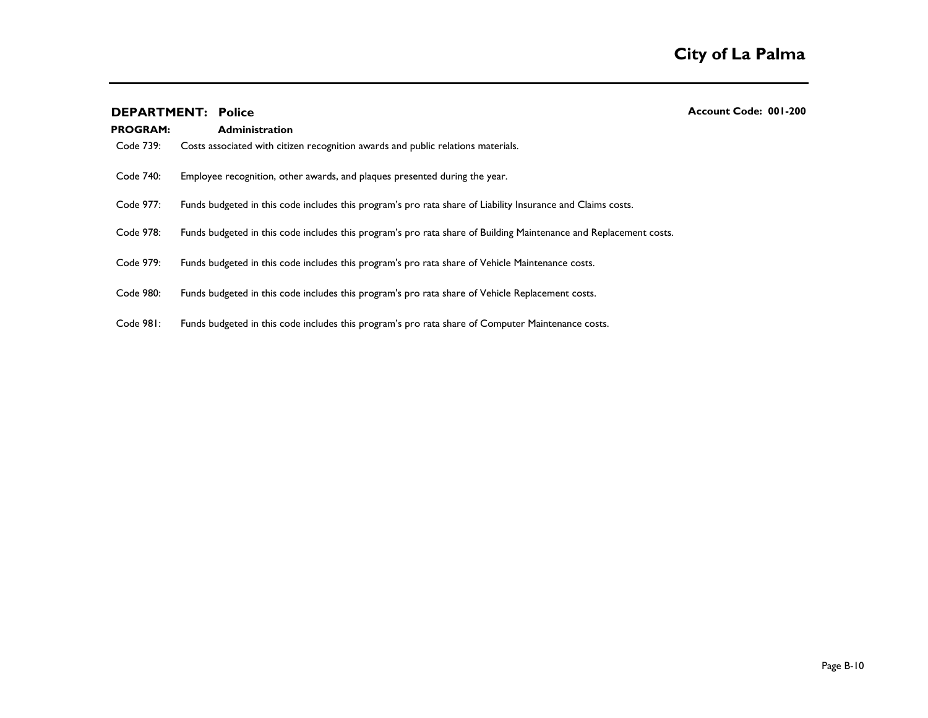| <b>PROGRAM:</b> | <b>Administration</b>                                                                                             |
|-----------------|-------------------------------------------------------------------------------------------------------------------|
| Code 739:       | Costs associated with citizen recognition awards and public relations materials.                                  |
| Code 740:       | Employee recognition, other awards, and plaques presented during the year.                                        |
| Code 977:       | Funds budgeted in this code includes this program's pro rata share of Liability Insurance and Claims costs.       |
| Code 978:       | Funds budgeted in this code includes this program's pro rata share of Building Maintenance and Replacement costs. |
| Code 979:       | Funds budgeted in this code includes this program's pro rata share of Vehicle Maintenance costs.                  |
| Code 980:       | Funds budgeted in this code includes this program's pro rata share of Vehicle Replacement costs.                  |
| Code 981:       | Funds budgeted in this code includes this program's pro rata share of Computer Maintenance costs.                 |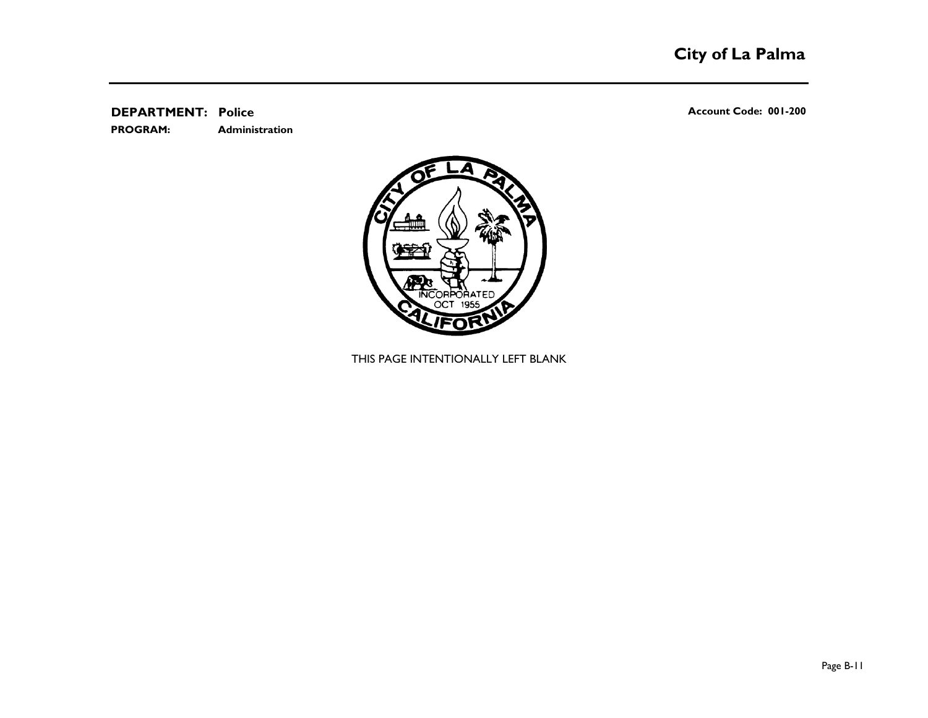**Administration PROGRAM:** 

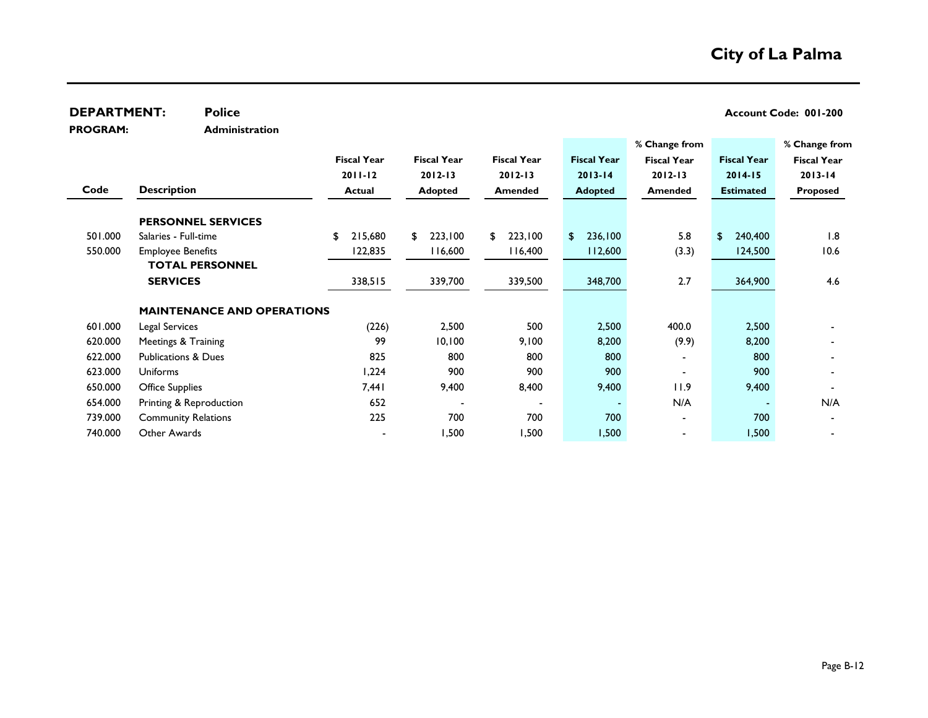| <b>DEPARTMENT:</b> | <b>Police</b>                     |                    |                    |                    |                    |                    |                    | Account Code: 001-200 |
|--------------------|-----------------------------------|--------------------|--------------------|--------------------|--------------------|--------------------|--------------------|-----------------------|
| <b>PROGRAM:</b>    | <b>Administration</b>             |                    |                    |                    |                    |                    |                    |                       |
|                    |                                   |                    |                    |                    |                    | % Change from      |                    | % Change from         |
|                    |                                   | <b>Fiscal Year</b> | <b>Fiscal Year</b> | <b>Fiscal Year</b> | <b>Fiscal Year</b> | <b>Fiscal Year</b> | <b>Fiscal Year</b> | <b>Fiscal Year</b>    |
|                    |                                   | $2011 - 12$        | $2012 - 13$        | $2012 - 13$        | $2013 - 14$        | $2012 - 13$        | $2014 - 15$        | $2013 - 14$           |
| Code               | <b>Description</b>                | <b>Actual</b>      | <b>Adopted</b>     | <b>Amended</b>     | <b>Adopted</b>     | Amended            | <b>Estimated</b>   | <b>Proposed</b>       |
|                    | <b>PERSONNEL SERVICES</b>         |                    |                    |                    |                    |                    |                    |                       |
| 501.000            | Salaries - Full-time              | 215,680<br>\$      | 223,100<br>\$      | 223,100<br>\$      | 236,100<br>S.      | 5.8                | 240,400<br>\$      | 1.8                   |
| 550.000            | <b>Employee Benefits</b>          | 122,835            | 116,600            | 116,400            | 112,600            | (3.3)              | 124,500            | 10.6                  |
|                    | <b>TOTAL PERSONNEL</b>            |                    |                    |                    |                    |                    |                    |                       |
|                    | <b>SERVICES</b>                   | 338,515            | 339,700            | 339,500            | 348,700            | 2.7                | 364,900            | 4.6                   |
|                    | <b>MAINTENANCE AND OPERATIONS</b> |                    |                    |                    |                    |                    |                    |                       |
| 601.000            | Legal Services                    | (226)              | 2,500              | 500                | 2,500              | 400.0              | 2,500              |                       |
| 620.000            | Meetings & Training               | 99                 | 10,100             | 9,100              | 8,200              | (9.9)              | 8,200              |                       |
| 622.000            | <b>Publications &amp; Dues</b>    | 825                | 800                | 800                | 800                |                    | 800                |                       |
| 623.000            | <b>Uniforms</b>                   | 1,224              | 900                | 900                | 900                |                    | 900                |                       |
| 650.000            | <b>Office Supplies</b>            | 7,441              | 9,400              | 8,400              | 9,400              | 11.9               | 9,400              |                       |
| 654.000            | Printing & Reproduction           | 652                |                    |                    |                    | N/A                |                    | N/A                   |
| 739.000            | <b>Community Relations</b>        | 225                | 700                | 700                | 700                |                    | 700                |                       |
| 740.000            | Other Awards                      |                    | 1,500              | 1,500              | 1,500              |                    | 1,500              |                       |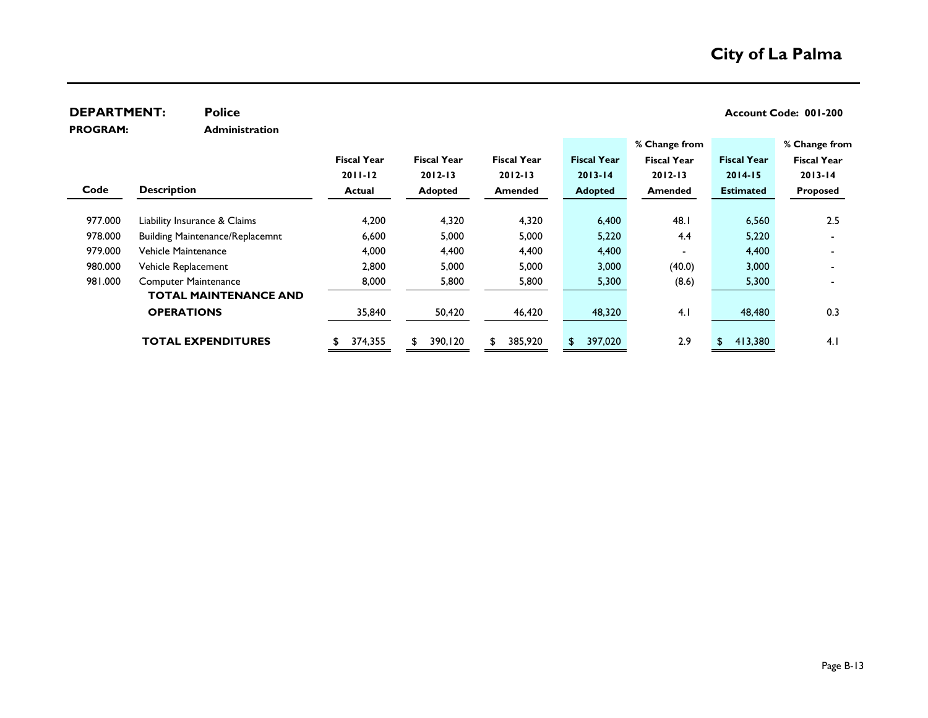| <b>DEPARTMENT:</b> | <b>Police</b>                          |                    |                    |                    |                    |                    |                    | Account Code: 001-200 |
|--------------------|----------------------------------------|--------------------|--------------------|--------------------|--------------------|--------------------|--------------------|-----------------------|
| <b>PROGRAM:</b>    | <b>Administration</b>                  |                    |                    |                    |                    |                    |                    |                       |
|                    |                                        |                    |                    |                    |                    | % Change from      |                    | % Change from         |
|                    |                                        | <b>Fiscal Year</b> | <b>Fiscal Year</b> | <b>Fiscal Year</b> | <b>Fiscal Year</b> | <b>Fiscal Year</b> | <b>Fiscal Year</b> | <b>Fiscal Year</b>    |
|                    |                                        | $2011 - 12$        | $2012 - 13$        | $2012 - 13$        | $2013 - 14$        | $2012 - 13$        | $2014 - 15$        | $2013 - 14$           |
| Code               | <b>Description</b>                     | Actual             | <b>Adopted</b>     | <b>Amended</b>     | <b>Adopted</b>     | <b>Amended</b>     | <b>Estimated</b>   | <b>Proposed</b>       |
|                    |                                        |                    |                    |                    |                    |                    |                    |                       |
| 977.000            | Liability Insurance & Claims           | 4,200              | 4,320              | 4,320              | 6,400              | 48.I               | 6,560              | 2.5                   |
| 978.000            | <b>Building Maintenance/Replacemnt</b> | 6,600              | 5,000              | 5,000              | 5,220              | 4.4                | 5,220              |                       |
| 979.000            | Vehicle Maintenance                    | 4,000              | 4,400              | 4,400              | 4,400              |                    | 4,400              |                       |
| 980.000            | Vehicle Replacement                    | 2,800              | 5,000              | 5,000              | 3,000              | (40.0)             | 3,000              |                       |
| 981.000            | <b>Computer Maintenance</b>            | 8,000              | 5,800              | 5,800              | 5,300              | (8.6)              | 5,300              |                       |
|                    | <b>TOTAL MAINTENANCE AND</b>           |                    |                    |                    |                    |                    |                    |                       |
|                    | <b>OPERATIONS</b>                      | 35,840             | 50,420             | 46,420             | 48,320             | 4.1                | 48,480             | 0.3                   |
|                    |                                        |                    |                    |                    |                    |                    |                    |                       |
|                    | <b>TOTAL EXPENDITURES</b>              | 374,355            | 390,120<br>S.      | 385,920            | 397,020            | 2.9                | 413,380<br>S.      | 4.1                   |
|                    |                                        |                    |                    |                    |                    |                    |                    |                       |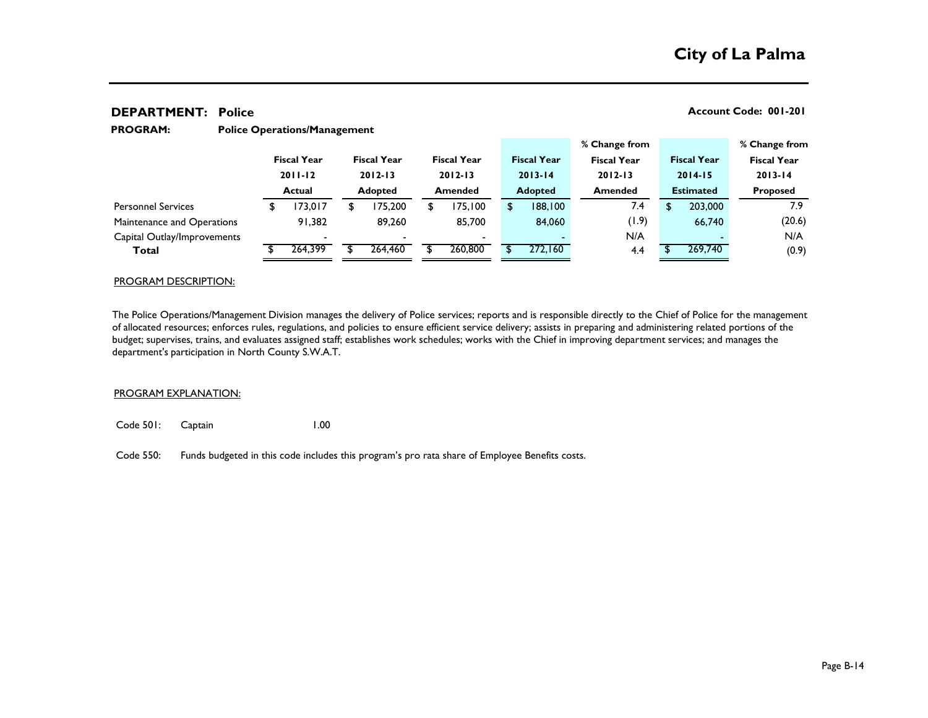#### **Police Operations/Management PROGRAM:**

|               |         |                    |                          |                    |         |                    |         |                                                     |       |                                     |         |                    | % Change from      |
|---------------|---------|--------------------|--------------------------|--------------------|---------|--------------------|---------|-----------------------------------------------------|-------|-------------------------------------|---------|--------------------|--------------------|
|               |         |                    |                          |                    |         |                    |         |                                                     |       |                                     |         |                    | <b>Fiscal Year</b> |
| $2011 - 12$   |         | $2012 - 13$        |                          | $2012 - 13$        |         |                    |         | $2012 - 13$                                         |       | $2014 - 15$                         |         | $2013 - 14$        |                    |
| <b>Actual</b> |         | <b>Adopted</b>     |                          | <b>Amended</b>     |         |                    |         | <b>Amended</b>                                      |       | <b>Estimated</b>                    |         | <b>Proposed</b>    |                    |
|               | 173,017 |                    | 75,200                   | S                  | 175,100 |                    | 188,100 |                                                     | 7.4   |                                     | 203,000 |                    | 7.9                |
|               | 91,382  |                    | 89,260                   |                    | 85,700  |                    | 84,060  |                                                     | (1.9) |                                     | 66,740  |                    | (20.6)             |
|               |         |                    | $\overline{\phantom{0}}$ |                    | $\sim$  |                    |         |                                                     | N/A   |                                     |         |                    | N/A                |
|               | 264,399 |                    | 264,460                  |                    | 260,800 |                    | 272,160 |                                                     | 4.4   |                                     | 269,740 |                    | (0.9)              |
|               |         | <b>Fiscal Year</b> |                          | <b>Fiscal Year</b> |         | <b>Fiscal Year</b> |         | <b>Fiscal Year</b><br>$2013 - 14$<br><b>Adopted</b> |       | % Change from<br><b>Fiscal Year</b> |         | <b>Fiscal Year</b> |                    |

#### PROGRAM DESCRIPTION:

The Police Operations/Management Division manages the delivery of Police services; reports and is responsible directly to the Chief of Police for the management of allocated resources; enforces rules, regulations, and policies to ensure efficient service delivery; assists in preparing and administering related portions of the budget; supervises, trains, and evaluates assigned staff; establishes work schedules; works with the Chief in improving department services; and manages the department's participation in North County S.W.A.T.

#### PROGRAM EXPLANATION:

Code 501: Captain 1.00

Code 550: Funds budgeted in this code includes this program's pro rata share of Employee Benefits costs.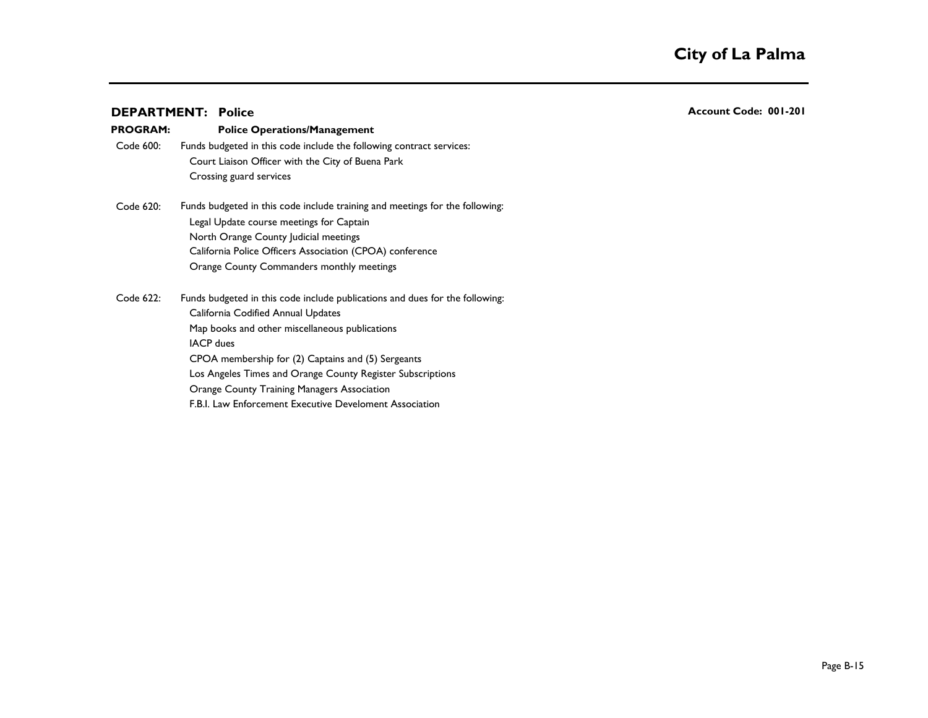| <b>DEPARTMENT: Police</b> |  |
|---------------------------|--|
|---------------------------|--|

| <b>PROGRAM:</b> | <b>Police Operations/Management</b>                                          |
|-----------------|------------------------------------------------------------------------------|
| Code 600:       | Funds budgeted in this code include the following contract services:         |
|                 | Court Liaison Officer with the City of Buena Park                            |
|                 | Crossing guard services                                                      |
| Code 620:       | Funds budgeted in this code include training and meetings for the following: |
|                 | Legal Update course meetings for Captain                                     |
|                 | North Orange County Judicial meetings                                        |
|                 | California Police Officers Association (CPOA) conference                     |
|                 | Orange County Commanders monthly meetings                                    |
| Code 622:       | Funds budgeted in this code include publications and dues for the following: |
|                 | California Codified Annual Updates                                           |
|                 | Map books and other miscellaneous publications                               |
|                 | <b>IACP</b> dues                                                             |
|                 | CPOA membership for (2) Captains and (5) Sergeants                           |
|                 | Los Angeles Times and Orange County Register Subscriptions                   |
|                 | <b>Orange County Training Managers Association</b>                           |
|                 | F.B.I. Law Enforcement Executive Develoment Association                      |

**DEPARTMENT: Account Code: 001-201**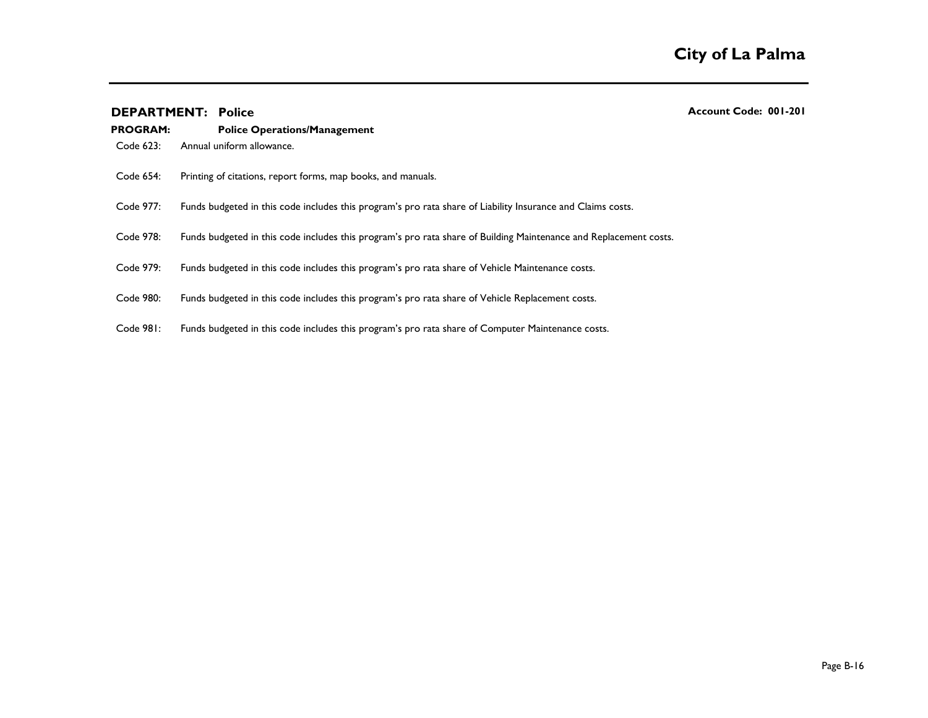| <b>PROGRAM:</b> | <b>Police Operations/Management</b>                                                                               |
|-----------------|-------------------------------------------------------------------------------------------------------------------|
| Code 623:       | Annual uniform allowance.                                                                                         |
| Code 654:       | Printing of citations, report forms, map books, and manuals.                                                      |
| Code 977:       | Funds budgeted in this code includes this program's pro rata share of Liability Insurance and Claims costs.       |
| Code 978:       | Funds budgeted in this code includes this program's pro rata share of Building Maintenance and Replacement costs. |
| Code 979:       | Funds budgeted in this code includes this program's pro rata share of Vehicle Maintenance costs.                  |
| Code 980:       | Funds budgeted in this code includes this program's pro rata share of Vehicle Replacement costs.                  |
| Code 981:       | Funds budgeted in this code includes this program's pro rata share of Computer Maintenance costs.                 |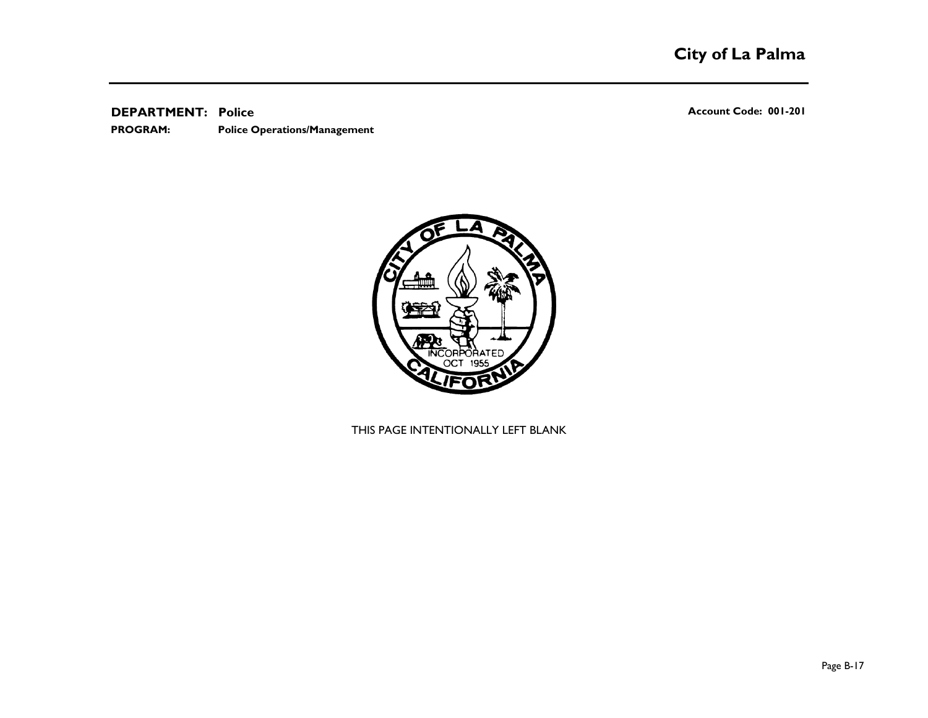**Police Operations/Management PROGRAM:** 

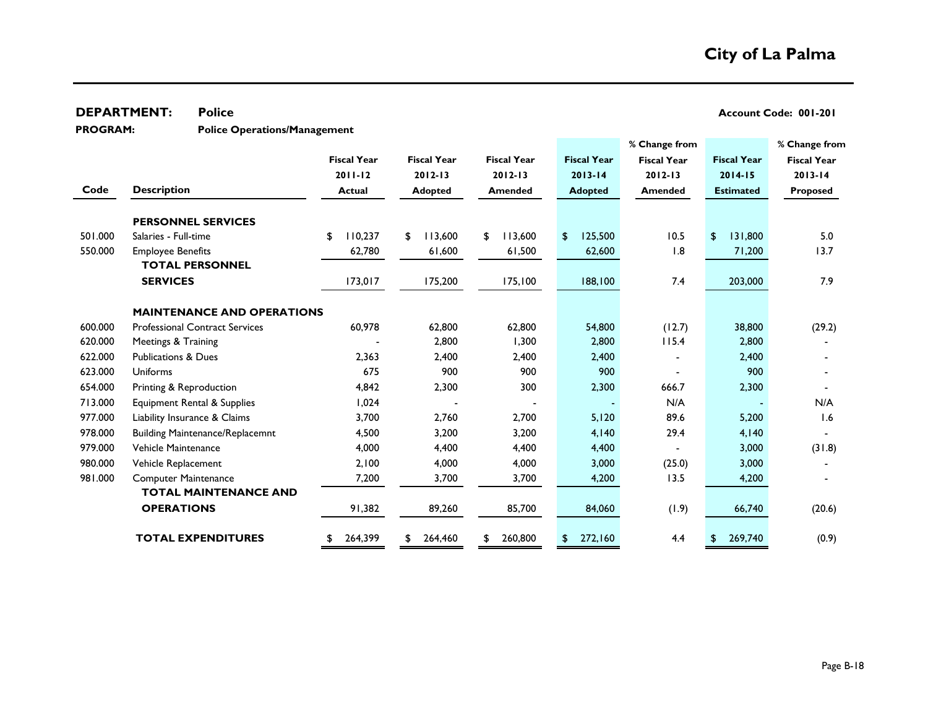**Police Operations/Management PROGRAM:** 

|         |                                        |                    |                    |                    |                    | % Change from      |                    | % Change from      |
|---------|----------------------------------------|--------------------|--------------------|--------------------|--------------------|--------------------|--------------------|--------------------|
|         |                                        | <b>Fiscal Year</b> | <b>Fiscal Year</b> | <b>Fiscal Year</b> | <b>Fiscal Year</b> | <b>Fiscal Year</b> | <b>Fiscal Year</b> | <b>Fiscal Year</b> |
|         |                                        | $2011 - 12$        | $2012 - 13$        | $2012 - 13$        | $2013 - 14$        | $2012 - 13$        | $2014 - 15$        | $2013 - 14$        |
| Code    | <b>Description</b>                     | <b>Actual</b>      | <b>Adopted</b>     | <b>Amended</b>     | <b>Adopted</b>     | <b>Amended</b>     | <b>Estimated</b>   | <b>Proposed</b>    |
|         |                                        |                    |                    |                    |                    |                    |                    |                    |
|         | <b>PERSONNEL SERVICES</b>              |                    |                    |                    |                    |                    |                    |                    |
| 501.000 | Salaries - Full-time                   | 110,237<br>\$      | 113,600<br>£.      | 113,600<br>\$      | 125,500<br>\$      | 10.5               | 131,800<br>\$      | 5.0                |
| 550.000 | <b>Employee Benefits</b>               | 62,780             | 61,600             | 61,500             | 62,600             | 1.8                | 71,200             | 13.7               |
|         | <b>TOTAL PERSONNEL</b>                 |                    |                    |                    |                    |                    |                    |                    |
|         | <b>SERVICES</b>                        | 173,017            | 175,200            | 175, 100           | 188,100            | 7.4                | 203,000            | 7.9                |
|         |                                        |                    |                    |                    |                    |                    |                    |                    |
|         | <b>MAINTENANCE AND OPERATIONS</b>      |                    |                    |                    |                    |                    |                    |                    |
| 600.000 | <b>Professional Contract Services</b>  | 60,978             | 62,800             | 62,800             | 54,800             | (12.7)             | 38,800             | (29.2)             |
| 620.000 | Meetings & Training                    |                    | 2,800              | 1,300              | 2,800              | 115.4              | 2,800              |                    |
| 622.000 | <b>Publications &amp; Dues</b>         | 2,363              | 2,400              | 2,400              | 2,400              |                    | 2,400              |                    |
| 623.000 | Uniforms                               | 675                | 900                | 900                | 900                |                    | 900                |                    |
| 654.000 | Printing & Reproduction                | 4,842              | 2,300              | 300                | 2,300              | 666.7              | 2,300              |                    |
| 713.000 | Equipment Rental & Supplies            | 1,024              |                    |                    |                    | N/A                |                    | N/A                |
| 977.000 | Liability Insurance & Claims           | 3,700              | 2,760              | 2,700              | 5,120              | 89.6               | 5,200              | 1.6                |
| 978.000 | <b>Building Maintenance/Replacemnt</b> | 4,500              | 3,200              | 3,200              | 4,140              | 29.4               | 4,140              |                    |
| 979.000 | Vehicle Maintenance                    | 4,000              | 4,400              | 4,400              | 4,400              |                    | 3,000              | (31.8)             |
| 980.000 | Vehicle Replacement                    | 2,100              | 4,000              | 4,000              | 3,000              | (25.0)             | 3,000              |                    |
| 981.000 | <b>Computer Maintenance</b>            | 7,200              | 3,700              | 3,700              | 4,200              | 13.5               | 4,200              |                    |
|         | <b>TOTAL MAINTENANCE AND</b>           |                    |                    |                    |                    |                    |                    |                    |
|         | <b>OPERATIONS</b>                      | 91,382             | 89,260             | 85,700             | 84,060             | (1.9)              | 66,740             | (20.6)             |
|         | <b>TOTAL EXPENDITURES</b>              | 264,399<br>\$      | 264,460<br>\$      | 260,800<br>\$      | 272,160<br>\$      | 4.4                | 269,740<br>\$      | (0.9)              |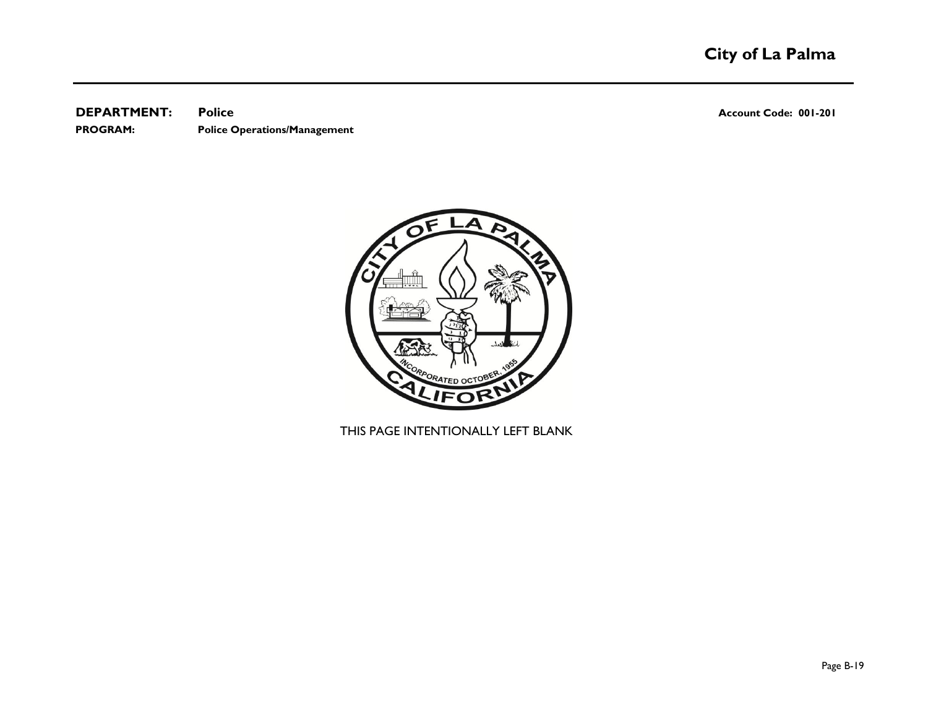**DEPARTMENT:** Police **CONSUMPTION Police Police Account Code: 001-201 PROGRAM: Police Operations/Management**

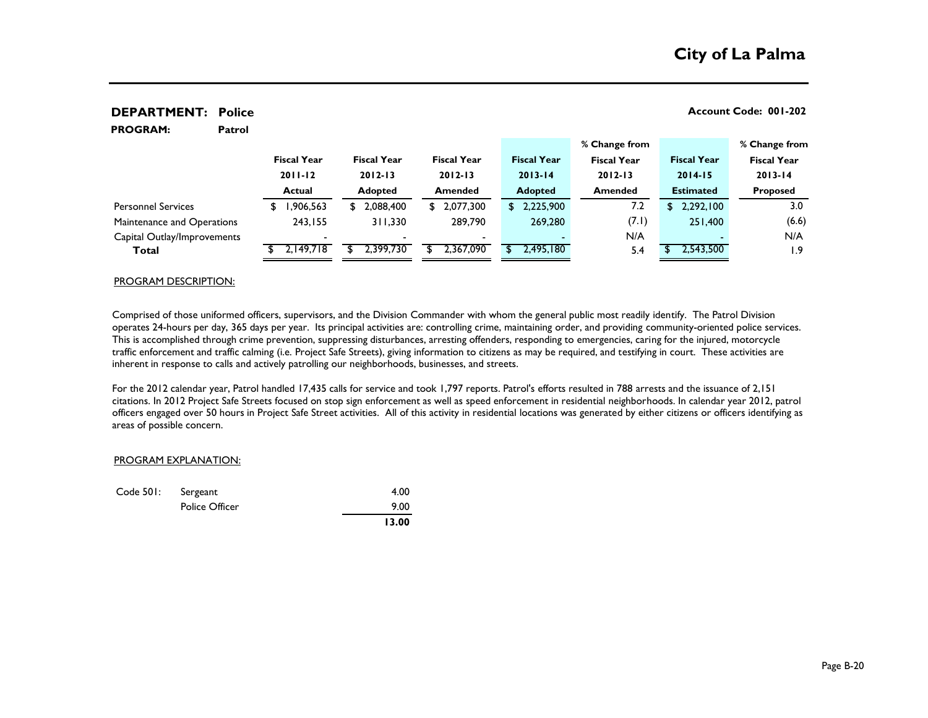| <b>PROGRAM:</b>             | Patrol |                    |                    |                    |                    |                    |                    |                    |
|-----------------------------|--------|--------------------|--------------------|--------------------|--------------------|--------------------|--------------------|--------------------|
|                             |        |                    |                    |                    |                    | % Change from      |                    | % Change from      |
|                             |        | <b>Fiscal Year</b> | <b>Fiscal Year</b> | <b>Fiscal Year</b> | <b>Fiscal Year</b> | <b>Fiscal Year</b> | <b>Fiscal Year</b> | <b>Fiscal Year</b> |
|                             |        | $2011 - 12$        | $2012 - 13$        | $2012 - 13$        | $2013 - 14$        | $2012 - 13$        | $2014 - 15$        | $2013 - 14$        |
|                             |        | <b>Actual</b>      | <b>Adopted</b>     | <b>Amended</b>     | <b>Adopted</b>     | <b>Amended</b>     | <b>Estimated</b>   | <b>Proposed</b>    |
| <b>Personnel Services</b>   |        | ,906,563<br>\$     | 2,088,400<br>\$    | \$2,077,300        | \$2,225,900        | 7.2                | 2,292,100<br>\$    | 3.0                |
| Maintenance and Operations  |        | 243,155            | 311,330            | 289,790            | 269,280            | (7.1)              | 251,400            | (6.6)              |
| Capital Outlay/Improvements |        |                    |                    |                    |                    | N/A                |                    | N/A                |
| Total                       |        | 2,149,718          | 2,399,730          | 2,367,090          | 2,495,180          | 5.4                | 2,543,500          | 1.9                |
|                             |        |                    |                    |                    |                    |                    |                    |                    |

#### PROGRAM DESCRIPTION:

Comprised of those uniformed officers, supervisors, and the Division Commander with whom the general public most readily identify. The Patrol Division operates 24-hours per day, 365 days per year. Its principal activities are: controlling crime, maintaining order, and providing community-oriented police services. This is accomplished through crime prevention, suppressing disturbances, arresting offenders, responding to emergencies, caring for the injured, motorcycle traffic enforcement and traffic calming (i.e. Project Safe Streets), giving information to citizens as may be required, and testifying in court. These activities are inherent in response to calls and actively patrolling our neighborhoods, businesses, and streets.

For the 2012 calendar year, Patrol handled 17,435 calls for service and took 1,797 reports. Patrol's efforts resulted in 788 arrests and the issuance of 2,151 citations. In 2012 Project Safe Streets focused on stop sign enforcement as well as speed enforcement in residential neighborhoods. In calendar year 2012, patrol officers engaged over 50 hours in Project Safe Street activities. All of this activity in residential locations was generated by either citizens or officers identifying as areas of possible concern.

#### PROGRAM EXPLANATION:

| Code 501: Sergeant |                       | 4.00  |
|--------------------|-----------------------|-------|
|                    | <b>Police Officer</b> | 9.00  |
|                    |                       | 13.00 |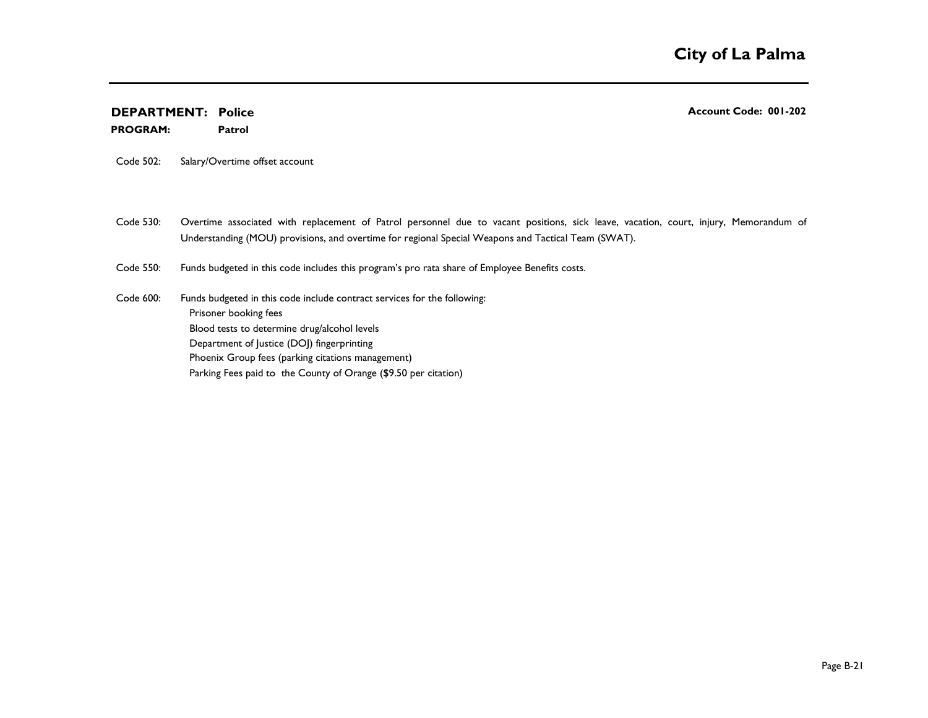**Patrol PROGRAM:** 

Code 502: Salary/Overtime offset account

Code 530: Overtime associated with replacement of Patrol personnel due to vacant positions, sick leave, vacation, court, injury, Memorandum of Understanding (MOU) provisions, and overtime for regional Special Weapons and Tactical Team (SWAT).

Code 550: Funds budgeted in this code includes this program's pro rata share of Employee Benefits costs.

Code 600: Prisoner booking fees Blood tests to determine drug/alcohol levels Department of Justice (DOJ) fingerprinting Phoenix Group fees (parking citations management) Parking Fees paid to the County of Orange (\$9.50 per citation) Funds budgeted in this code include contract services for the following: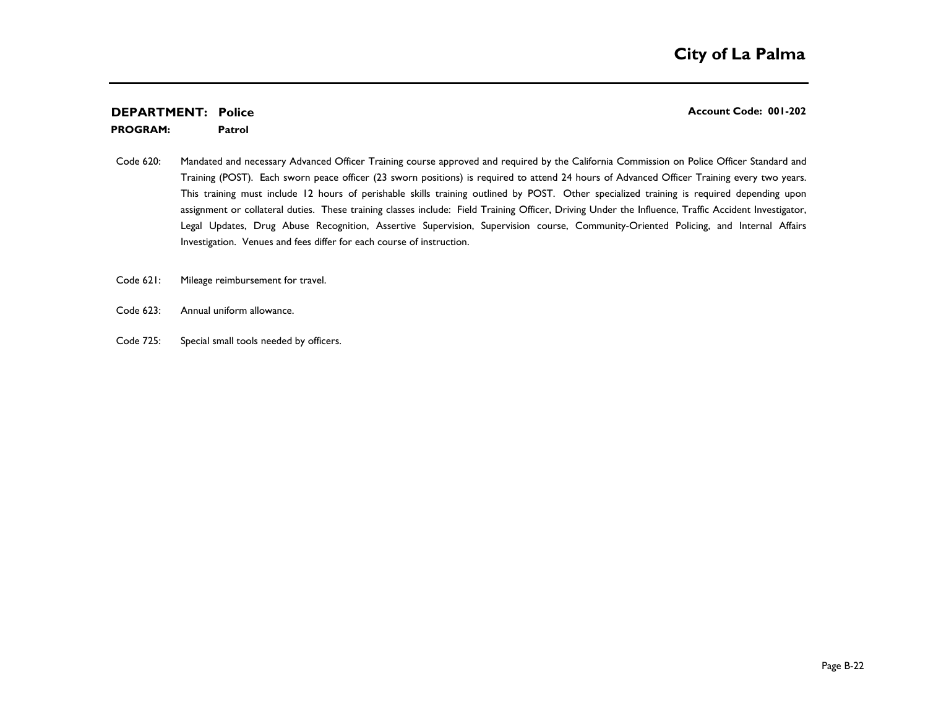**Patrol PROGRAM:** 

- Code 620: Mandated and necessary Advanced Officer Training course approved and required by the California Commission on Police Officer Standard and Training (POST). Each sworn peace officer (23 sworn positions) is required to attend 24 hours of Advanced Officer Training every two years. This training must include 12 hours of perishable skills training outlined by POST. Other specialized training is required depending upon assignment or collateral duties. These training classes include: Field Training Officer, Driving Under the Influence, Traffic Accident Investigator, Legal Updates, Drug Abuse Recognition, Assertive Supervision, Supervision course, Community-Oriented Policing, and Internal Affairs Investigation. Venues and fees differ for each course of instruction.
- Code 621: Mileage reimbursement for travel.
- Code 623: Annual uniform allowance.
- Code 725: Special small tools needed by officers.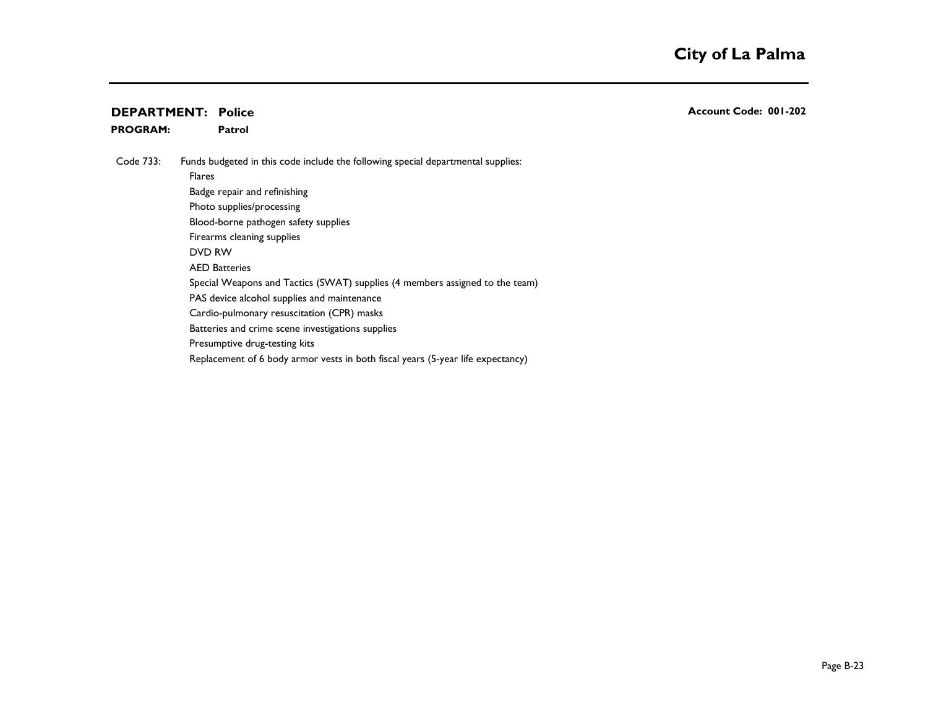**Patrol PROGRAM:** 

Code 733: Flares **Executive Community Community Community Community Community Community Community** Community Community Community Community Community Community Community Community Community Community Community Community Community Com Funds budgeted in this code include the following special departmental supplies:

Badge repair and refinishing Photo supplies/processing

Blood-borne pathogen safety supplies

Firearms cleaning supplies

DVD RW 200 PM 200 PM 200 PM 200 PM 200 PM 200 PM 200 PM 200 PM 200 PM 200 PM 200 PM 200 PM 200 PM 200 PM 200 PM 200 PM 200 PM 200 PM 200 PM 200 PM 200 PM 200 PM 200 PM 200 PM 200 PM 200 PM 200 PM 200 PM 200 PM 200 PM 200 P

**AED Batteries** 

Special Weapons and Tactics (SWAT) supplies (4 members assigned to the team)

PAS device alcohol supplies and maintenance

Cardio-pulmonary resuscitation (CPR) masks

Batteries and crime scene investigations supplies

Presumptive drug-testing kits

Replacement of 6 body armor vests in both fiscal years (5-year life expectancy)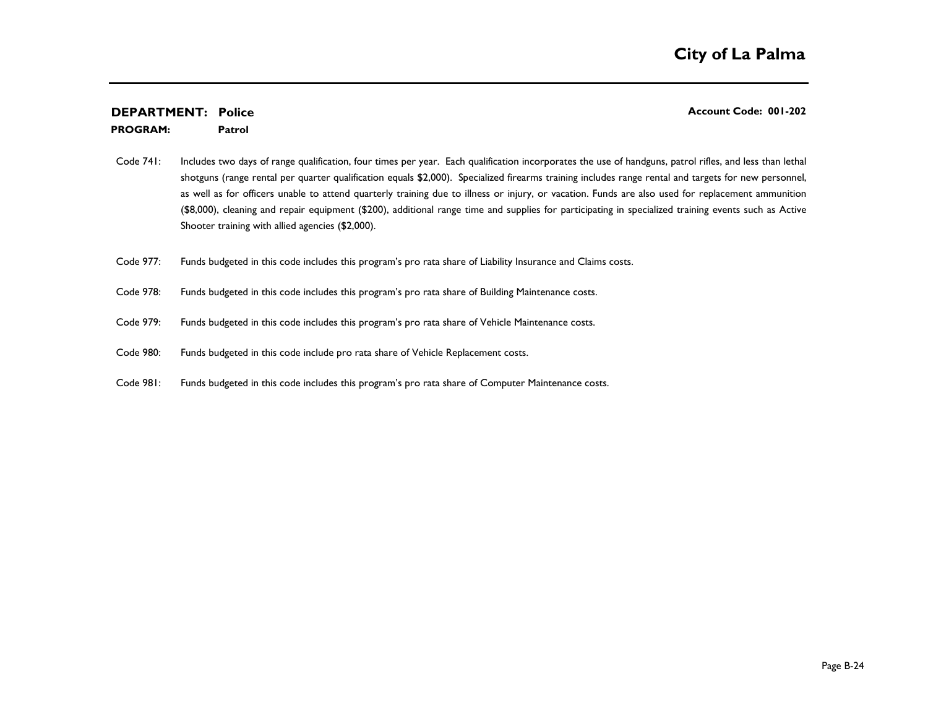#### **Patrol PROGRAM:**

- Code 741: Includes two days of range qualification, four times per year. Each qualification incorporates the use of handguns, patrol rifles, and less than lethal shotguns (range rental per quarter qualification equals \$2,000). Specialized firearms training includes range rental and targets for new personnel, as well as for officers unable to attend quarterly training due to illness or injury, or vacation. Funds are also used for replacement ammunition (\$8,000), cleaning and repair equipment (\$200), additional range time and supplies for participating in specialized training events such as Active Shooter training with allied agencies (\$2,000).
- Code 977: Funds budgeted in this code includes this program's pro rata share of Liability Insurance and Claims costs.
- Code 978: Funds budgeted in this code includes this program's pro rata share of Building Maintenance costs.
- Code 979: Funds budgeted in this code includes this program's pro rata share of Vehicle Maintenance costs.
- Code 980: Funds budgeted in this code include pro rata share of Vehicle Replacement costs.
- Code 981: Funds budgeted in this code includes this program's pro rata share of Computer Maintenance costs.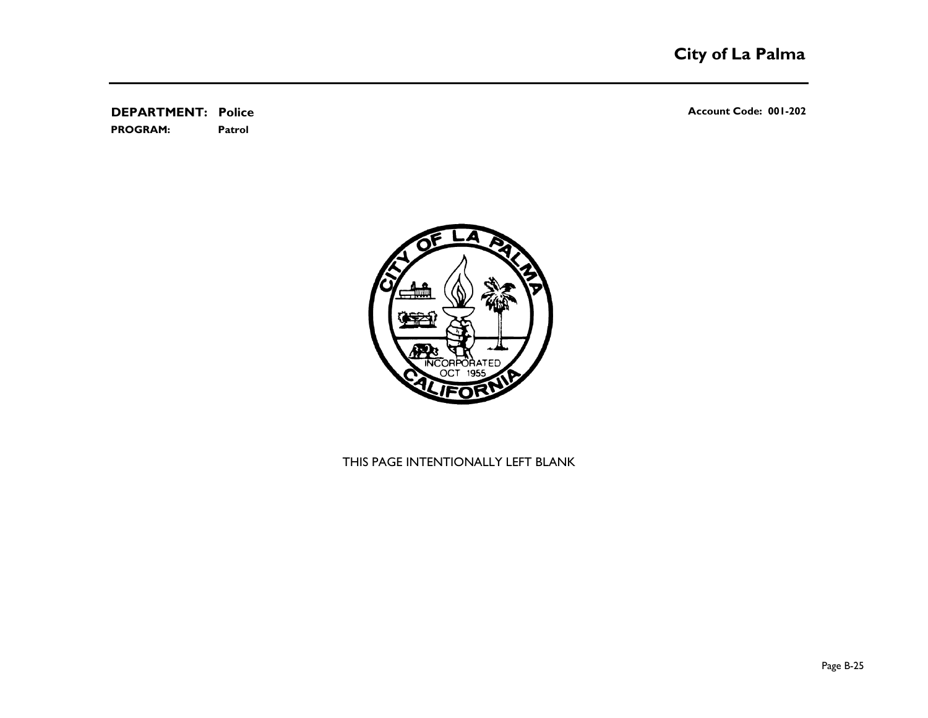**DEPARTMENT:** Police **Account Code: 001-202 Patrol PROGRAM:** 

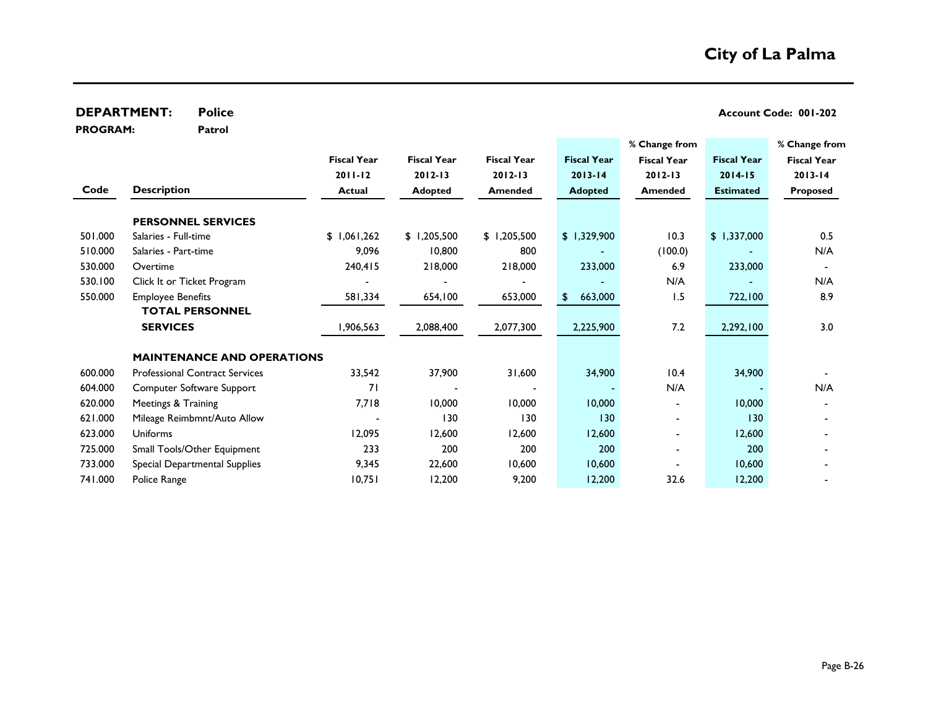|                 | <b>DEPARTMENT:</b><br><b>Police</b>   |                    |                    |                    |                    |                    |                    | Account Code: 001-202 |
|-----------------|---------------------------------------|--------------------|--------------------|--------------------|--------------------|--------------------|--------------------|-----------------------|
| <b>PROGRAM:</b> | Patrol                                |                    |                    |                    |                    | % Change from      |                    | % Change from         |
|                 |                                       | <b>Fiscal Year</b> | <b>Fiscal Year</b> | <b>Fiscal Year</b> | <b>Fiscal Year</b> | <b>Fiscal Year</b> | <b>Fiscal Year</b> | <b>Fiscal Year</b>    |
|                 |                                       | $2011 - 12$        | $2012 - 13$        | $2012 - 13$        | $2013 - 14$        | $2012 - 13$        | $2014 - 15$        | $2013 - 14$           |
| Code            | <b>Description</b>                    | <b>Actual</b>      | <b>Adopted</b>     | <b>Amended</b>     | <b>Adopted</b>     | Amended            | <b>Estimated</b>   | <b>Proposed</b>       |
|                 | <b>PERSONNEL SERVICES</b>             |                    |                    |                    |                    |                    |                    |                       |
| 501.000         | Salaries - Full-time                  | \$1,061,262        | \$1,205,500        | \$1,205,500        | \$1,329,900        | 10.3               | \$1,337,000        | 0.5                   |
| 510.000         | Salaries - Part-time                  | 9,096              | 10,800             | 800                |                    | (100.0)            |                    | N/A                   |
| 530.000         | Overtime                              | 240,415            | 218,000            | 218,000            | 233,000            | 6.9                | 233,000            |                       |
| 530.100         | Click It or Ticket Program            |                    |                    |                    |                    | N/A                |                    | N/A                   |
| 550.000         | <b>Employee Benefits</b>              | 581,334            | 654,100            | 653,000            | 663,000<br>\$.     | 1.5                | 722,100            | 8.9                   |
|                 | <b>TOTAL PERSONNEL</b>                |                    |                    |                    |                    |                    |                    |                       |
|                 | <b>SERVICES</b>                       | 1,906,563          | 2,088,400          | 2,077,300          | 2,225,900          | 7.2                | 2,292,100          | 3.0                   |
|                 | <b>MAINTENANCE AND OPERATIONS</b>     |                    |                    |                    |                    |                    |                    |                       |
| 600.000         | <b>Professional Contract Services</b> | 33,542             | 37,900             | 31,600             | 34,900             | 10.4               | 34,900             |                       |
| 604.000         | <b>Computer Software Support</b>      | 71                 |                    |                    |                    | N/A                |                    | N/A                   |
| 620.000         | Meetings & Training                   | 7,718              | 10,000             | 10,000             | 10,000             |                    | 10,000             |                       |
| 621.000         | Mileage Reimbmnt/Auto Allow           |                    | 130                | 130                | 130                |                    | 130                |                       |
| 623.000         | Uniforms                              | 12,095             | 12,600             | 12,600             | 12,600             |                    | 12,600             |                       |
| 725.000         | Small Tools/Other Equipment           | 233                | 200                | 200                | 200                | $\blacksquare$     | 200                |                       |
| 733.000         | Special Departmental Supplies         | 9,345              | 22,600             | 10,600             | 10,600             |                    | 10,600             |                       |
| 741.000         | Police Range                          | 10,751             | 12,200             | 9,200              | 12,200             | 32.6               | 12,200             |                       |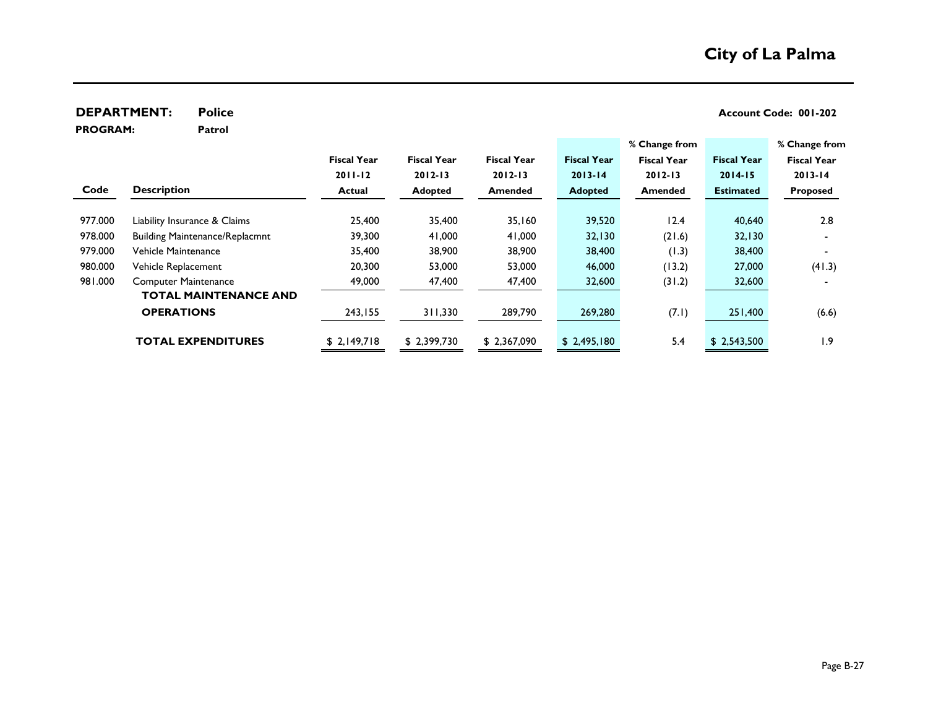**DEPARTMENT:** Police **CONSIDERATMENT:** Police **Policy Account Code: 001-202** 

**PROGRAM:** 

**Patrol**

| % Change from      |                    | % Change from      |                    |                    |                    |                    |                                       |         |
|--------------------|--------------------|--------------------|--------------------|--------------------|--------------------|--------------------|---------------------------------------|---------|
| <b>Fiscal Year</b> | <b>Fiscal Year</b> | <b>Fiscal Year</b> | <b>Fiscal Year</b> | <b>Fiscal Year</b> | <b>Fiscal Year</b> | <b>Fiscal Year</b> |                                       |         |
| $2013 - 14$        | $2014 - 15$        | $2012 - 13$        | $2013 - 14$        | $2012 - 13$        | $2012 - 13$        | $2011 - 12$        |                                       |         |
| <b>Proposed</b>    | <b>Estimated</b>   | Amended            | <b>Adopted</b>     | <b>Amended</b>     | <b>Adopted</b>     | Actual             | <b>Description</b>                    | Code    |
|                    |                    |                    |                    |                    |                    |                    |                                       |         |
| 2.8                | 40,640             | 12.4               | 39,520             | 35,160             | 35,400             | 25,400             | Liability Insurance & Claims          | 977.000 |
|                    | 32,130             | (21.6)             | 32,130             | 41,000             | 41,000             | 39,300             | <b>Building Maintenance/Replacmnt</b> | 978.000 |
|                    | 38,400             | (1.3)              | 38,400             | 38,900             | 38,900             | 35,400             | Vehicle Maintenance                   | 979.000 |
| (41.3)             | 27,000             | (13.2)             | 46,000             | 53,000             | 53,000             | 20,300             | Vehicle Replacement                   | 980.000 |
|                    | 32,600             | (31.2)             | 32,600             | 47,400             | 47,400             | 49,000             | <b>Computer Maintenance</b>           | 981.000 |
|                    |                    |                    |                    |                    |                    |                    | <b>TOTAL MAINTENANCE AND</b>          |         |
| (6.6)              | 251,400            | (7.1)              | 269,280            | 289,790            | 311,330            | 243,155            | <b>OPERATIONS</b>                     |         |
|                    |                    |                    |                    |                    |                    |                    |                                       |         |
| 9. ا               | \$2,543,500        | 5.4                | \$2,495,180        | \$2,367,090        | \$2,399,730        | \$2,149,718        | <b>TOTAL EXPENDITURES</b>             |         |
|                    |                    |                    |                    |                    |                    |                    |                                       |         |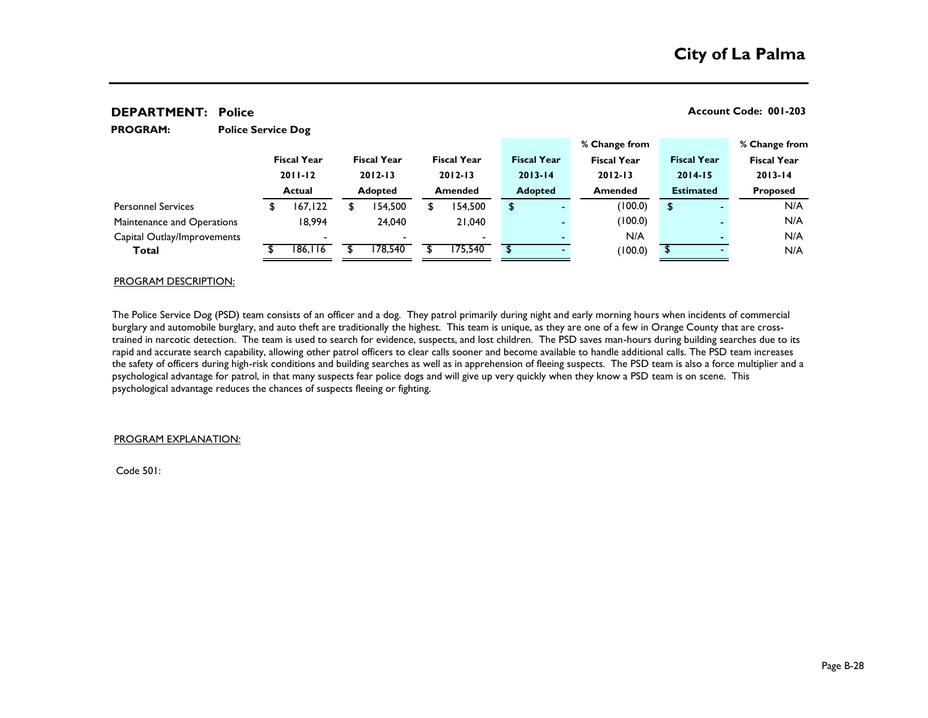**PROGRAM:** 

**Police Service Dog**

|                             |             |                    |                          |                    |                     |    |                    | % Change from      |             |                    | % Change from      |  |
|-----------------------------|-------------|--------------------|--------------------------|--------------------|---------------------|----|--------------------|--------------------|-------------|--------------------|--------------------|--|
|                             |             | <b>Fiscal Year</b> | <b>Fiscal Year</b>       | <b>Fiscal Year</b> |                     |    | <b>Fiscal Year</b> | <b>Fiscal Year</b> |             | <b>Fiscal Year</b> | <b>Fiscal Year</b> |  |
|                             | $2011 - 12$ |                    | $2012 - 13$              |                    | $2012 - 13$         |    | $2013 - 14$        | $2012 - 13$        | $2014 - 15$ |                    | $2013 - 14$        |  |
| Actual                      |             | <b>Adopted</b>     | <b>Amended</b>           |                    | <b>Adopted</b>      |    | <b>Amended</b>     | <b>Estimated</b>   |             | <b>Proposed</b>    |                    |  |
| <b>Personnel Services</b>   |             | 167,122            | 154,500                  | \$                 | 154,500             | \$ | -                  | (100.0)            | \$          |                    | N/A                |  |
| Maintenance and Operations  |             | 18,994             | 24.040                   |                    | 21,040              |    |                    | (100.0)            |             |                    | N/A                |  |
| Capital Outlay/Improvements |             |                    | $\overline{\phantom{0}}$ |                    |                     |    |                    | N/A                |             |                    | N/A                |  |
| Total                       |             | 186,116            | 178.540                  |                    | $\overline{75,540}$ |    |                    | (100.0)            |             |                    | N/A                |  |
|                             |             |                    |                          |                    |                     |    |                    |                    |             |                    |                    |  |

#### PROGRAM DESCRIPTION:

The Police Service Dog (PSD) team consists of an officer and a dog. They patrol primarily during night and early morning hours when incidents of commercial burglary and automobile burglary, and auto theft are traditionally the highest. This team is unique, as they are one of a few in Orange County that are crosstrained in narcotic detection. The team is used to search for evidence, suspects, and lost children. The PSD saves man-hours during building searches due to its rapid and accurate search capability, allowing other patrol officers to clear calls sooner and become available to handle additional calls. The PSD team increases the safety of officers during high-risk conditions and building searches as well as in apprehension of fleeing suspects. The PSD team is also a force multiplier and a psychological advantage for patrol, in that many suspects fear police dogs and will give up very quickly when they know a PSD team is on scene. This psychological advantage reduces the chances of suspects fleeing or fighting.

#### PROGRAM EXPLANATION:

Code 501: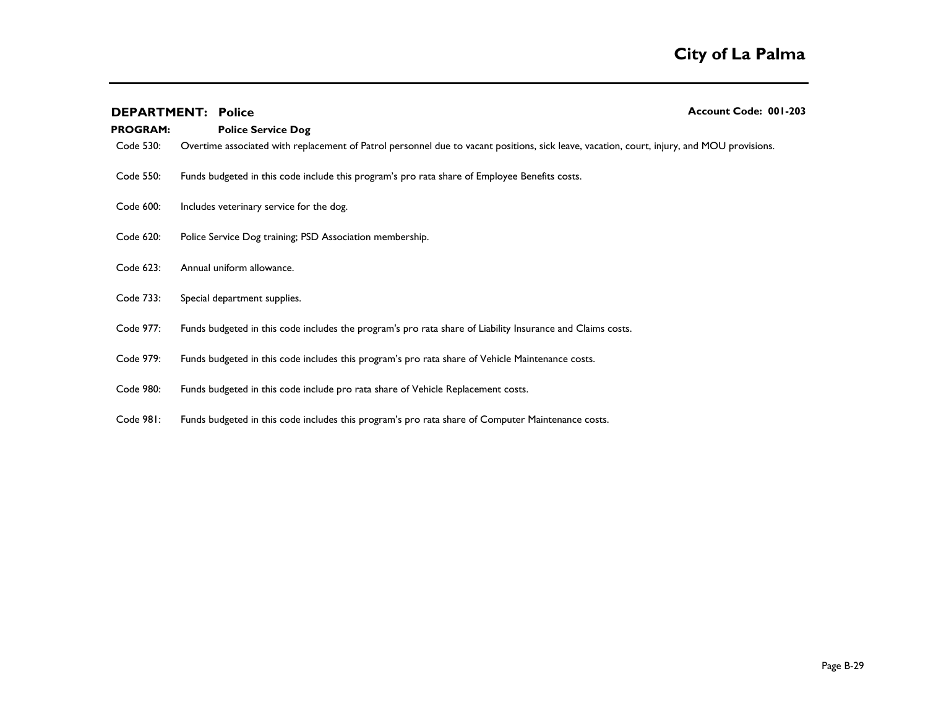| <b>PROGRAM:</b> | <b>DEPARTMENT: Police</b><br><b>Police Service Dog</b>                                                                                     | Account Code: 001-203 |
|-----------------|--------------------------------------------------------------------------------------------------------------------------------------------|-----------------------|
| Code 530:       | Overtime associated with replacement of Patrol personnel due to vacant positions, sick leave, vacation, court, injury, and MOU provisions. |                       |
| Code 550:       | Funds budgeted in this code include this program's pro rata share of Employee Benefits costs.                                              |                       |
| Code 600:       | Includes veterinary service for the dog.                                                                                                   |                       |
| Code 620:       | Police Service Dog training; PSD Association membership.                                                                                   |                       |
| Code 623:       | Annual uniform allowance.                                                                                                                  |                       |
| Code 733:       | Special department supplies.                                                                                                               |                       |
| Code 977:       | Funds budgeted in this code includes the program's pro rata share of Liability Insurance and Claims costs.                                 |                       |
| Code 979:       | Funds budgeted in this code includes this program's pro rata share of Vehicle Maintenance costs.                                           |                       |
| Code 980:       | Funds budgeted in this code include pro rata share of Vehicle Replacement costs.                                                           |                       |

Code 981: Funds budgeted in this code includes this program's pro rata share of Computer Maintenance costs.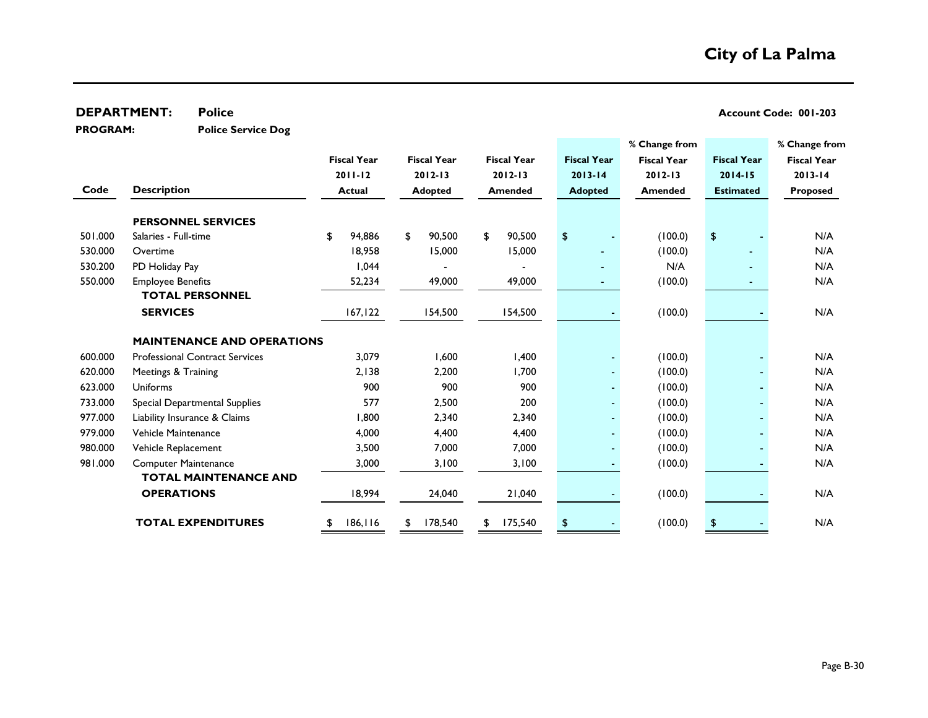| <b>PROGRAM:</b> | <b>Police Service Dog</b>             |                    |             |                    |                    |             |                    |                    |                      |                    |
|-----------------|---------------------------------------|--------------------|-------------|--------------------|--------------------|-------------|--------------------|--------------------|----------------------|--------------------|
|                 |                                       |                    |             |                    |                    |             |                    | % Change from      |                      | % Change from      |
|                 |                                       | <b>Fiscal Year</b> |             | <b>Fiscal Year</b> | <b>Fiscal Year</b> |             | <b>Fiscal Year</b> | <b>Fiscal Year</b> | <b>Fiscal Year</b>   | <b>Fiscal Year</b> |
|                 |                                       | $2011 - 12$        | $2012 - 13$ |                    | $2012 - 13$        | $2013 - 14$ |                    | $2012 - 13$        | 2014-15              | $2013 - 14$        |
| Code            | <b>Description</b>                    | <b>Actual</b>      |             | <b>Adopted</b>     | <b>Amended</b>     |             | <b>Adopted</b>     | <b>Amended</b>     | <b>Estimated</b>     | <b>Proposed</b>    |
|                 | <b>PERSONNEL SERVICES</b>             |                    |             |                    |                    |             |                    |                    |                      |                    |
| 501.000         | Salaries - Full-time                  | \$<br>94,886       | \$          | 90,500             | \$<br>90,500       | \$          |                    | (100.0)            | $\pmb{\mathfrak{P}}$ | N/A                |
| 530.000         | Overtime                              | 18,958             |             | 15,000             | 15,000             |             |                    | (100.0)            |                      | N/A                |
| 530.200         | PD Holiday Pay                        | 1,044              |             |                    |                    |             |                    | N/A                |                      | N/A                |
| 550.000         | <b>Employee Benefits</b>              | 52,234             |             | 49,000             | 49,000             |             |                    | (100.0)            |                      | N/A                |
|                 | <b>TOTAL PERSONNEL</b>                |                    |             |                    |                    |             |                    |                    |                      |                    |
|                 | <b>SERVICES</b>                       | 167, 122           |             | 154,500            | 154,500            |             |                    | (100.0)            |                      | N/A                |
|                 | <b>MAINTENANCE AND OPERATIONS</b>     |                    |             |                    |                    |             |                    |                    |                      |                    |
| 600.000         | <b>Professional Contract Services</b> | 3,079              |             | 1,600              | 1,400              |             |                    | (100.0)            |                      | N/A                |
| 620.000         | Meetings & Training                   | 2,138              |             | 2,200              | 1,700              |             |                    | (100.0)            |                      | N/A                |
| 623.000         | <b>Uniforms</b>                       | 900                |             | 900                | 900                |             |                    | (100.0)            |                      | N/A                |
| 733.000         | Special Departmental Supplies         | 577                |             | 2,500              | 200                |             |                    | (100.0)            |                      | N/A                |
| 977.000         | Liability Insurance & Claims          | 1,800              |             | 2,340              | 2,340              |             |                    | (100.0)            |                      | N/A                |
| 979.000         | Vehicle Maintenance                   | 4,000              |             | 4,400              | 4,400              |             |                    | (100.0)            |                      | N/A                |
| 980.000         | Vehicle Replacement                   | 3,500              |             | 7,000              | 7,000              |             |                    | (100.0)            |                      | N/A                |
| 981.000         | <b>Computer Maintenance</b>           | 3,000              |             | 3,100              | 3,100              |             |                    | (100.0)            |                      | N/A                |
|                 | <b>TOTAL MAINTENANCE AND</b>          |                    |             |                    |                    |             |                    |                    |                      |                    |
|                 | <b>OPERATIONS</b>                     | 18,994             |             | 24,040             | 21,040             |             |                    | (100.0)            |                      | N/A                |
|                 | <b>TOTAL EXPENDITURES</b>             | \$<br>186,116      | \$          | 178,540            | \$<br>175,540      | \$          |                    | (100.0)            | \$                   | N/A                |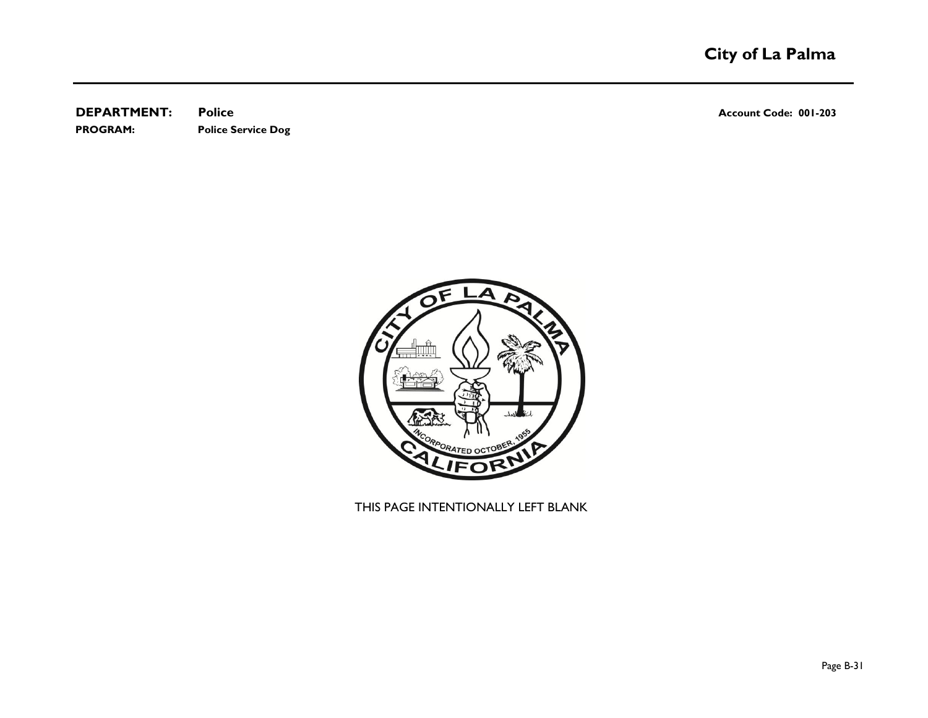**DEPARTMENT: Police Account Code: 001-203 PROGRAM: Police Service Dog**

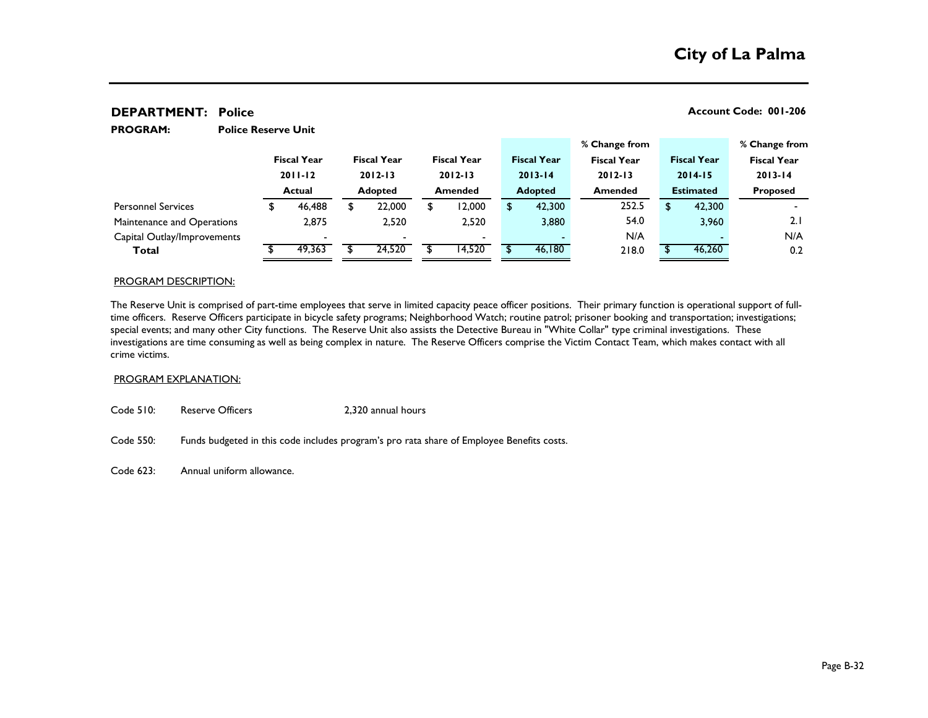**PROGRAM:** 

|                             |             |                    |                |                          |                    |        |             |                    | % Change from      |                    |        | % Change from      |  |
|-----------------------------|-------------|--------------------|----------------|--------------------------|--------------------|--------|-------------|--------------------|--------------------|--------------------|--------|--------------------|--|
|                             |             | <b>Fiscal Year</b> |                | <b>Fiscal Year</b>       | <b>Fiscal Year</b> |        |             | <b>Fiscal Year</b> | <b>Fiscal Year</b> | <b>Fiscal Year</b> |        | <b>Fiscal Year</b> |  |
|                             | $2011 - 12$ |                    | $2012 - 13$    |                          | $2012 - 13$        |        | $2013 - 14$ |                    | $2012 - 13$        | $2014 - 15$        |        | $2013 - 14$        |  |
|                             | Actual      |                    | <b>Adopted</b> |                          | <b>Amended</b>     |        |             | <b>Adopted</b>     | <b>Amended</b>     | <b>Estimated</b>   |        | <b>Proposed</b>    |  |
| <b>Personnel Services</b>   |             | 46,488             |                | 22,000                   | \$                 | 12,000 |             | 42,300             | 252.5              | S                  | 42,300 |                    |  |
| Maintenance and Operations  |             | 2.875              |                | 2,520                    |                    | 2,520  |             | 3,880              | 54.0               |                    | 3,960  | 2.1                |  |
| Capital Outlay/Improvements |             |                    |                | $\overline{\phantom{0}}$ |                    |        |             |                    | N/A                |                    |        | N/A                |  |
| Total                       |             | 49,363             |                | 24,520                   |                    | 14,520 |             | 46,180             | 218.0              |                    | 46,260 | 0.2                |  |

#### PROGRAM DESCRIPTION:

The Reserve Unit is comprised of part-time employees that serve in limited capacity peace officer positions. Their primary function is operational support of fulltime officers. Reserve Officers participate in bicycle safety programs; Neighborhood Watch; routine patrol; prisoner booking and transportation; investigations; special events; and many other City functions. The Reserve Unit also assists the Detective Bureau in "White Collar" type criminal investigations. These investigations are time consuming as well as being complex in nature. The Reserve Officers comprise the Victim Contact Team, which makes contact with all crime victims.

#### PROGRAM EXPLANATION:

Code 510: Reserve Officers 2,320 annual hours

**Police Reserve Unit**

Code 550: Funds budgeted in this code includes program's pro rata share of Employee Benefits costs.

Code 623: Annual uniform allowance.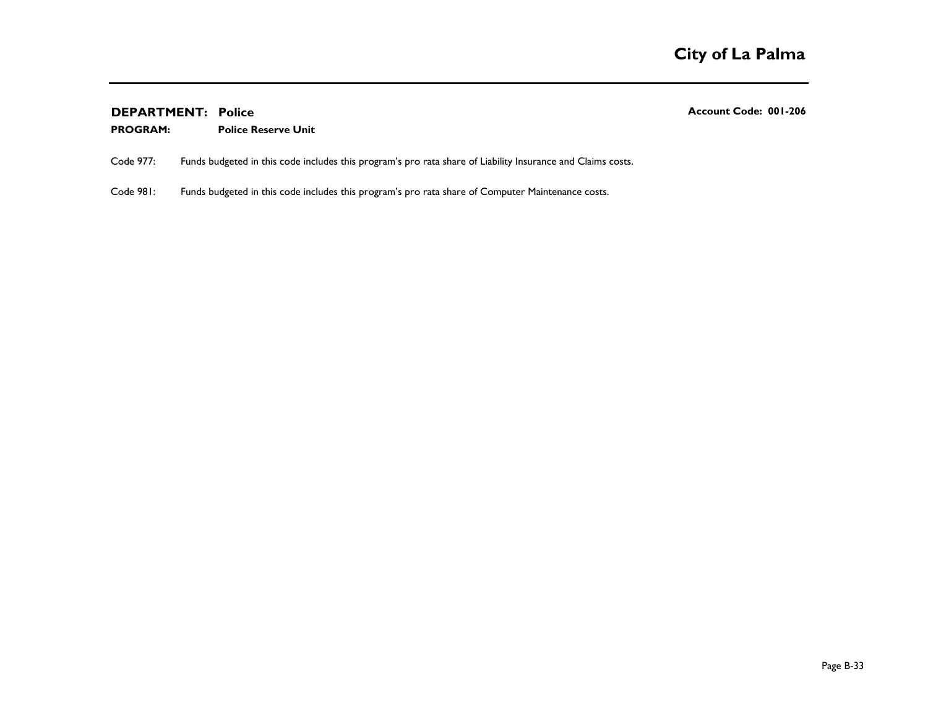#### **Police Reserve Unit PROGRAM:**

Code 977: Funds budgeted in this code includes this program's pro rata share of Liability Insurance and Claims costs.

Code 981: Funds budgeted in this code includes this program's pro rata share of Computer Maintenance costs.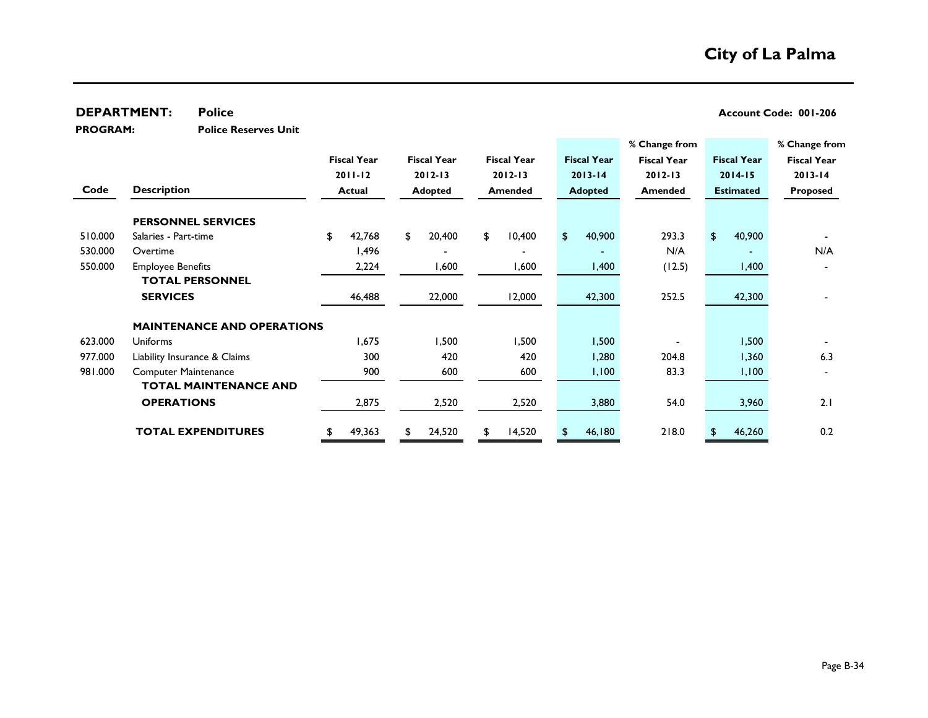|                                     | <b>DEPARTMENT:</b>          | <b>Police</b>                     |               |                    |                |                    |         |                    |                |                    |                    |                  |                    | Account Code: 001-206 |  |
|-------------------------------------|-----------------------------|-----------------------------------|---------------|--------------------|----------------|--------------------|---------|--------------------|----------------|--------------------|--------------------|------------------|--------------------|-----------------------|--|
| <b>PROGRAM:</b>                     |                             | <b>Police Reserves Unit</b>       |               |                    |                |                    |         |                    |                |                    |                    |                  |                    |                       |  |
|                                     |                             |                                   |               |                    |                |                    |         |                    |                |                    | % Change from      |                  |                    | % Change from         |  |
|                                     |                             |                                   |               | <b>Fiscal Year</b> |                | <b>Fiscal Year</b> |         | <b>Fiscal Year</b> |                | <b>Fiscal Year</b> | <b>Fiscal Year</b> |                  | <b>Fiscal Year</b> | <b>Fiscal Year</b>    |  |
|                                     |                             |                                   |               | $2011 - 12$        |                | $2012 - 13$        |         | $2012 - 13$        |                | $2013 - 14$        | $2012 - 13$        |                  | $2014 - 15$        | $2013 - 14$           |  |
| Code<br><b>Description</b>          |                             |                                   | <b>Actual</b> |                    | <b>Adopted</b> |                    | Amended |                    | <b>Adopted</b> |                    | <b>Amended</b>     | <b>Estimated</b> |                    | <b>Proposed</b>       |  |
|                                     |                             | <b>PERSONNEL SERVICES</b>         |               |                    |                |                    |         |                    |                |                    |                    |                  |                    |                       |  |
| 510.000                             | Salaries - Part-time        |                                   | \$            | 42,768             | \$             | 20,400             | \$      | 10,400             | \$.            | 40,900             | 293.3              | $\mathsf{\$}$    | 40,900             |                       |  |
| 530.000                             | Overtime                    |                                   |               | 1,496              |                |                    |         |                    |                |                    | N/A                |                  |                    | N/A                   |  |
| 550.000<br><b>Employee Benefits</b> |                             |                                   | 2,224         |                    | 1,600          |                    | 1,600   |                    | 1,400          | (12.5)             |                    | 1,400            |                    |                       |  |
|                                     |                             | <b>TOTAL PERSONNEL</b>            |               |                    |                |                    |         |                    |                |                    |                    |                  |                    |                       |  |
|                                     | <b>SERVICES</b>             |                                   |               | 46,488             |                | 22,000             |         | 12,000             |                | 42,300             | 252.5              |                  | 42,300             |                       |  |
|                                     |                             | <b>MAINTENANCE AND OPERATIONS</b> |               |                    |                |                    |         |                    |                |                    |                    |                  |                    |                       |  |
| 623.000                             | <b>Uniforms</b>             |                                   |               | 1,675              |                | 1,500              |         | 1,500              |                | 1,500              |                    |                  | 1,500              |                       |  |
| 977.000                             |                             | Liability Insurance & Claims      |               | 300                |                | 420                |         | 420                |                | 1,280              | 204.8              |                  | 1,360              | 6.3                   |  |
| 981.000                             | <b>Computer Maintenance</b> |                                   |               | 900                |                | 600                |         | 600                |                | 1,100              | 83.3               |                  | 1,100              |                       |  |
|                                     |                             | <b>TOTAL MAINTENANCE AND</b>      |               |                    |                |                    |         |                    |                |                    |                    |                  |                    |                       |  |
|                                     | <b>OPERATIONS</b>           |                                   |               | 2,875              |                | 2,520              |         | 2,520              |                | 3,880              | 54.0               |                  | 3,960              | 2.1                   |  |
|                                     |                             | <b>TOTAL EXPENDITURES</b>         | \$            | 49,363             | \$             | 24,520             | \$      | 14,520             | \$.            | 46,180             | 218.0              | \$               | 46,260             | 0.2                   |  |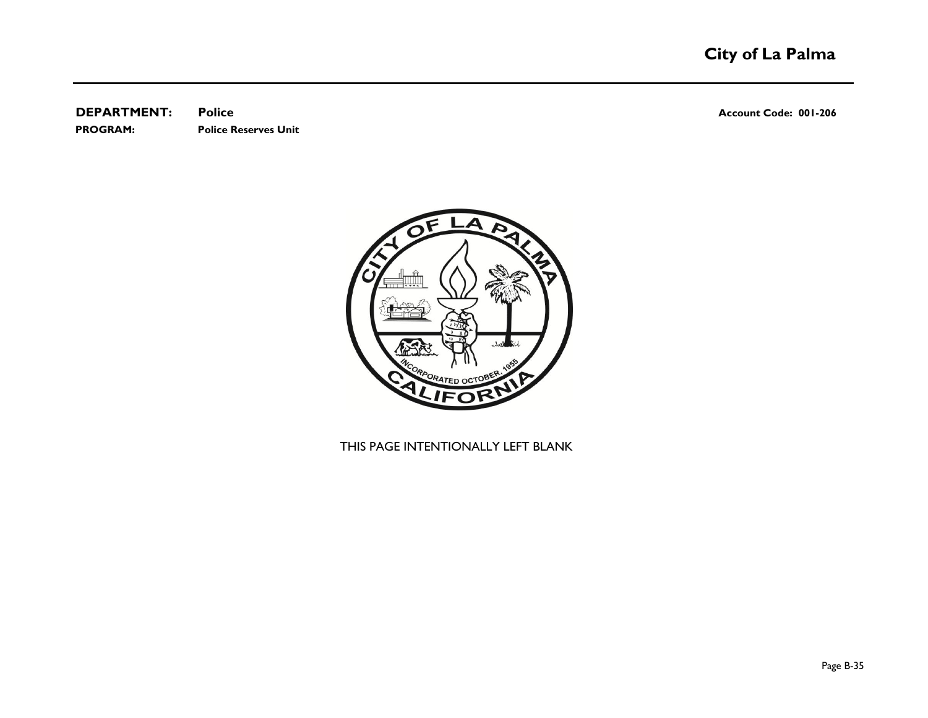**DEPARTMENT: Police Account Code: 001-206 PROGRAM: Police Reserves Unit**

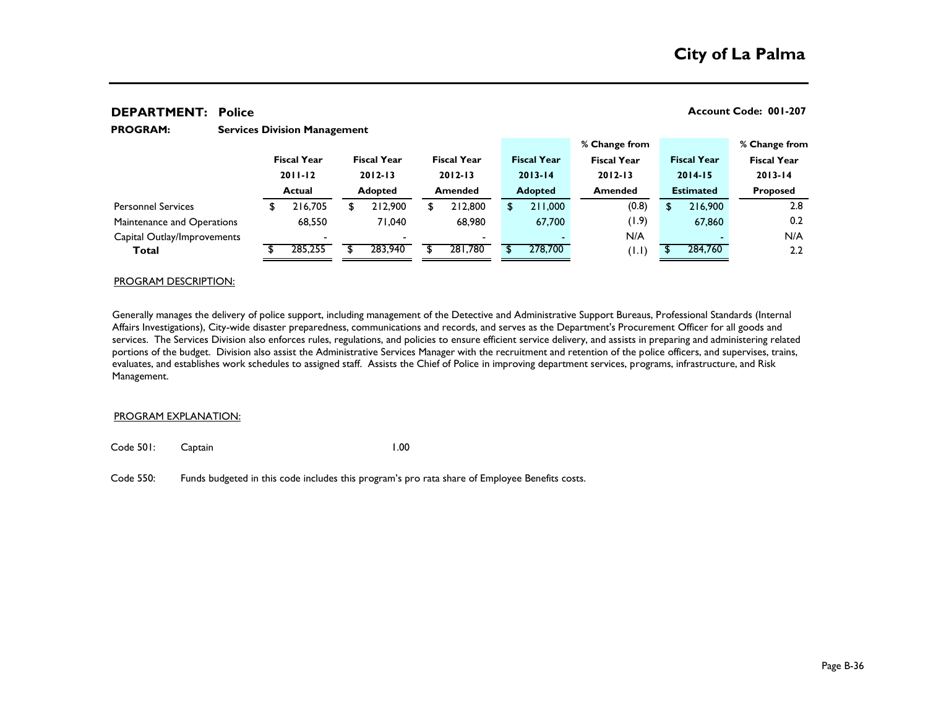#### **Services Division Management PROGRAM:**

|                             |               |                    |                |                          |                |                                   |  |                    |                                   | % Change from |                                   |         |                 | % Change from      |
|-----------------------------|---------------|--------------------|----------------|--------------------------|----------------|-----------------------------------|--|--------------------|-----------------------------------|---------------|-----------------------------------|---------|-----------------|--------------------|
|                             |               | <b>Fiscal Year</b> |                | <b>Fiscal Year</b>       |                | <b>Fiscal Year</b><br>$2012 - 13$ |  | <b>Fiscal Year</b> | <b>Fiscal Year</b><br>$2012 - 13$ |               | <b>Fiscal Year</b><br>$2014 - 15$ |         |                 | <b>Fiscal Year</b> |
|                             | $2011 - 12$   |                    | $2012 - 13$    |                          |                |                                   |  | $2013 - 14$        |                                   |               |                                   |         |                 | $2013 - 14$        |
|                             | <b>Actual</b> |                    | <b>Adopted</b> |                          | <b>Amended</b> |                                   |  | <b>Adopted</b>     | <b>Amended</b>                    |               | <b>Estimated</b>                  |         | <b>Proposed</b> |                    |
| <b>Personnel Services</b>   |               | 216,705            |                | 212,900                  |                | 212,800                           |  | 211,000            |                                   | (0.8)         |                                   | 216,900 |                 | 2.8                |
| Maintenance and Operations  |               | 68,550             |                | 71.040                   |                | 68,980                            |  | 67,700             |                                   | (1.9)         |                                   | 67,860  |                 | 0.2                |
| Capital Outlay/Improvements |               |                    |                | $\overline{\phantom{0}}$ |                | $\overline{\phantom{a}}$          |  |                    |                                   | N/A           |                                   |         |                 | N/A                |
| Total                       |               | 285,255            |                | 283,940                  |                | 281.780                           |  | 278,700            |                                   | (1.1)         |                                   | 284,760 |                 | 2.2                |

#### PROGRAM DESCRIPTION:

Generally manages the delivery of police support, including management of the Detective and Administrative Support Bureaus, Professional Standards (Internal Affairs Investigations), City-wide disaster preparedness, communications and records, and serves as the Department's Procurement Officer for all goods and services. The Services Division also enforces rules, regulations, and policies to ensure efficient service delivery, and assists in preparing and administering related portions of the budget. Division also assist the Administrative Services Manager with the recruitment and retention of the police officers, and supervises, trains, evaluates, and establishes work schedules to assigned staff. Assists the Chief of Police in improving department services, programs, infrastructure, and Risk Management.

#### PROGRAM EXPLANATION:

Code 501: Captain 1.00

Code 550: Funds budgeted in this code includes this program's pro rata share of Employee Benefits costs.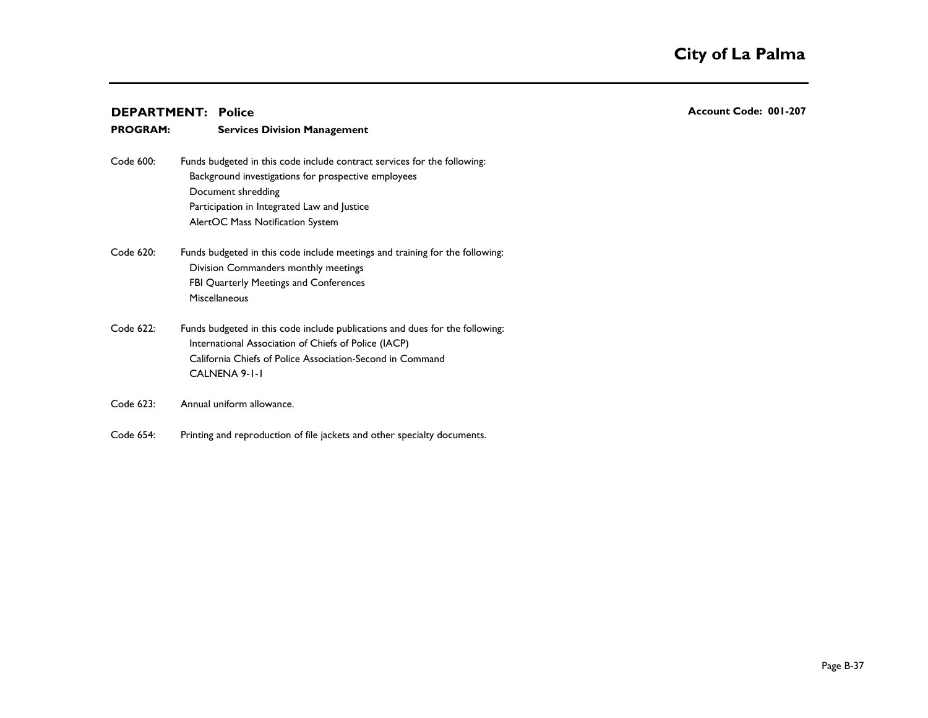| <b>PROGRAM:</b> | <b>Services Division Management</b>                                          |
|-----------------|------------------------------------------------------------------------------|
| Code 600:       | Funds budgeted in this code include contract services for the following:     |
|                 | Background investigations for prospective employees                          |
|                 | Document shredding                                                           |
|                 | Participation in Integrated Law and Justice                                  |
|                 | AlertOC Mass Notification System                                             |
| Code 620:       | Funds budgeted in this code include meetings and training for the following: |
|                 | Division Commanders monthly meetings                                         |
|                 | FBI Quarterly Meetings and Conferences                                       |
|                 | <b>Miscellaneous</b>                                                         |
| Code 622:       | Funds budgeted in this code include publications and dues for the following: |
|                 | International Association of Chiefs of Police (IACP)                         |
|                 | California Chiefs of Police Association-Second in Command                    |
|                 | CALNENA 9-1-1                                                                |
| Code 623:       | Annual uniform allowance.                                                    |

Code 654: Printing and reproduction of file jackets and other specialty documents.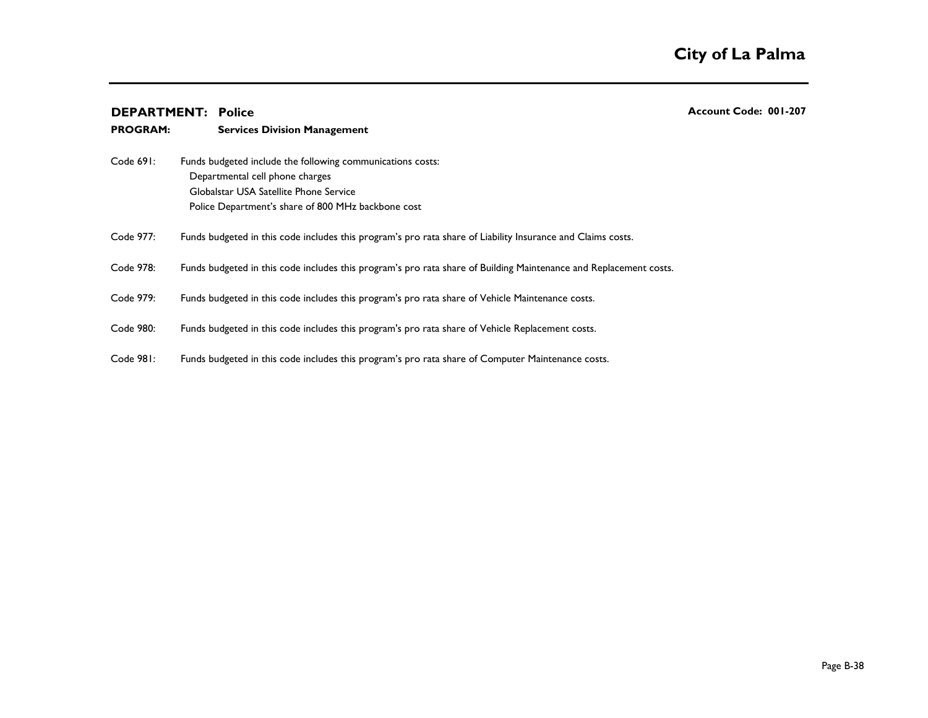| <b>PROGRAM:</b> | <b>Services Division Management</b>                                                                               |
|-----------------|-------------------------------------------------------------------------------------------------------------------|
| Code 691:       | Funds budgeted include the following communications costs:                                                        |
|                 | Departmental cell phone charges                                                                                   |
|                 | Globalstar USA Satellite Phone Service                                                                            |
|                 | Police Department's share of 800 MHz backbone cost                                                                |
| Code 977:       | Funds budgeted in this code includes this program's pro rata share of Liability Insurance and Claims costs.       |
| Code 978:       | Funds budgeted in this code includes this program's pro rata share of Building Maintenance and Replacement costs. |
| Code 979:       | Funds budgeted in this code includes this program's pro rata share of Vehicle Maintenance costs.                  |
| Code 980:       | Funds budgeted in this code includes this program's pro rata share of Vehicle Replacement costs.                  |
| Code 981:       | Funds budgeted in this code includes this program's pro rata share of Computer Maintenance costs.                 |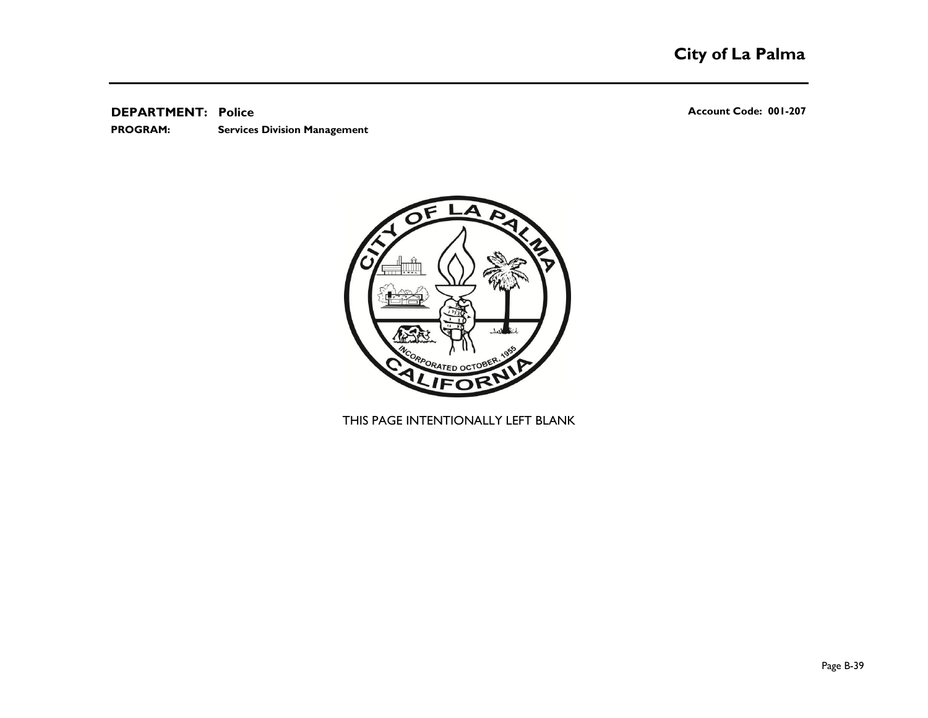**Services Division Management PROGRAM:** 

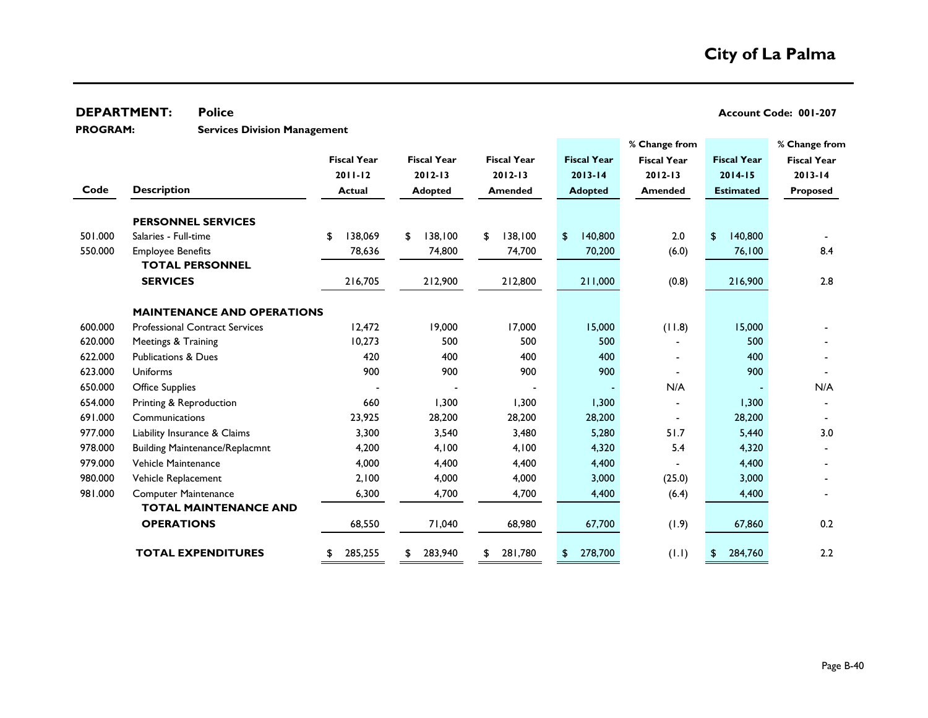**DEPARTMENT:** Police **CONSUMPTION POLICE 201-207** 

**PROGRAM:** 

**Services Division Management**

|         |                                       |                    |                    |                    |                    | % Change from      |                           | % Change from      |
|---------|---------------------------------------|--------------------|--------------------|--------------------|--------------------|--------------------|---------------------------|--------------------|
|         |                                       | <b>Fiscal Year</b> | <b>Fiscal Year</b> | <b>Fiscal Year</b> | <b>Fiscal Year</b> | <b>Fiscal Year</b> | <b>Fiscal Year</b>        | <b>Fiscal Year</b> |
|         |                                       | $2011 - 12$        | $2012 - 13$        | $2012 - 13$        | $2013 - 14$        | $2012 - 13$        | $2014 - 15$               | $2013 - 14$        |
| Code    | <b>Description</b>                    | <b>Actual</b>      | <b>Adopted</b>     | <b>Amended</b>     | <b>Adopted</b>     | <b>Amended</b>     | <b>Estimated</b>          | <b>Proposed</b>    |
|         | <b>PERSONNEL SERVICES</b>             |                    |                    |                    |                    |                    |                           |                    |
| 501.000 | Salaries - Full-time                  | 138,069<br>\$      | 138,100<br>\$      | 138,100<br>\$      | 140,800<br>\$      | 2.0                | 140,800<br>$\mathfrak{L}$ |                    |
| 550.000 | <b>Employee Benefits</b>              | 78,636             | 74,800             | 74,700             | 70,200             | (6.0)              | 76,100                    | 8.4                |
|         | <b>TOTAL PERSONNEL</b>                |                    |                    |                    |                    |                    |                           |                    |
|         | <b>SERVICES</b>                       | 216,705            | 212,900            | 212,800            | 211,000            | (0.8)              | 216,900                   | 2.8                |
|         | <b>MAINTENANCE AND OPERATIONS</b>     |                    |                    |                    |                    |                    |                           |                    |
| 600.000 | <b>Professional Contract Services</b> | 12,472             | 19,000             | 17,000             | 15,000             | (11.8)             | 15,000                    |                    |
| 620.000 | Meetings & Training                   | 10,273             | 500                | 500                | 500                |                    | 500                       |                    |
| 622.000 | <b>Publications &amp; Dues</b>        | 420                | 400                | 400                | 400                |                    | 400                       |                    |
| 623.000 | Uniforms                              | 900                | 900                | 900                | 900                |                    | 900                       |                    |
| 650.000 | <b>Office Supplies</b>                |                    |                    |                    |                    | N/A                |                           | N/A                |
| 654.000 | Printing & Reproduction               | 660                | 1,300              | 1,300              | 1,300              |                    | 1,300                     |                    |
| 691.000 | Communications                        | 23,925             | 28,200             | 28,200             | 28,200             |                    | 28,200                    |                    |
| 977.000 | Liability Insurance & Claims          | 3,300              | 3,540              | 3,480              | 5,280              | 51.7               | 5,440                     | 3.0                |
| 978.000 | <b>Building Maintenance/Replacmnt</b> | 4,200              | 4,100              | 4,100              | 4,320              | 5.4                | 4,320                     |                    |
| 979.000 | Vehicle Maintenance                   | 4,000              | 4,400              | 4,400              | 4,400              |                    | 4,400                     |                    |
| 980.000 | Vehicle Replacement                   | 2,100              | 4,000              | 4,000              | 3,000              | (25.0)             | 3,000                     |                    |
| 981.000 | <b>Computer Maintenance</b>           | 6,300              | 4,700              | 4,700              | 4,400              | (6.4)              | 4,400                     |                    |
|         | <b>TOTAL MAINTENANCE AND</b>          |                    |                    |                    |                    |                    |                           |                    |
|         | <b>OPERATIONS</b>                     | 68,550             | 71,040             | 68,980             | 67,700             | (1.9)              | 67,860                    | 0.2                |
|         | <b>TOTAL EXPENDITURES</b>             | 285,255            | 283,940<br>\$      | 281,780            | 278,700<br>\$      | (1.1)              | 284,760<br>\$             | 2.2                |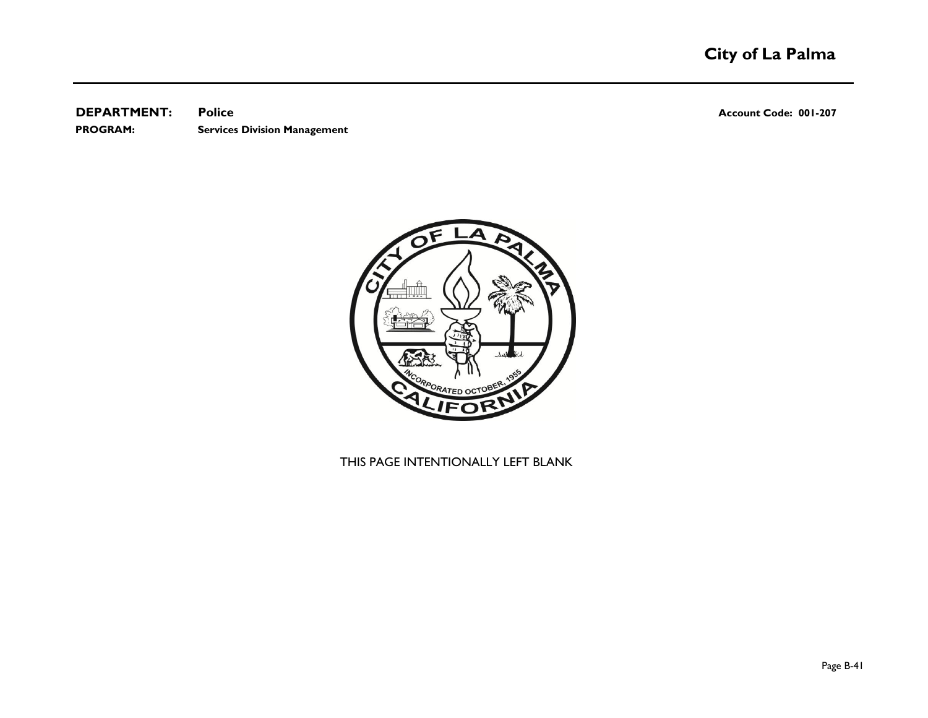**DEPARTMENT:** Police **CONSUMPTION POLICE 201-207 PROGRAM: Services Division Management**

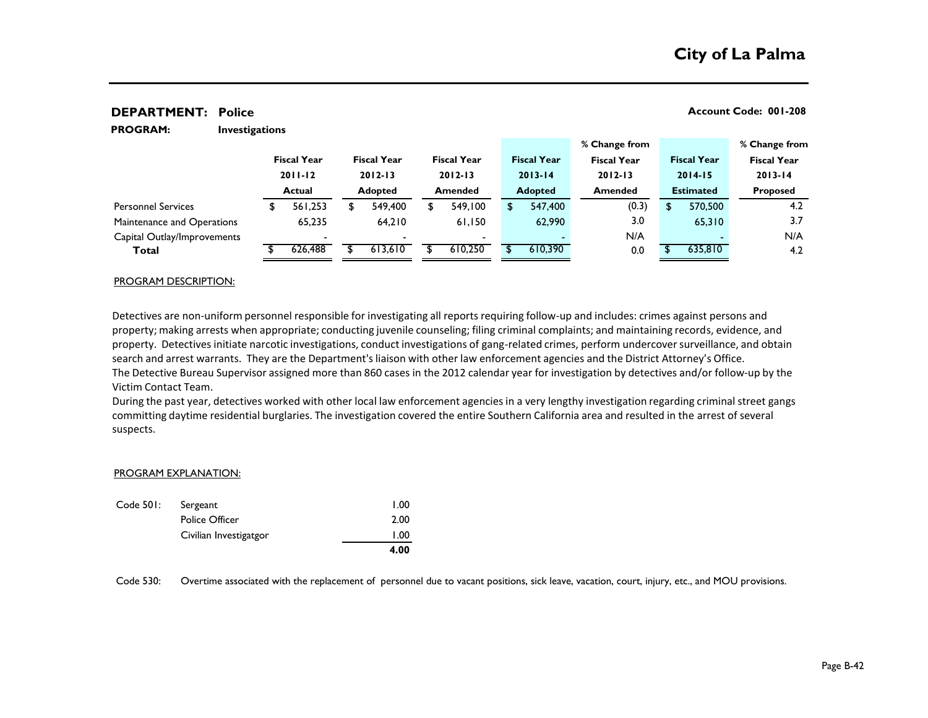| <b>PROGRAM:</b>             | <b>Investigations</b> |                    |                |                    |                |                    |                |                    |                |                    |                  |                    |                    |  |
|-----------------------------|-----------------------|--------------------|----------------|--------------------|----------------|--------------------|----------------|--------------------|----------------|--------------------|------------------|--------------------|--------------------|--|
|                             |                       |                    |                |                    |                |                    |                |                    | % Change from  |                    |                  |                    | % Change from      |  |
|                             |                       | <b>Fiscal Year</b> |                | <b>Fiscal Year</b> |                | <b>Fiscal Year</b> |                | <b>Fiscal Year</b> |                | <b>Fiscal Year</b> |                  | <b>Fiscal Year</b> | <b>Fiscal Year</b> |  |
|                             |                       | $2011 - 12$        |                | $2012 - 13$        |                | $2012 - 13$        |                | $2013 - 14$        |                | $2012 - 13$        | $2014 - 15$      |                    | $2013 - 14$        |  |
|                             | <b>Actual</b>         |                    | <b>Adopted</b> |                    | <b>Amended</b> |                    | <b>Adopted</b> |                    | <b>Amended</b> |                    | <b>Estimated</b> |                    | <b>Proposed</b>    |  |
| <b>Personnel Services</b>   |                       | 561,253            | S              | 549,400            | \$             | 549.100            |                | 547,400            |                | (0.3)              | \$               | 570,500            | 4.2                |  |
| Maintenance and Operations  |                       | 65,235             |                | 64.210             |                | 61.150             |                | 62,990             |                | 3.0                |                  | 65,310             | 3.7                |  |
| Capital Outlay/Improvements |                       |                    |                |                    |                |                    |                |                    |                | N/A                |                  |                    | N/A                |  |
| Total                       |                       | 626,488            |                | 613,610            |                | 610,250            |                | 610,390            |                | 0.0                |                  | 635,810            | 4.2                |  |

#### PROGRAM DESCRIPTION:

Detectives are non-uniform personnel responsible for investigating all reports requiring follow-up and includes: crimes against persons and property; making arrests when appropriate; conducting juvenile counseling; filing criminal complaints; and maintaining records, evidence, and property. Detectives initiate narcotic investigations, conduct investigations of gang-related crimes, perform undercover surveillance, and obtain search and arrest warrants. They are the Department's liaison with other law enforcement agencies and the District Attorney's Office. The Detective Bureau Supervisor assigned more than 860 cases in the 2012 calendar year for investigation by detectives and/or follow-up by the Victim Contact Team.

During the past year, detectives worked with other local law enforcement agencies in a very lengthy investigation regarding criminal street gangs committing daytime residential burglaries. The investigation covered the entire Southern California area and resulted in the arrest of several suspects.

#### PROGRAM EXPLANATION:

|           |                        | 4.00 |
|-----------|------------------------|------|
|           | Civilian Investigatgor | 1.00 |
|           | <b>Police Officer</b>  | 2.00 |
| Code 501: | Sergeant               | 1.00 |

Code 530: Overtime associated with the replacement of personnel due to vacant positions, sick leave, vacation, court, injury, etc., and MOU provisions.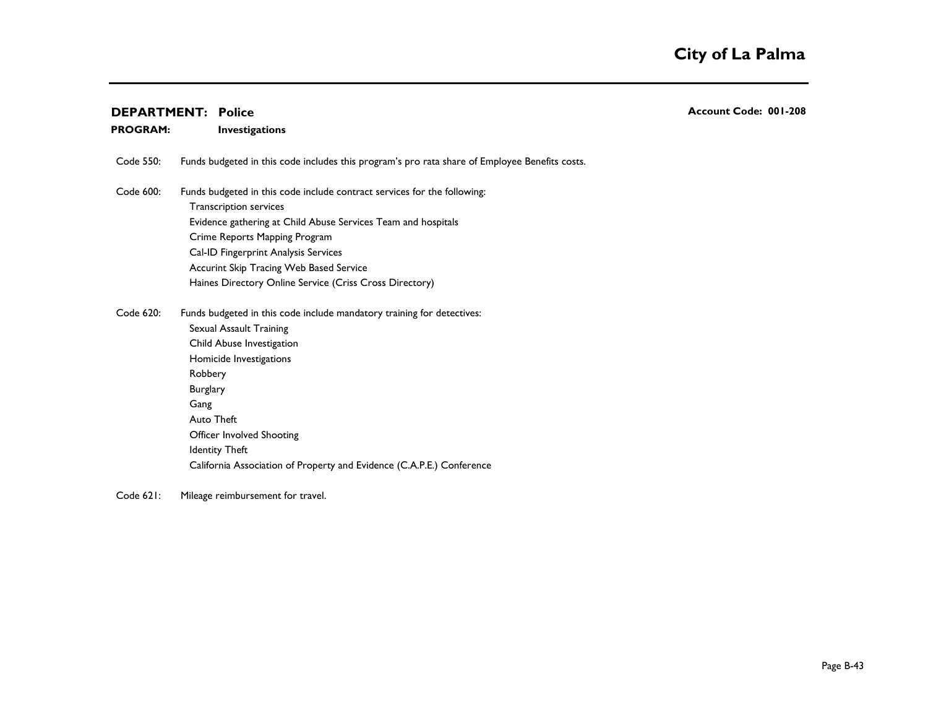#### **Investigations PROGRAM:**

Code 550: Funds budgeted in this code includes this program's pro rata share of Employee Benefits costs.

- Code 600: Funds budgeted in this code include contract services for the following: Transcription services Evidence gathering at Child Abuse Services Team and hospitals Crime Reports Mapping Program Cal-ID Fingerprint Analysis Services Accurint Skip Tracing Web Based Service Haines Directory Online Service (Criss Cross Directory)
- Code 620: Funds budgeted in this code include mandatory training for detectives: Sexual Assault Training Child Abuse Investigation Homicide Investigations Robbery 2008 - 2008 - 2008 - 2008 - 2008 - 2008 - 2008 - 2008 - 2008 - 2008 - 2008 - 2008 - 2008 - 2008 - 2008 Burglary 300 and 200 and 300 and 300 and 300 and 300 and 300 and 300 and 300 and 300 and 300 and 300 and 300 and 300 and 300 and 300 and 300 and 300 and 300 and 300 and 300 and 300 and 300 and 300 and 300 and 300 and 300 a Gang 2008 and 2009 and 2009 and 2009 and 2009 and 2009 and 2009 and 2009 and 2009 and 2009 and 2009 and 2009 a Auto Theft 1000 and 2000 and 2000 and 2000 and 2000 and 2000 and 2000 and 2000 and 2000 and 2000 and 2000 and Officer Involved Shooting Identity Theft California Association of Property and Evidence (C.A.P.E.) Conference
- Code 621: Mileage reimbursement for travel.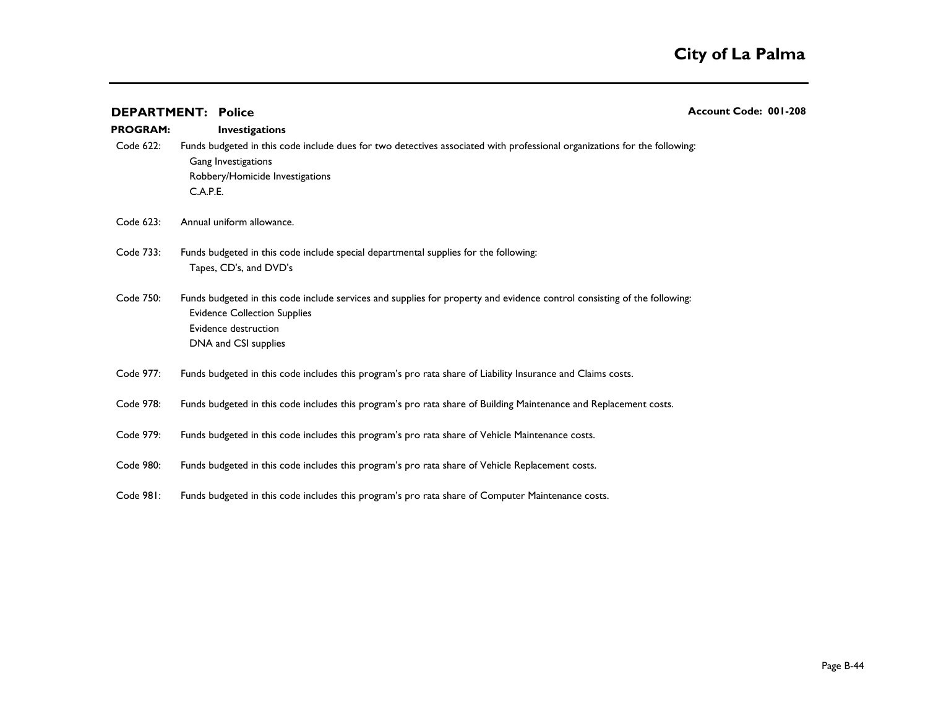|                 | <b>DEPARTMENT: Police</b>                                                                                                                                                                                       | Account Code: 001-208 |
|-----------------|-----------------------------------------------------------------------------------------------------------------------------------------------------------------------------------------------------------------|-----------------------|
| <b>PROGRAM:</b> | <b>Investigations</b>                                                                                                                                                                                           |                       |
| Code 622:       | Funds budgeted in this code include dues for two detectives associated with professional organizations for the following:<br>Gang Investigations<br>Robbery/Homicide Investigations<br>C.A.P.E.                 |                       |
| Code 623:       | Annual uniform allowance.                                                                                                                                                                                       |                       |
| Code 733:       | Funds budgeted in this code include special departmental supplies for the following:<br>Tapes, CD's, and DVD's                                                                                                  |                       |
| Code 750:       | Funds budgeted in this code include services and supplies for property and evidence control consisting of the following:<br><b>Evidence Collection Supplies</b><br>Evidence destruction<br>DNA and CSI supplies |                       |
| Code 977:       | Funds budgeted in this code includes this program's pro rata share of Liability Insurance and Claims costs.                                                                                                     |                       |
| Code 978:       | Funds budgeted in this code includes this program's pro rata share of Building Maintenance and Replacement costs.                                                                                               |                       |
| Code 979:       | Funds budgeted in this code includes this program's pro rata share of Vehicle Maintenance costs.                                                                                                                |                       |
| Code 980:       | Funds budgeted in this code includes this program's pro rata share of Vehicle Replacement costs.                                                                                                                |                       |
| Code 981:       | Funds budgeted in this code includes this program's pro rata share of Computer Maintenance costs.                                                                                                               |                       |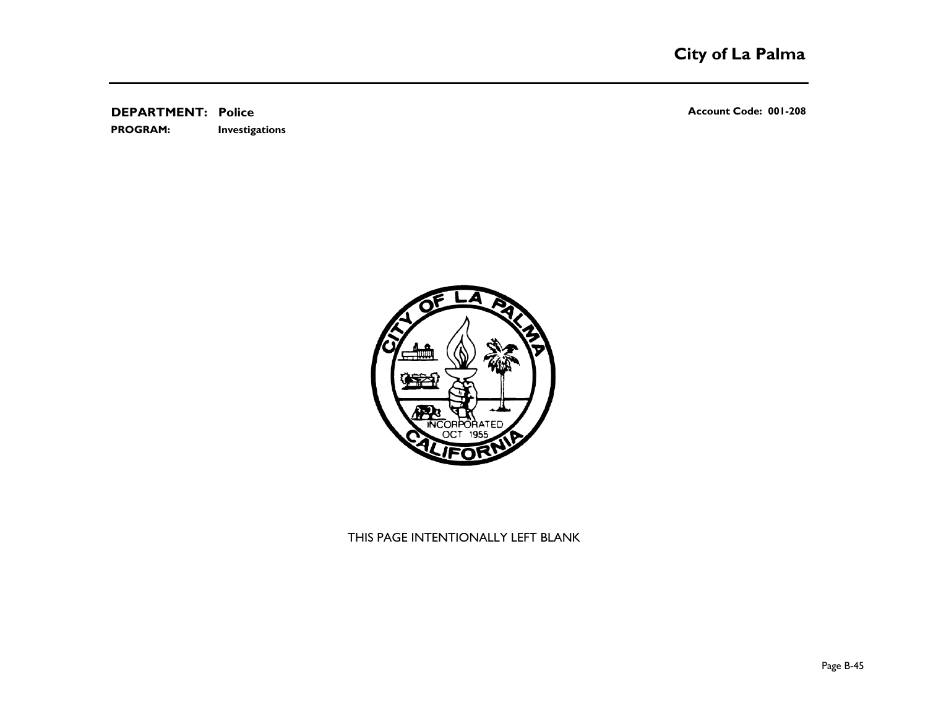**Investigations PROGRAM:** 

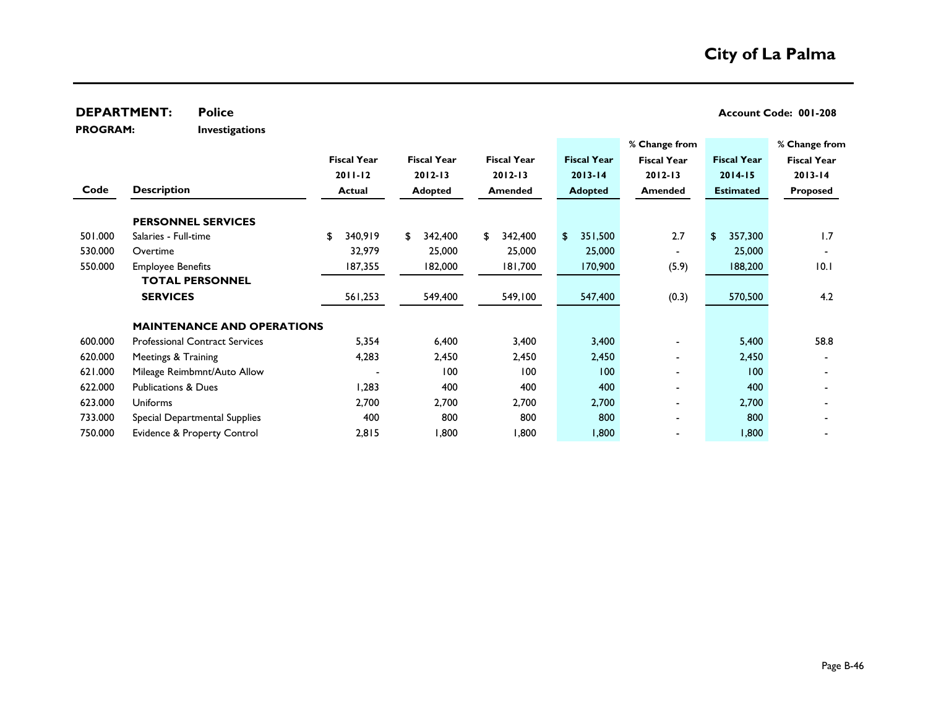|                 | <b>DEPARTMENT:</b>             | <b>Police</b>                         |                    |                    |                    |                    |                    |       | Account Code: 001-208 |                    |
|-----------------|--------------------------------|---------------------------------------|--------------------|--------------------|--------------------|--------------------|--------------------|-------|-----------------------|--------------------|
| <b>PROGRAM:</b> |                                | <b>Investigations</b>                 |                    |                    |                    |                    |                    |       |                       |                    |
|                 |                                |                                       |                    |                    |                    |                    | % Change from      |       |                       | % Change from      |
|                 |                                |                                       | <b>Fiscal Year</b> | <b>Fiscal Year</b> | <b>Fiscal Year</b> | <b>Fiscal Year</b> | <b>Fiscal Year</b> |       | <b>Fiscal Year</b>    | <b>Fiscal Year</b> |
|                 |                                |                                       | $2011 - 12$        | $2012 - 13$        | $2012 - 13$        | $2013 - 14$        | $2012 - 13$        |       | $2014 - 15$           | $2013 - 14$        |
| Code            | <b>Description</b>             |                                       | <b>Actual</b>      | <b>Adopted</b>     | Amended            | <b>Adopted</b>     | Amended            |       | <b>Estimated</b>      | <b>Proposed</b>    |
|                 |                                | <b>PERSONNEL SERVICES</b>             |                    |                    |                    |                    |                    |       |                       |                    |
| 501.000         | Salaries - Full-time           |                                       | \$<br>340,919      | \$<br>342,400      | \$<br>342,400      | \$<br>351,500      |                    | 2.7   | \$<br>357,300         | 1.7                |
| 530.000         | Overtime                       |                                       | 32,979             | 25,000             | 25,000             | 25,000             |                    |       | 25,000                |                    |
| 550.000         | <b>Employee Benefits</b>       |                                       | 187,355            | 182,000            | 181,700            | 170,900            |                    | (5.9) | 188,200               | 10.1               |
|                 |                                | <b>TOTAL PERSONNEL</b>                |                    |                    |                    |                    |                    |       |                       |                    |
|                 | <b>SERVICES</b>                |                                       | 561,253            | 549,400            | 549,100            | 547,400            |                    | (0.3) | 570,500               | 4.2                |
|                 |                                | <b>MAINTENANCE AND OPERATIONS</b>     |                    |                    |                    |                    |                    |       |                       |                    |
| 600.000         |                                | <b>Professional Contract Services</b> | 5,354              | 6,400              | 3,400              | 3,400              |                    |       | 5,400                 | 58.8               |
| 620.000         | Meetings & Training            |                                       | 4,283              | 2,450              | 2,450              | 2,450              |                    |       | 2,450                 |                    |
| 621.000         |                                | Mileage Reimbmnt/Auto Allow           |                    | 100                | 100                | 100                |                    |       | 100                   |                    |
| 622.000         | <b>Publications &amp; Dues</b> |                                       | 1,283              | 400                | 400                | 400                |                    |       | 400                   |                    |
| 623.000         | <b>Uniforms</b>                |                                       | 2,700              | 2,700              | 2,700              | 2,700              |                    |       | 2,700                 |                    |
| 733.000         |                                | Special Departmental Supplies         | 400                | 800                | 800                | 800                |                    |       | 800                   |                    |
| 750.000         |                                | Evidence & Property Control           | 2,815              | <b>800,</b>        | 1,800              | 1,800              |                    |       | 1,800                 |                    |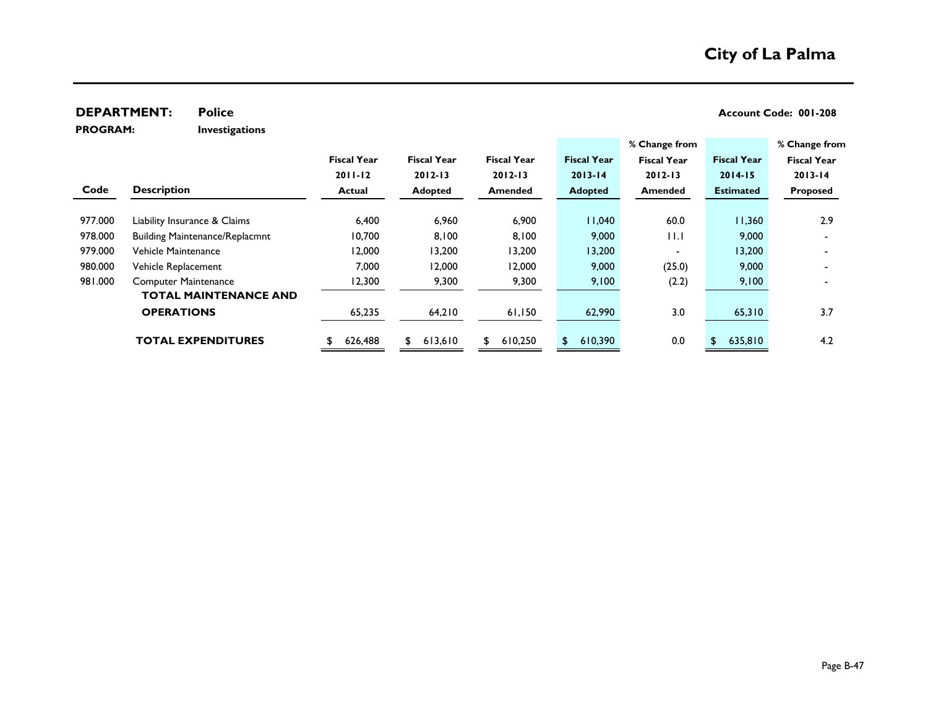**PROGRAM:** 

**Investigations**

|         |                                       |                    |                    |                    |                    | % Change from            |                    | % Change from      |
|---------|---------------------------------------|--------------------|--------------------|--------------------|--------------------|--------------------------|--------------------|--------------------|
|         |                                       | <b>Fiscal Year</b> | <b>Fiscal Year</b> | <b>Fiscal Year</b> | <b>Fiscal Year</b> | <b>Fiscal Year</b>       | <b>Fiscal Year</b> | <b>Fiscal Year</b> |
|         |                                       | $2011 - 12$        | $2012 - 13$        | $2012 - 13$        | $2013 - 14$        | $2012 - 13$              | $2014 - 15$        | $2013 - 14$        |
| Code    | <b>Description</b>                    | Actual             | <b>Adopted</b>     | <b>Amended</b>     | <b>Adopted</b>     | <b>Amended</b>           | <b>Estimated</b>   | <b>Proposed</b>    |
|         |                                       |                    |                    |                    |                    |                          |                    |                    |
| 977.000 | Liability Insurance & Claims          | 6,400              | 6,960              | 6,900              | 11,040             | 60.0                     | 11,360             | 2.9                |
| 978.000 | <b>Building Maintenance/Replacmnt</b> | 10,700             | 8,100              | 8,100              | 9,000              | 11.I                     | 9,000              |                    |
| 979.000 | Vehicle Maintenance                   | 12,000             | 13,200             | 13,200             | 13,200             | $\overline{\phantom{0}}$ | 13,200             |                    |
| 980.000 | Vehicle Replacement                   | 7,000              | 12,000             | 12,000             | 9,000              | (25.0)                   | 9,000              |                    |
| 981.000 | <b>Computer Maintenance</b>           | 12,300             | 9,300              | 9,300              | 9,100              | (2.2)                    | 9,100              |                    |
|         | <b>TOTAL MAINTENANCE AND</b>          |                    |                    |                    |                    |                          |                    |                    |
|         | <b>OPERATIONS</b>                     | 65,235             | 64,210             | 61,150             | 62,990             | 3.0                      | 65,310             | 3.7                |
|         |                                       |                    |                    |                    |                    |                          |                    |                    |
|         | <b>TOTAL EXPENDITURES</b>             | 626,488            | 613,610<br>\$      | 610,250<br>\$      | 610,390<br>\$      | 0.0                      | 635,810<br>\$      | 4.2                |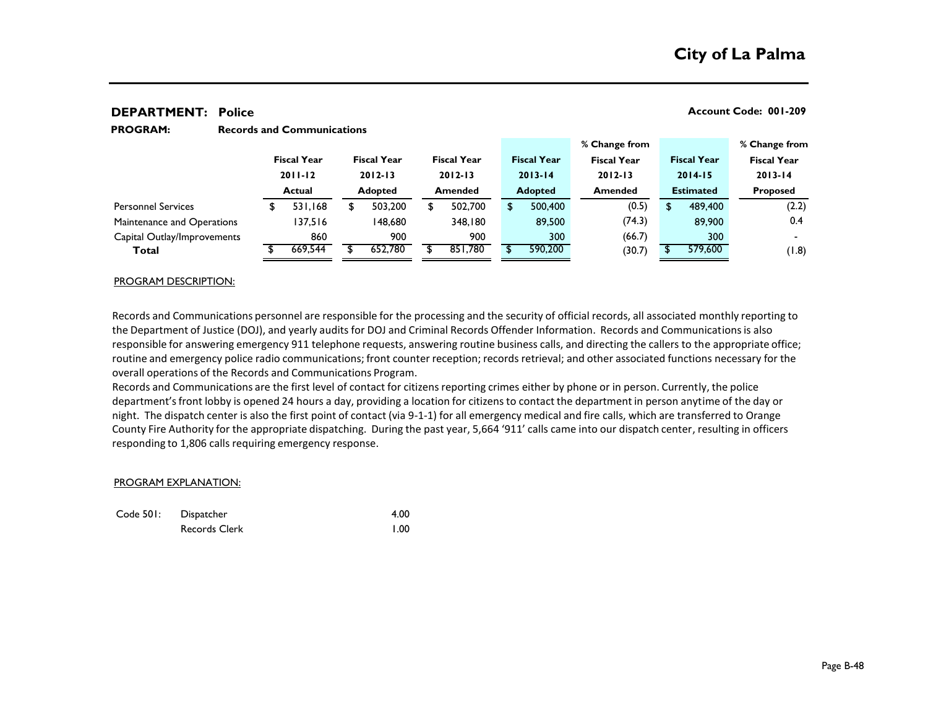|                             |                                                    |         |                                                     |         |                                   |                |  |                    | % Change from                                       |        |                                                       |         | % Change from      |
|-----------------------------|----------------------------------------------------|---------|-----------------------------------------------------|---------|-----------------------------------|----------------|--|--------------------|-----------------------------------------------------|--------|-------------------------------------------------------|---------|--------------------|
|                             | <b>Fiscal Year</b><br>$2011 - 12$<br><b>Actual</b> |         | <b>Fiscal Year</b><br>$2012 - 13$<br><b>Adopted</b> |         | <b>Fiscal Year</b><br>$2012 - 13$ |                |  | <b>Fiscal Year</b> | <b>Fiscal Year</b><br>$2012 - 13$<br><b>Amended</b> |        | <b>Fiscal Year</b><br>$2014 - 15$<br><b>Estimated</b> |         | <b>Fiscal Year</b> |
|                             |                                                    |         |                                                     |         |                                   |                |  | $2013 - 14$        |                                                     |        |                                                       |         | $2013 - 14$        |
|                             |                                                    |         |                                                     |         |                                   | <b>Amended</b> |  | <b>Adopted</b>     |                                                     |        |                                                       |         | <b>Proposed</b>    |
| <b>Personnel Services</b>   |                                                    | 531,168 |                                                     | 503.200 | S                                 | 502,700        |  | 500,400            |                                                     | (0.5)  |                                                       | 489,400 | (2.2)              |
| Maintenance and Operations  |                                                    | 137.516 |                                                     | 148.680 |                                   | 348,180        |  | 89,500             |                                                     | (74.3) |                                                       | 89,900  | 0.4                |
| Capital Outlay/Improvements |                                                    | 860     |                                                     | 900     |                                   | 900            |  | 300                |                                                     | (66.7) |                                                       | 300     | $\blacksquare$     |
| Total                       |                                                    | 669,544 |                                                     | 652,780 |                                   | 851,780        |  | 590,200            |                                                     | (30.7) |                                                       | 579,600 | (8.1)              |
|                             |                                                    |         |                                                     |         |                                   |                |  |                    |                                                     |        |                                                       |         |                    |

#### **Records and Communications PROGRAM:**

#### PROGRAM DESCRIPTION:

Records and Communications personnel are responsible for the processing and the security of official records, all associated monthly reporting to the Department of Justice (DOJ), and yearly audits for DOJ and Criminal Records Offender Information. Records and Communications is also responsible for answering emergency 911 telephone requests, answering routine business calls, and directing the callers to the appropriate office; routine and emergency police radio communications; front counter reception; records retrieval; and other associated functions necessary for the overall operations of the Records and Communications Program.

Records and Communications are the first level of contact for citizens reporting crimes either by phone or in person. Currently, the police department's front lobby is opened 24 hours a day, providing a location for citizens to contact the department in person anytime of the day or night. The dispatch center is also the first point of contact (via 9-1-1) for all emergency medical and fire calls, which are transferred to Orange County Fire Authority for the appropriate dispatching. During the past year, 5,664 '911' calls came into our dispatch center, resulting in officers responding to 1,806 calls requiring emergency response.

#### PROGRAM EXPLANATION:

| Code 501: Dispatcher | 4.00 |
|----------------------|------|
| Records Clerk        | 1.00 |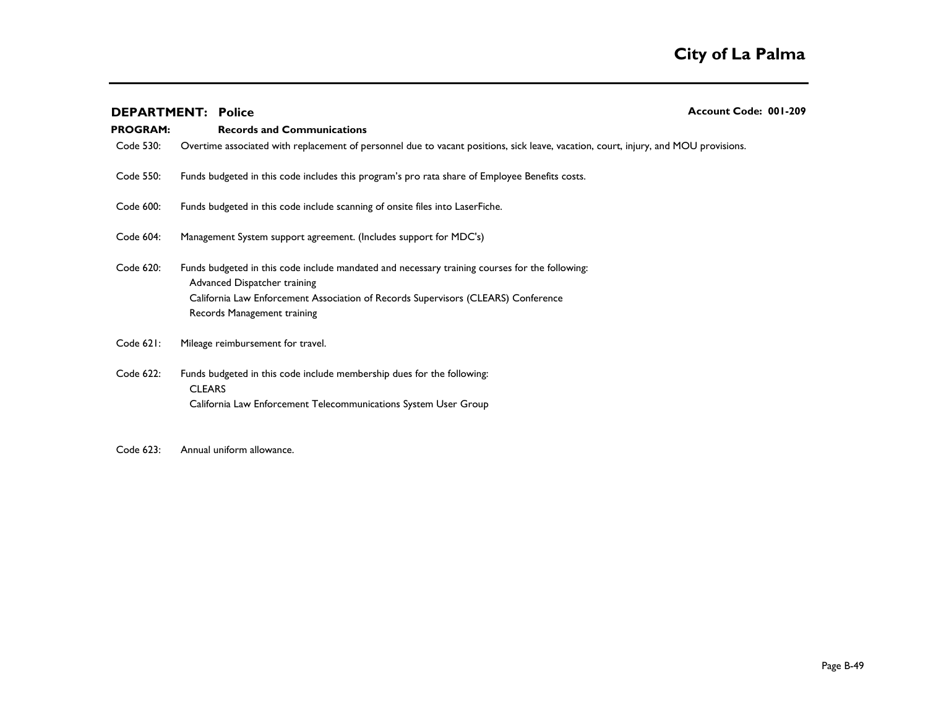## **DEPARTMENT:** Police **Account Code: 001-209 Records and Communications PROGRAM:**  Code 530: Code 550: Code 600: Code 604: Code 620: Funds budgeted in this code include mandated and necessary training courses for the following: Advanced Dispatcher training California Law Enforcement Association of Records Supervisors (CLEARS) Conference 1,500 Records Management training Code 621: Code 622: Funds budgeted in this code include membership dues for the following: CLEARS **the contract of the contract of the contract of the contract of the contract of the contract of the contract of the contract of the contract of the contract of the contract of the contract of the contract of the co** California Law Enforcement Telecommunications System User Group Funds budgeted in this code include scanning of onsite files into LaserFiche. Management System support agreement. (Includes support for MDC's) Mileage reimbursement for travel. Funds budgeted in this code includes this program's pro rata share of Employee Benefits costs. Overtime associated with replacement of personnel due to vacant positions, sick leave, vacation, court, injury, and MOU provisions.

Code 623: Annual uniform allowance.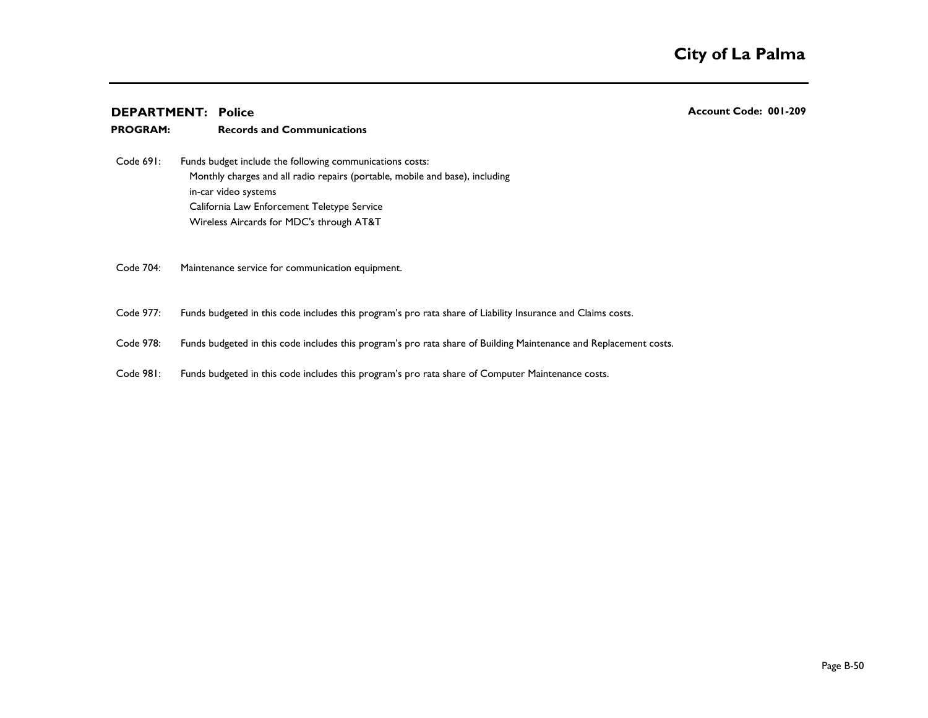**PROGRAM:** 

| Code 691: | Funds budget include the following communications costs:                     |
|-----------|------------------------------------------------------------------------------|
|           | Monthly charges and all radio repairs (portable, mobile and base), including |
|           | in-car video systems                                                         |
|           | California Law Enforcement Teletype Service                                  |
|           | Wireless Aircards for MDC's through AT&T                                     |

**Records and Communications**

Code 704: Maintenance service for communication equipment.

Code 977: Funds budgeted in this code includes this program's pro rata share of Liability Insurance and Claims costs.

Code 978: Funds budgeted in this code includes this program's pro rata share of Building Maintenance and Replacement costs.

Code 981: Funds budgeted in this code includes this program's pro rata share of Computer Maintenance costs.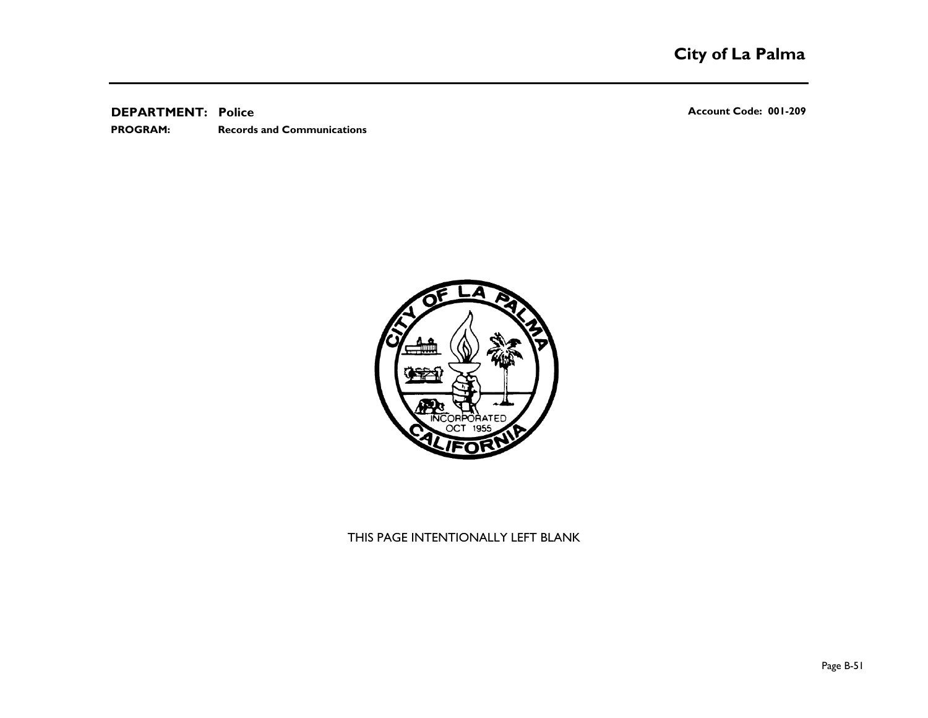**Records and Communications PROGRAM:** 

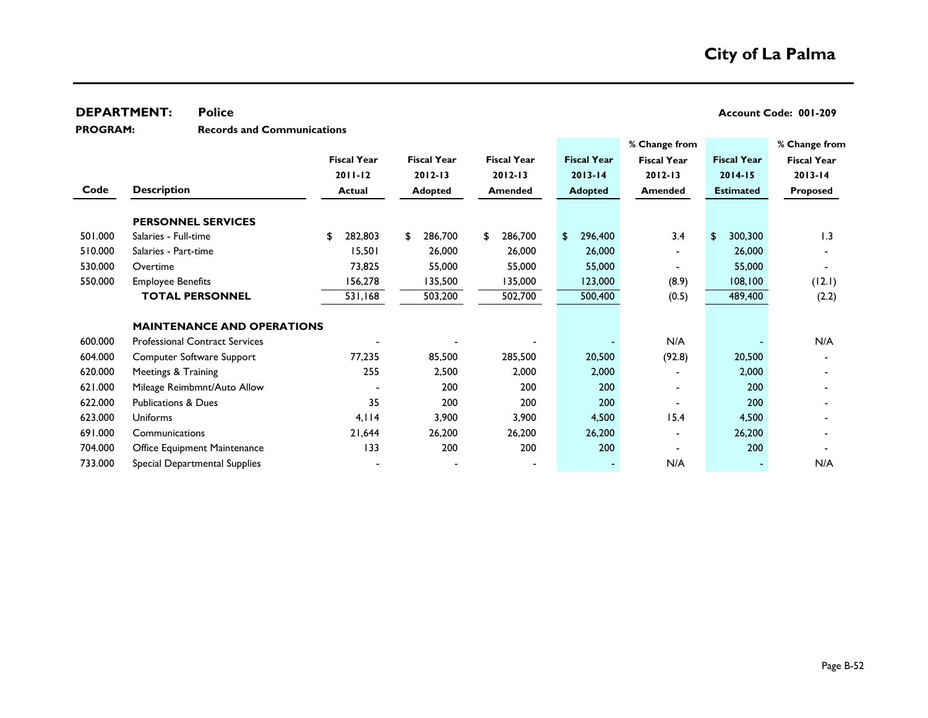**Records and Communications PROGRAM:** 

|         |                                       |                    |                    |                    |                    | % Change from            |                    | % Change from      |
|---------|---------------------------------------|--------------------|--------------------|--------------------|--------------------|--------------------------|--------------------|--------------------|
|         |                                       | <b>Fiscal Year</b> | <b>Fiscal Year</b> | <b>Fiscal Year</b> | <b>Fiscal Year</b> | <b>Fiscal Year</b>       | <b>Fiscal Year</b> | <b>Fiscal Year</b> |
|         |                                       | $2011 - 12$        | $2012 - 13$        | $2012 - 13$        | $2013 - 14$        | $2012 - 13$              | $2014 - 15$        | $2013 - 14$        |
| Code    | <b>Description</b>                    | <b>Actual</b>      | <b>Adopted</b>     | <b>Amended</b>     | <b>Adopted</b>     | Amended                  | <b>Estimated</b>   | <b>Proposed</b>    |
|         | <b>PERSONNEL SERVICES</b>             |                    |                    |                    |                    |                          |                    |                    |
| 501.000 | Salaries - Full-time                  | 282,803<br>S.      | 286,700<br>\$      | 286,700<br>\$      | 296,400<br>\$      | 3.4                      | \$<br>300,300      | 1.3                |
| 510.000 | Salaries - Part-time                  | 15,501             | 26,000             | 26,000             | 26,000             |                          | 26,000             |                    |
| 530.000 | Overtime                              | 73,825             | 55,000             | 55,000             | 55,000             |                          | 55,000             |                    |
| 550.000 | <b>Employee Benefits</b>              | 156,278            | 135,500            | 135,000            | 123,000            | (8.9)                    | 108,100            | (12.1)             |
|         | <b>TOTAL PERSONNEL</b>                | 531,168            | 503,200            | 502,700            | 500,400            | (0.5)                    | 489,400            | (2.2)              |
|         |                                       |                    |                    |                    |                    |                          |                    |                    |
|         | <b>MAINTENANCE AND OPERATIONS</b>     |                    |                    |                    |                    |                          |                    |                    |
| 600.000 | <b>Professional Contract Services</b> |                    |                    |                    |                    | N/A                      |                    | N/A                |
| 604.000 | Computer Software Support             | 77,235             | 85,500             | 285,500            | 20,500             | (92.8)                   | 20,500             |                    |
| 620.000 | Meetings & Training                   | 255                | 2,500              | 2,000              | 2,000              |                          | 2,000              |                    |
| 621.000 | Mileage Reimbmnt/Auto Allow           |                    | 200                | 200                | 200                |                          | 200                |                    |
| 622.000 | <b>Publications &amp; Dues</b>        | 35                 | 200                | 200                | 200                |                          | 200                |                    |
| 623.000 | Uniforms                              | 4,114              | 3,900              | 3,900              | 4,500              | 15.4                     | 4,500              |                    |
| 691.000 | Communications                        | 21,644             | 26,200             | 26,200             | 26,200             | $\overline{\phantom{0}}$ | 26,200             |                    |
| 704.000 | Office Equipment Maintenance          | 133                | 200                | 200                | 200                |                          | 200                |                    |
| 733.000 | Special Departmental Supplies         |                    |                    |                    | $\sim$             | N/A                      |                    | N/A                |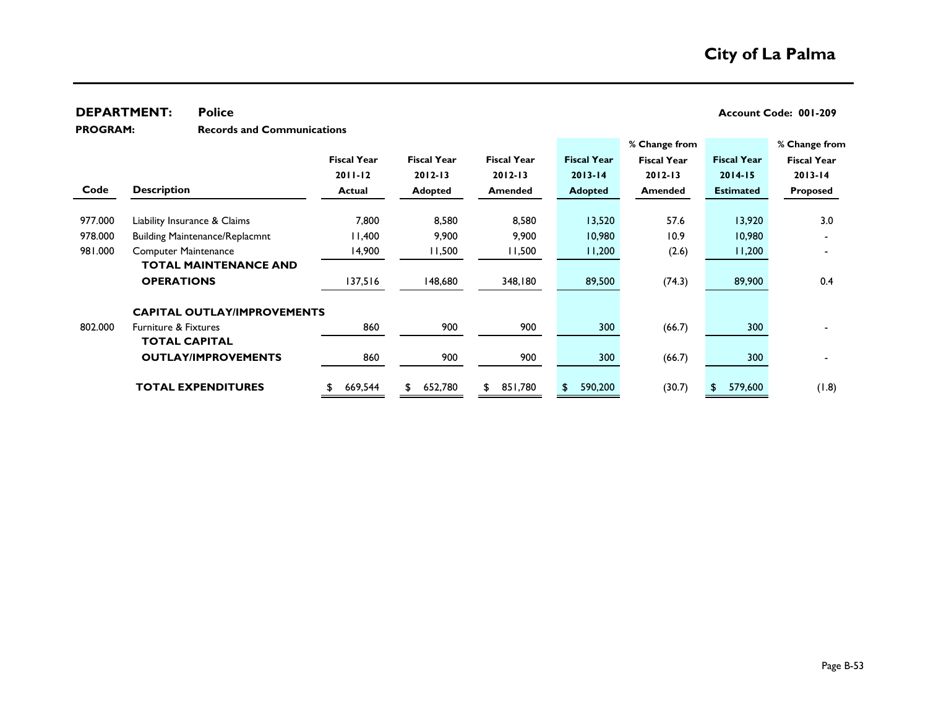**Records and Communications PROGRAM:** 

|         |                                       |                    |                    |                    |                    | % Change from      |                    | % Change from      |
|---------|---------------------------------------|--------------------|--------------------|--------------------|--------------------|--------------------|--------------------|--------------------|
|         |                                       | <b>Fiscal Year</b> | <b>Fiscal Year</b> | <b>Fiscal Year</b> | <b>Fiscal Year</b> | <b>Fiscal Year</b> | <b>Fiscal Year</b> | <b>Fiscal Year</b> |
|         |                                       | $2011 - 12$        | $2012 - 13$        | $2012 - 13$        | $2013 - 14$        | $2012 - 13$        | $2014 - 15$        | $2013 - 14$        |
| Code    | <b>Description</b>                    | <b>Actual</b>      | <b>Adopted</b>     | <b>Amended</b>     | <b>Adopted</b>     | Amended            | <b>Estimated</b>   | <b>Proposed</b>    |
|         |                                       |                    |                    |                    |                    |                    |                    |                    |
| 977.000 | Liability Insurance & Claims          | 7,800              | 8,580              | 8,580              | 13,520             | 57.6               | 13,920             | 3.0                |
| 978.000 | <b>Building Maintenance/Replacmnt</b> | 11,400             | 9,900              | 9,900              | 10,980             | 10.9               | 10,980             |                    |
| 981.000 | <b>Computer Maintenance</b>           | 14,900             | 11,500             | 11,500             | 11,200             | (2.6)              | 11,200             |                    |
|         | <b>TOTAL MAINTENANCE AND</b>          |                    |                    |                    |                    |                    |                    |                    |
|         | <b>OPERATIONS</b>                     | 137,516            | 148,680            | 348,180            | 89,500             | (74.3)             | 89,900             | 0.4                |
|         | <b>CAPITAL OUTLAY/IMPROVEMENTS</b>    |                    |                    |                    |                    |                    |                    |                    |
| 802.000 | <b>Furniture &amp; Fixtures</b>       | 860                | 900                | 900                | 300                | (66.7)             | 300                |                    |
|         | <b>TOTAL CAPITAL</b>                  |                    |                    |                    |                    |                    |                    |                    |
|         | <b>OUTLAY/IMPROVEMENTS</b>            | 860                | 900                | 900                | 300                | (66.7)             | 300                |                    |
|         | <b>TOTAL EXPENDITURES</b>             | 669,544            | 652,780<br>S.      | 851,780<br>£.      | 590,200<br>S       | (30.7)             | 579,600            | (8.1)              |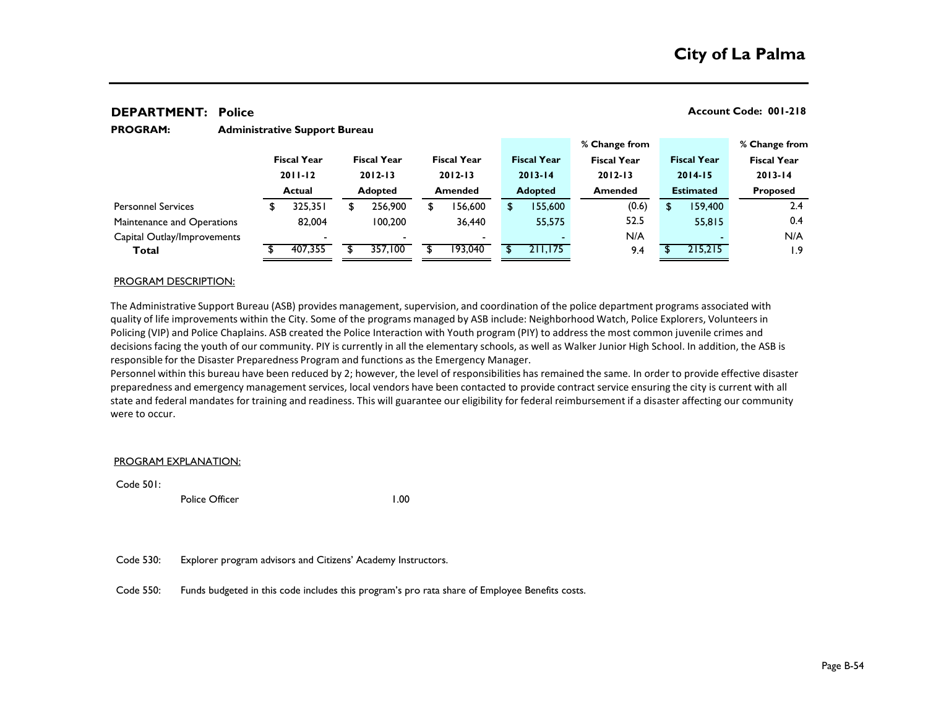**PROGRAM:** 

#### **% Change from % Change from Fiscal Year Fiscal Year Fiscal Year Fiscal Year Fiscal Year Fiscal Year Fiscal Year 2011-12 2012-13 2012-13 2013-14 2012-13 2014-15 2013-14 Actual Adopted Amended Adopted Amended Estimated Proposed** \$ 325,351 \$ 256,900 \$ 156,600 \$ 155,600 (0.6) \$ 159,400 2.4 82,004 100,200 36,440 55,575 52.5 55,815 0.4 - - - - N/A - N/A **Total** \$ 407,355 \$ 357,100 \$ 193,040 \$ 211,175 9.4 \$ 215,215 1.9 Personnel Services Maintenance and Operations Capital Outlay/Improvements

## PROGRAM DESCRIPTION:

The Administrative Support Bureau (ASB) provides management, supervision, and coordination of the police department programs associated with quality of life improvements within the City. Some of the programs managed by ASB include: Neighborhood Watch, Police Explorers, Volunteers in Policing (VIP) and Police Chaplains. ASB created the Police Interaction with Youth program (PIY) to address the most common juvenile crimes and decisions facing the youth of our community. PIY is currently in all the elementary schools, as well as Walker Junior High School. In addition, the ASB is responsible for the Disaster Preparedness Program and functions as the Emergency Manager.

Personnel within this bureau have been reduced by 2; however, the level of responsibilities has remained the same. In order to provide effective disaster preparedness and emergency management services, local vendors have been contacted to provide contract service ensuring the city is current with all state and federal mandates for training and readiness. This will guarantee our eligibility for federal reimbursement if a disaster affecting our community were to occur.

#### PROGRAM EXPLANATION:

Code 501: Sergeant 1.000 and 1.000 and 1.000 and 1.000 and 1.000 and 1.000 and 1.000 and 1.000 and 1.000 and 1

Police Officer 1.00

Code 530: Explorer program advisors and Citizens' Academy Instructors.

**Administrative Support Bureau**

Code 550: Funds budgeted in this code includes this program's pro rata share of Employee Benefits costs.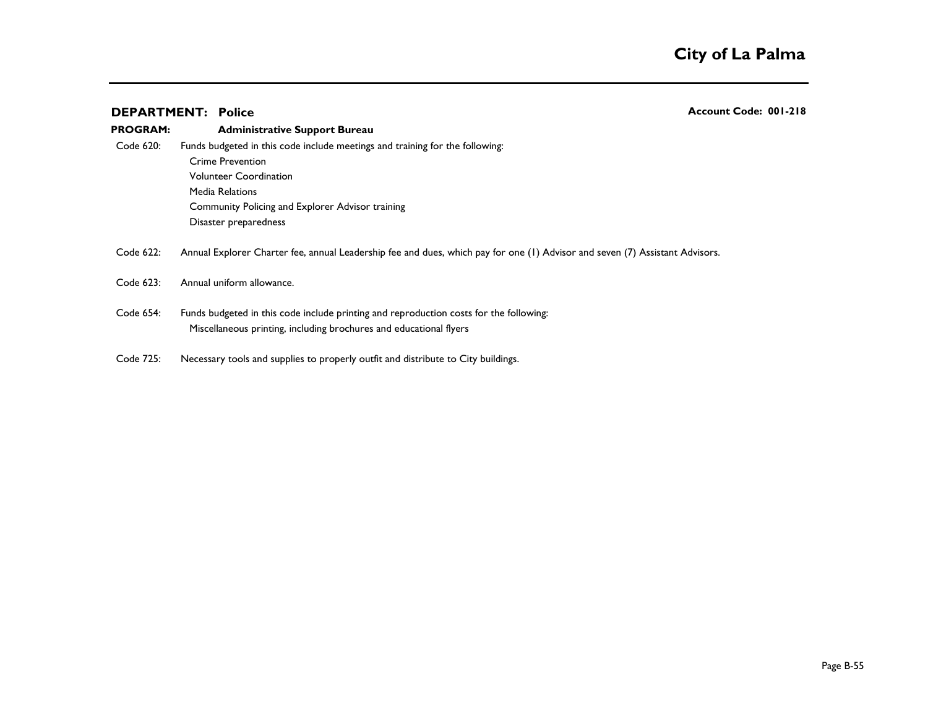|                 | <b>DEPARTMENT: Police</b>                                                                                                                                                                                                         | Account Code: 001-218 |
|-----------------|-----------------------------------------------------------------------------------------------------------------------------------------------------------------------------------------------------------------------------------|-----------------------|
| <b>PROGRAM:</b> | <b>Administrative Support Bureau</b>                                                                                                                                                                                              |                       |
| Code 620:       | Funds budgeted in this code include meetings and training for the following:<br>Crime Prevention<br><b>Volunteer Coordination</b><br>Media Relations<br>Community Policing and Explorer Advisor training<br>Disaster preparedness |                       |
| Code 622:       | Annual Explorer Charter fee, annual Leadership fee and dues, which pay for one (1) Advisor and seven (7) Assistant Advisors.                                                                                                      |                       |
| Code 623:       | Annual uniform allowance.                                                                                                                                                                                                         |                       |
| Code 654:       | Funds budgeted in this code include printing and reproduction costs for the following:<br>Miscellaneous printing, including brochures and educational flyers                                                                      |                       |
| Code 725:       | Necessary tools and supplies to properly outfit and distribute to City buildings.                                                                                                                                                 |                       |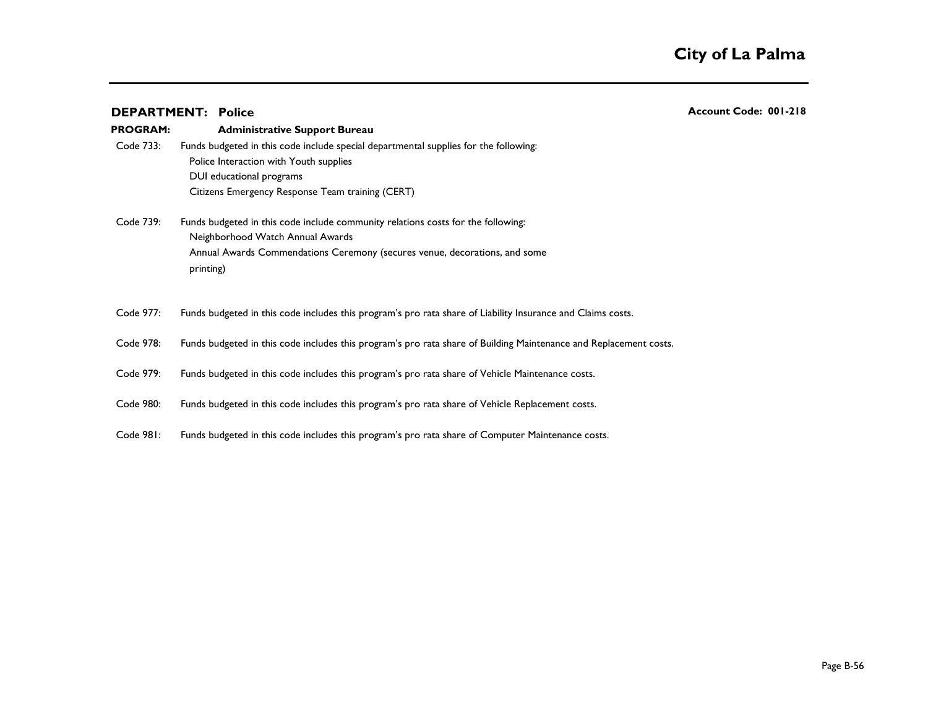|                 | <b>DEPARTMENT: Police</b>                                                                                         | Account Code: 001-218 |
|-----------------|-------------------------------------------------------------------------------------------------------------------|-----------------------|
| <b>PROGRAM:</b> | <b>Administrative Support Bureau</b>                                                                              |                       |
| Code 733:       | Funds budgeted in this code include special departmental supplies for the following:                              |                       |
|                 | Police Interaction with Youth supplies                                                                            |                       |
|                 | DUI educational programs                                                                                          |                       |
|                 | Citizens Emergency Response Team training (CERT)                                                                  |                       |
| Code 739:       | Funds budgeted in this code include community relations costs for the following:                                  |                       |
|                 | Neighborhood Watch Annual Awards                                                                                  |                       |
|                 | Annual Awards Commendations Ceremony (secures venue, decorations, and some                                        |                       |
|                 | printing)                                                                                                         |                       |
|                 |                                                                                                                   |                       |
| Code 977:       | Funds budgeted in this code includes this program's pro rata share of Liability Insurance and Claims costs.       |                       |
| Code 978:       | Funds budgeted in this code includes this program's pro rata share of Building Maintenance and Replacement costs. |                       |
|                 |                                                                                                                   |                       |
| Code 979:       | Funds budgeted in this code includes this program's pro rata share of Vehicle Maintenance costs.                  |                       |
|                 |                                                                                                                   |                       |
| Code 980:       | Funds budgeted in this code includes this program's pro rata share of Vehicle Replacement costs.                  |                       |
|                 |                                                                                                                   |                       |
| Code 981:       | Funds budgeted in this code includes this program's pro rata share of Computer Maintenance costs.                 |                       |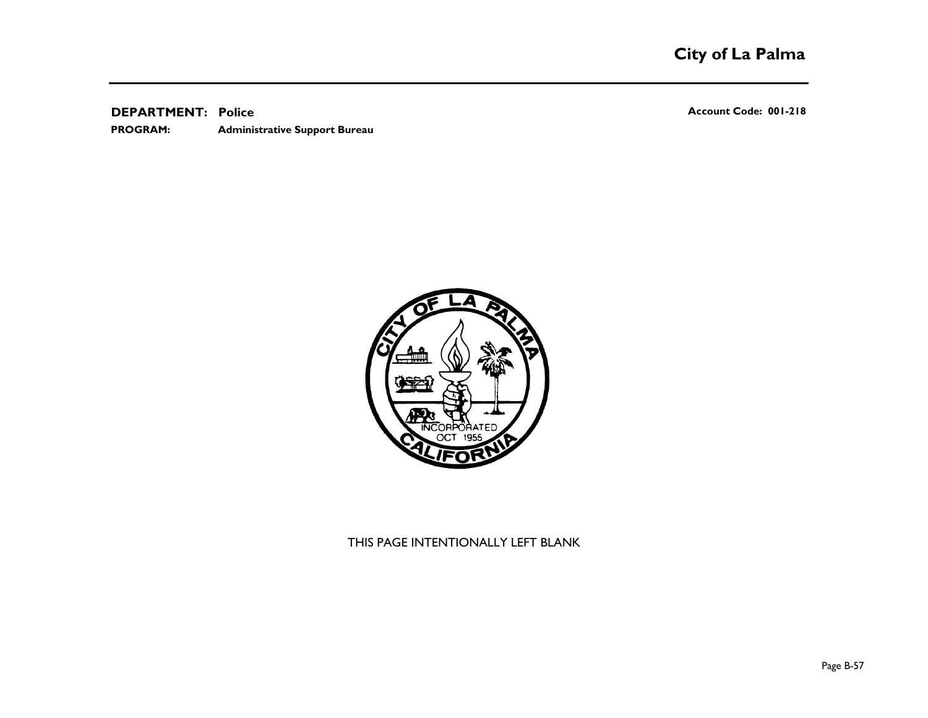**Administrative Support Bureau PROGRAM:** 

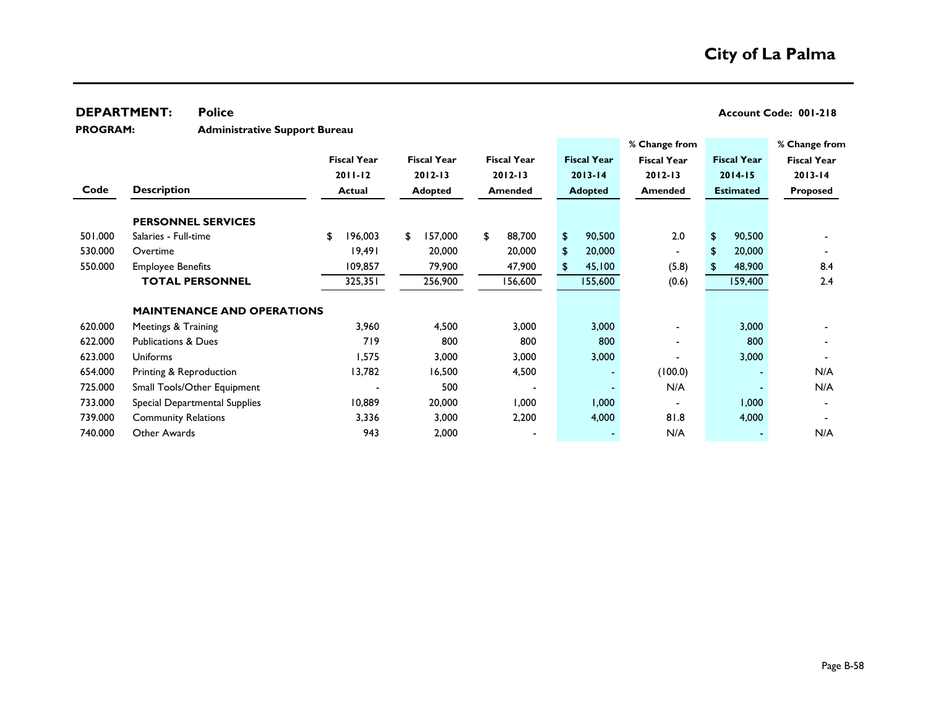## **DEPARTMENT:** Police **COVERTMENT:** Police **Account Code: 001-218**

**Administrative Support Bureau PROGRAM:** 

|         |                                   |                    |                    |                    |                    | % Change from      |                    | % Change from      |
|---------|-----------------------------------|--------------------|--------------------|--------------------|--------------------|--------------------|--------------------|--------------------|
|         |                                   | <b>Fiscal Year</b> | <b>Fiscal Year</b> | <b>Fiscal Year</b> | <b>Fiscal Year</b> | <b>Fiscal Year</b> | <b>Fiscal Year</b> | <b>Fiscal Year</b> |
|         |                                   | $2011 - 12$        | $2012 - 13$        | $2012 - 13$        | $2013 - 14$        | $2012 - 13$        | $2014 - 15$        | $2013 - 14$        |
| Code    | <b>Description</b>                | <b>Actual</b>      | Adopted            | <b>Amended</b>     | <b>Adopted</b>     | Amended            | <b>Estimated</b>   | <b>Proposed</b>    |
|         | <b>PERSONNEL SERVICES</b>         |                    |                    |                    |                    |                    |                    |                    |
| 501.000 | Salaries - Full-time              | 196,003<br>\$      | 157,000<br>\$      | 88,700<br>\$       | \$<br>90,500       | 2.0                | \$<br>90,500       |                    |
| 530.000 | Overtime                          | 19,491             | 20,000             | 20,000             | \$<br>20,000       | $\blacksquare$     | 20,000<br>\$       |                    |
| 550.000 | <b>Employee Benefits</b>          | 109,857            | 79,900             | 47,900             | 45,100<br>S        | (5.8)              | 48,900             | 8.4                |
|         | <b>TOTAL PERSONNEL</b>            | 325,351            | 256,900            | 156,600            | 155,600            | (0.6)              | 159,400            | 2.4                |
|         | <b>MAINTENANCE AND OPERATIONS</b> |                    |                    |                    |                    |                    |                    |                    |
| 620.000 | Meetings & Training               | 3,960              | 4,500              | 3,000              | 3,000              |                    | 3,000              |                    |
| 622.000 | <b>Publications &amp; Dues</b>    | 719                | 800                | 800                | 800                |                    | 800                |                    |
| 623.000 | <b>Uniforms</b>                   | 1,575              | 3,000              | 3,000              | 3,000              |                    | 3,000              |                    |
| 654.000 | Printing & Reproduction           | 13,782             | 16,500             | 4,500              | $\blacksquare$     | (100.0)            |                    | N/A                |
| 725.000 | Small Tools/Other Equipment       |                    | 500                |                    |                    | N/A                |                    | N/A                |
| 733.000 | Special Departmental Supplies     | 10,889             | 20,000             | 000, 1             | 1,000              |                    | 1,000              |                    |
| 739.000 | <b>Community Relations</b>        | 3,336              | 3,000              | 2,200              | 4,000              | 81.8               | 4,000              |                    |
| 740.000 | Other Awards                      | 943                | 2,000              |                    |                    | N/A                |                    | N/A                |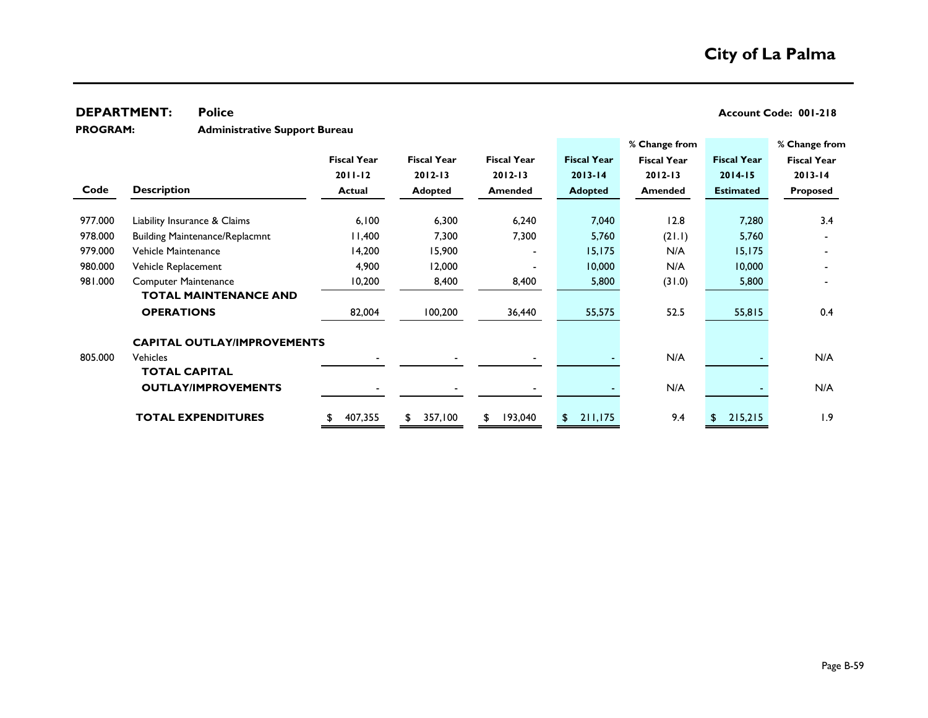## **DEPARTMENT:** Police **COVERTMENT:** Police **Account Code: 001-218**

**Administrative Support Bureau PROGRAM:** 

|         |                                       |                    |                    |                    |                    | % Change from      |                    | % Change from      |
|---------|---------------------------------------|--------------------|--------------------|--------------------|--------------------|--------------------|--------------------|--------------------|
|         |                                       | <b>Fiscal Year</b> | <b>Fiscal Year</b> | <b>Fiscal Year</b> | <b>Fiscal Year</b> | <b>Fiscal Year</b> | <b>Fiscal Year</b> | <b>Fiscal Year</b> |
|         |                                       | $2011 - 12$        | $2012 - 13$        | $2012 - 13$        | $2013 - 14$        | $2012 - 13$        | $2014 - 15$        | $2013 - 14$        |
| Code    | <b>Description</b>                    | <b>Actual</b>      | <b>Adopted</b>     | <b>Amended</b>     | <b>Adopted</b>     | <b>Amended</b>     | <b>Estimated</b>   | <b>Proposed</b>    |
|         |                                       |                    |                    |                    |                    |                    |                    |                    |
| 977.000 | Liability Insurance & Claims          | 6,100              | 6,300              | 6,240              | 7,040              | 12.8               | 7,280              | 3.4                |
| 978.000 | <b>Building Maintenance/Replacmnt</b> | 11,400             | 7,300              | 7,300              | 5,760              | (21.1)             | 5,760              |                    |
| 979.000 | Vehicle Maintenance                   | 14,200             | 15,900             |                    | 15, 175            | N/A                | 15, 175            |                    |
| 980.000 | Vehicle Replacement                   | 4,900              | 12,000             |                    | 10,000             | N/A                | 10,000             |                    |
| 981.000 | <b>Computer Maintenance</b>           | 10,200             | 8,400              | 8,400              | 5,800              | (31.0)             | 5,800              |                    |
|         | <b>TOTAL MAINTENANCE AND</b>          |                    |                    |                    |                    |                    |                    |                    |
|         | <b>OPERATIONS</b>                     | 82,004             | 100,200            | 36,440             | 55,575             | 52.5               | 55,815             | 0.4                |
|         | <b>CAPITAL OUTLAY/IMPROVEMENTS</b>    |                    |                    |                    |                    |                    |                    |                    |
| 805.000 | <b>Vehicles</b>                       |                    |                    |                    |                    | N/A                |                    | N/A                |
|         | <b>TOTAL CAPITAL</b>                  |                    |                    |                    |                    |                    |                    |                    |
|         | <b>OUTLAY/IMPROVEMENTS</b>            |                    |                    |                    |                    | N/A                |                    | N/A                |
|         |                                       |                    |                    |                    |                    |                    |                    |                    |
|         | <b>TOTAL EXPENDITURES</b>             | 407,355            | 357,100<br>\$      | 193,040            | 211,175<br>\$.     | 9.4                | 215,215<br>\$      | 1.9                |